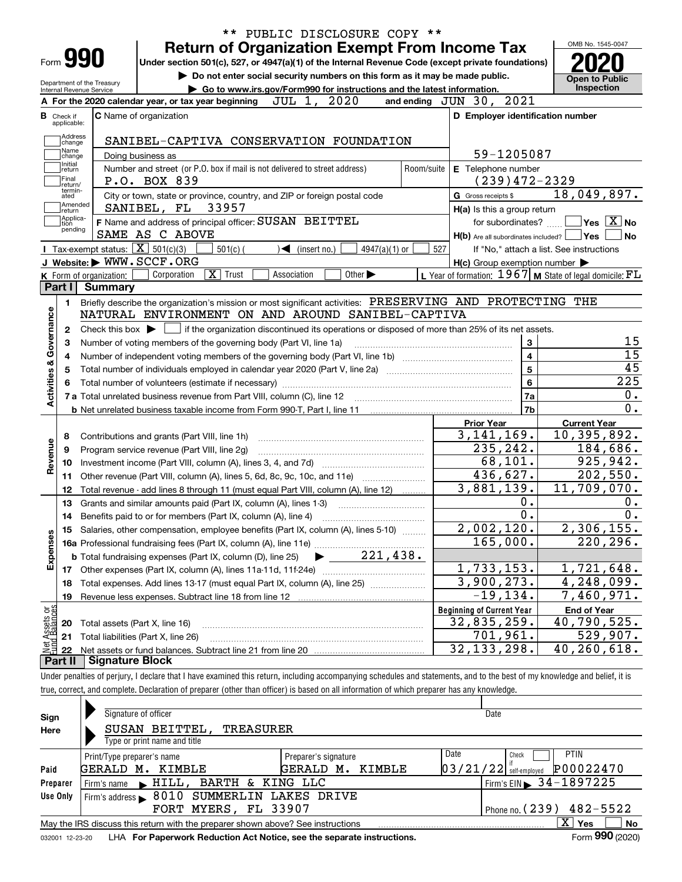|                                                                                        |                                                                   |                                                                                                                                                            |             |                                                                        |                             |            |                                                                             |                  | OMB No. 1545-0047                                            |                  |
|----------------------------------------------------------------------------------------|-------------------------------------------------------------------|------------------------------------------------------------------------------------------------------------------------------------------------------------|-------------|------------------------------------------------------------------------|-----------------------------|------------|-----------------------------------------------------------------------------|------------------|--------------------------------------------------------------|------------------|
| Form 990                                                                               |                                                                   | <b>Return of Organization Exempt From Income Tax</b><br>Under section 501(c), 527, or 4947(a)(1) of the Internal Revenue Code (except private foundations) |             |                                                                        |                             |            |                                                                             |                  |                                                              |                  |
|                                                                                        |                                                                   |                                                                                                                                                            |             |                                                                        |                             |            | Do not enter social security numbers on this form as it may be made public. |                  |                                                              |                  |
| Internal Revenue Service                                                               | Department of the Treasury                                        |                                                                                                                                                            |             | Go to www.irs.gov/Form990 for instructions and the latest information. |                             |            |                                                                             |                  | <b>Open to Public</b><br>Inspection                          |                  |
|                                                                                        |                                                                   | A For the 2020 calendar year, or tax year beginning                                                                                                        |             | JUL 1, 2020                                                            |                             |            | and ending JUN 30, 2021                                                     |                  |                                                              |                  |
| Check if                                                                               |                                                                   | C Name of organization                                                                                                                                     |             |                                                                        |                             |            | D Employer identification number                                            |                  |                                                              |                  |
| applicable:                                                                            |                                                                   |                                                                                                                                                            |             |                                                                        |                             |            |                                                                             |                  |                                                              |                  |
| Address<br>change                                                                      |                                                                   | SANIBEL-CAPTIVA CONSERVATION FOUNDATION                                                                                                                    |             |                                                                        |                             |            |                                                                             |                  |                                                              |                  |
| Name<br>change                                                                         |                                                                   | Doing business as                                                                                                                                          |             |                                                                        |                             |            | 59-1205087                                                                  |                  |                                                              |                  |
| Initial<br>return                                                                      |                                                                   | Number and street (or P.O. box if mail is not delivered to street address)                                                                                 |             |                                                                        |                             | Room/suite | E Telephone number                                                          |                  |                                                              |                  |
| Final<br>return/                                                                       |                                                                   | P.O. BOX 839                                                                                                                                               |             |                                                                        |                             |            | $(239)472 - 2329$                                                           |                  |                                                              |                  |
| termin-<br>ated                                                                        |                                                                   | City or town, state or province, country, and ZIP or foreign postal code                                                                                   |             |                                                                        |                             |            | G Gross receipts \$                                                         |                  | 18,049,897.                                                  |                  |
| Amended<br> return                                                                     |                                                                   | SANIBEL, FL 33957                                                                                                                                          |             |                                                                        |                             |            | H(a) Is this a group return                                                 |                  |                                                              |                  |
| Applica-<br>tion                                                                       |                                                                   | F Name and address of principal officer: SUSAN BEITTEL                                                                                                     |             |                                                                        |                             |            | for subordinates?                                                           |                  | $\blacksquare$ Yes $\lceil$ $\overline{\mathrm{X}}\rceil$ No |                  |
| pending                                                                                |                                                                   | SAME AS C ABOVE                                                                                                                                            |             |                                                                        |                             |            | $H(b)$ Are all subordinates included? $\Box$ Yes                            |                  |                                                              | No               |
|                                                                                        | <b>I</b> Tax-exempt status: $\overline{\mathbf{X}}$ 501(c)(3)     | $501(c)$ (                                                                                                                                                 |             | $\triangleleft$ (insert no.)                                           | $4947(a)(1)$ or             | 527        |                                                                             |                  | If "No," attach a list. See instructions                     |                  |
|                                                                                        |                                                                   | J Website: WWW.SCCF.ORG                                                                                                                                    |             |                                                                        |                             |            | $H(c)$ Group exemption number $\blacktriangleright$                         |                  |                                                              |                  |
|                                                                                        | K Form of organization:                                           | $\overline{\mathbf{X}}$<br>Trust<br>Corporation                                                                                                            | Association |                                                                        | Other $\blacktriangleright$ |            | L Year of formation: $1967$ M State of legal domicile: $FL$                 |                  |                                                              |                  |
| Part I                                                                                 | <b>Summary</b>                                                    |                                                                                                                                                            |             |                                                                        |                             |            |                                                                             |                  |                                                              |                  |
| 1.                                                                                     |                                                                   | Briefly describe the organization's mission or most significant activities: PRESERVING AND PROTECTING THE                                                  |             |                                                                        |                             |            |                                                                             |                  |                                                              |                  |
|                                                                                        |                                                                   | NATURAL ENVIRONMENT ON AND AROUND SANIBEL-CAPTIVA                                                                                                          |             |                                                                        |                             |            |                                                                             |                  |                                                              |                  |
| 2                                                                                      |                                                                   | Check this box $\blacktriangleright$ $\blacksquare$ if the organization discontinued its operations or disposed of more than 25% of its net assets.        |             |                                                                        |                             |            |                                                                             |                  |                                                              |                  |
| 3                                                                                      |                                                                   |                                                                                                                                                            |             |                                                                        |                             |            |                                                                             | $\mathbf{3}$     |                                                              |                  |
|                                                                                        | Number of voting members of the governing body (Part VI, line 1a) |                                                                                                                                                            |             |                                                                        |                             |            |                                                                             |                  |                                                              |                  |
|                                                                                        |                                                                   |                                                                                                                                                            |             |                                                                        |                             |            |                                                                             | $\overline{4}$   |                                                              |                  |
|                                                                                        |                                                                   |                                                                                                                                                            |             |                                                                        |                             |            |                                                                             | $\overline{5}$   |                                                              |                  |
|                                                                                        |                                                                   | Total number of individuals employed in calendar year 2020 (Part V, line 2a) manufacture of individuals employed in calendar year 2020 (Part V, line 2a)   |             |                                                                        |                             |            |                                                                             | $6\phantom{a}$   |                                                              |                  |
|                                                                                        |                                                                   |                                                                                                                                                            |             |                                                                        |                             |            |                                                                             | 7a               |                                                              |                  |
|                                                                                        |                                                                   |                                                                                                                                                            |             |                                                                        |                             |            |                                                                             | 7b               |                                                              |                  |
|                                                                                        |                                                                   |                                                                                                                                                            |             |                                                                        |                             |            | <b>Prior Year</b>                                                           |                  | <b>Current Year</b>                                          |                  |
| 8                                                                                      |                                                                   | Contributions and grants (Part VIII, line 1h)                                                                                                              |             |                                                                        |                             |            | 3, 141, 169.                                                                |                  | 10, 395, 892.                                                |                  |
| 9                                                                                      |                                                                   | Program service revenue (Part VIII, line 2g)                                                                                                               |             |                                                                        |                             |            | 235,242.                                                                    |                  | 184,686.                                                     |                  |
| 10                                                                                     |                                                                   |                                                                                                                                                            |             |                                                                        |                             |            | 68,101.                                                                     |                  | 925,942.                                                     |                  |
| 11                                                                                     |                                                                   | Other revenue (Part VIII, column (A), lines 5, 6d, 8c, 9c, 10c, and 11e)                                                                                   |             |                                                                        |                             |            | 436,627.                                                                    |                  | $\overline{202}$ , 550.                                      |                  |
| 12                                                                                     |                                                                   | Total revenue - add lines 8 through 11 (must equal Part VIII, column (A), line 12)                                                                         |             |                                                                        |                             |            | 3,881,139.                                                                  |                  | 11,709,070.                                                  |                  |
| 13                                                                                     |                                                                   | Grants and similar amounts paid (Part IX, column (A), lines 1-3)                                                                                           |             |                                                                        |                             |            |                                                                             | $0$ .            |                                                              |                  |
| 14                                                                                     |                                                                   | Benefits paid to or for members (Part IX, column (A), line 4)                                                                                              |             |                                                                        |                             |            |                                                                             | $\overline{0}$ . |                                                              |                  |
|                                                                                        |                                                                   | 15 Salaries, other compensation, employee benefits (Part IX, column (A), lines 5-10)                                                                       |             |                                                                        |                             |            | 2,002,120.                                                                  |                  | 2,306,155.                                                   |                  |
|                                                                                        |                                                                   |                                                                                                                                                            |             |                                                                        |                             |            | 165,000.                                                                    |                  | 220, 296.                                                    |                  |
|                                                                                        |                                                                   |                                                                                                                                                            |             |                                                                        |                             |            |                                                                             |                  |                                                              |                  |
|                                                                                        |                                                                   |                                                                                                                                                            |             |                                                                        |                             |            | 1,733,153.                                                                  |                  | 1,721,648.                                                   |                  |
| 18                                                                                     |                                                                   | Total expenses. Add lines 13-17 (must equal Part IX, column (A), line 25)                                                                                  |             |                                                                        |                             |            | 3,900,273.                                                                  |                  | 4,248,099.                                                   |                  |
| 19                                                                                     |                                                                   | Revenue less expenses. Subtract line 18 from line 12                                                                                                       |             |                                                                        |                             |            | $-19, 134.$                                                                 |                  | 7,460,971.                                                   |                  |
|                                                                                        |                                                                   |                                                                                                                                                            |             |                                                                        |                             |            | <b>Beginning of Current Year</b>                                            |                  | <b>End of Year</b>                                           |                  |
| 20                                                                                     |                                                                   | Total assets (Part X, line 16)                                                                                                                             |             |                                                                        |                             |            | 32,835,259.                                                                 |                  | 40,790,525.                                                  |                  |
| Activities & Governance<br>Revenue<br>Expenses<br>: Assets or<br>d Balances<br>21<br>鲳 |                                                                   | Total liabilities (Part X, line 26)                                                                                                                        |             |                                                                        |                             |            | 701,961.<br>32, 133, 298.                                                   |                  | 529,907.<br>$\overline{40,}$ 260, 618.                       | $\overline{225}$ |

| Sign            | Signature of officer                                                            |                        | Date                                   |  |  |  |  |  |  |  |
|-----------------|---------------------------------------------------------------------------------|------------------------|----------------------------------------|--|--|--|--|--|--|--|
| Here            | SUSAN BEITTEL,<br>TREASURER                                                     |                        |                                        |  |  |  |  |  |  |  |
|                 | Type or print name and title                                                    |                        |                                        |  |  |  |  |  |  |  |
|                 | Print/Type preparer's name                                                      | Preparer's signature   | Date<br><b>PTIN</b><br>Check           |  |  |  |  |  |  |  |
| Paid            | GERALD M.<br>KIMBLE                                                             | KIMBLE<br>GERALD<br>м. | P00022470<br>$03/21/22$ self-employed  |  |  |  |  |  |  |  |
| Preparer        | BARTH & KING LLC<br>Firm's name $\blacktriangleright$ $HILL$ ,                  |                        | Firm's EIN $\triangleright$ 34-1897225 |  |  |  |  |  |  |  |
| Use Only        | Firm's address > 8010 SUMMERLIN LAKES DRIVE                                     |                        |                                        |  |  |  |  |  |  |  |
|                 | FORT MYERS, FL 33907<br>Phone no. $(239)$ 482-5522                              |                        |                                        |  |  |  |  |  |  |  |
|                 | May the IRS discuss this return with the preparer shown above? See instructions |                        | x<br><b>No</b><br>Yes                  |  |  |  |  |  |  |  |
| 032001 12-23-20 | LHA For Paperwork Reduction Act Notice, see the separate instructions.          |                        | Form 990 (2020)                        |  |  |  |  |  |  |  |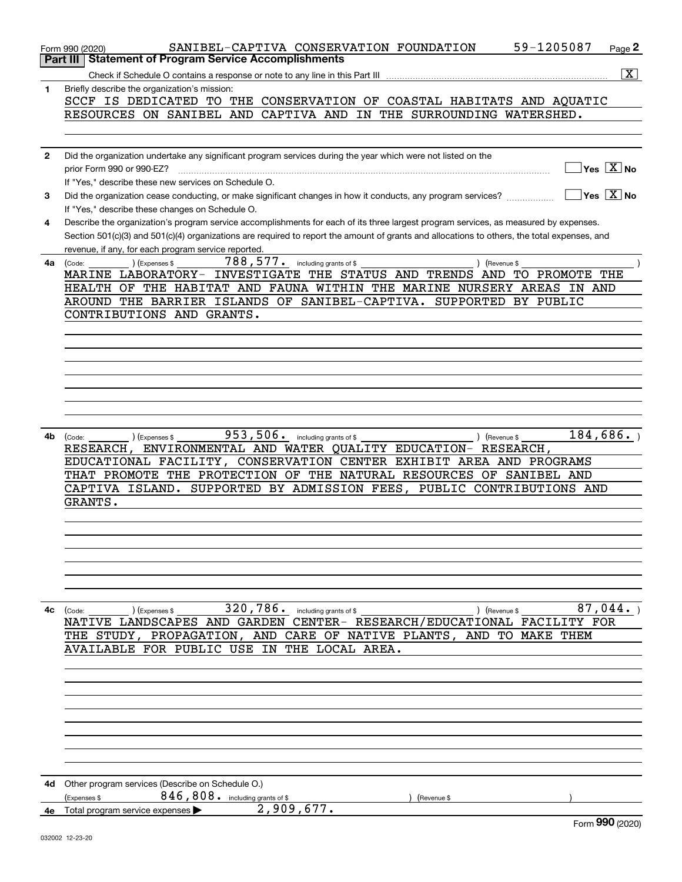|              | 59-1205087<br>SANIBEL-CAPTIVA CONSERVATION FOUNDATION<br>Page <sup>2</sup><br>Form 990 (2020)<br><b>Statement of Program Service Accomplishments</b><br>Part III |
|--------------|------------------------------------------------------------------------------------------------------------------------------------------------------------------|
|              | $\boxed{\textbf{X}}$                                                                                                                                             |
|              | Check if Schedule O contains a response or note to any line in this Part III                                                                                     |
| 1            | Briefly describe the organization's mission:<br>SCCF IS DEDICATED TO THE CONSERVATION OF COASTAL HABITATS AND AQUATIC                                            |
|              | RESOURCES ON SANIBEL AND CAPTIVA AND IN THE SURROUNDING WATERSHED.                                                                                               |
|              |                                                                                                                                                                  |
|              |                                                                                                                                                                  |
| $\mathbf{2}$ | Did the organization undertake any significant program services during the year which were not listed on the                                                     |
|              | $\overline{\mathsf{Yes} \mathbb{X}}$ No<br>prior Form 990 or 990-EZ?                                                                                             |
|              | If "Yes," describe these new services on Schedule O.                                                                                                             |
| 3            | $\overline{\ }$ Yes $\overline{\ \ X}$ No<br>Did the organization cease conducting, or make significant changes in how it conducts, any program services?        |
|              | If "Yes," describe these changes on Schedule O.                                                                                                                  |
| 4            | Describe the organization's program service accomplishments for each of its three largest program services, as measured by expenses.                             |
|              | Section 501(c)(3) and 501(c)(4) organizations are required to report the amount of grants and allocations to others, the total expenses, and                     |
|              | revenue, if any, for each program service reported.                                                                                                              |
| 4a           | $788, 577$ . including grants of \$<br>) (Expenses \$<br>) (Revenue \$<br>(Code:                                                                                 |
|              | MARINE LABORATORY- INVESTIGATE THE STATUS AND TRENDS<br>AND TO PROMOTE THE                                                                                       |
|              | HEALTH OF THE HABITAT AND FAUNA WITHIN THE MARINE NURSERY AREAS IN AND                                                                                           |
|              | AROUND THE BARRIER ISLANDS OF SANIBEL-CAPTIVA. SUPPORTED BY PUBLIC                                                                                               |
|              | CONTRIBUTIONS AND GRANTS.                                                                                                                                        |
|              |                                                                                                                                                                  |
|              |                                                                                                                                                                  |
|              |                                                                                                                                                                  |
|              |                                                                                                                                                                  |
|              |                                                                                                                                                                  |
|              |                                                                                                                                                                  |
|              |                                                                                                                                                                  |
|              |                                                                                                                                                                  |
| 4b           | 184,686.<br>953,506. including grants of \$<br>) (Revenue \$<br>(Code:<br>(Expenses \$                                                                           |
|              | RESEARCH, ENVIRONMENTAL AND WATER QUALITY EDUCATION- RESEARCH,                                                                                                   |
|              | EDUCATIONAL FACILITY, CONSERVATION CENTER EXHIBIT AREA AND PROGRAMS                                                                                              |
|              | THAT PROMOTE THE PROTECTION OF THE NATURAL RESOURCES OF SANIBEL AND                                                                                              |
|              |                                                                                                                                                                  |
|              |                                                                                                                                                                  |
|              | CAPTIVA ISLAND. SUPPORTED BY ADMISSION FEES, PUBLIC CONTRIBUTIONS AND                                                                                            |
|              | GRANTS.                                                                                                                                                          |
|              |                                                                                                                                                                  |
|              |                                                                                                                                                                  |
|              |                                                                                                                                                                  |
|              |                                                                                                                                                                  |
|              |                                                                                                                                                                  |
|              |                                                                                                                                                                  |
|              |                                                                                                                                                                  |
| 4с           | 320,786. including grants of \$<br>87,044.<br>(Code:<br>(Expenses \$<br>) (Revenue \$                                                                            |
|              | NATIVE LANDSCAPES AND GARDEN CENTER- RESEARCH/EDUCATIONAL FACILITY FOR                                                                                           |
|              | THE STUDY, PROPAGATION, AND CARE OF NATIVE PLANTS, AND TO MAKE THEM                                                                                              |
|              | AVAILABLE FOR PUBLIC USE IN THE LOCAL AREA.                                                                                                                      |
|              |                                                                                                                                                                  |
|              |                                                                                                                                                                  |
|              |                                                                                                                                                                  |
|              |                                                                                                                                                                  |
|              |                                                                                                                                                                  |
|              |                                                                                                                                                                  |
|              |                                                                                                                                                                  |
|              |                                                                                                                                                                  |
|              |                                                                                                                                                                  |
| 4d           | Other program services (Describe on Schedule O.)                                                                                                                 |
|              | 846, 808. including grants of \$<br>(Expenses \$<br>Revenue \$                                                                                                   |
|              | 2,909,677.<br>4e Total program service expenses<br>Form 990 (2020)                                                                                               |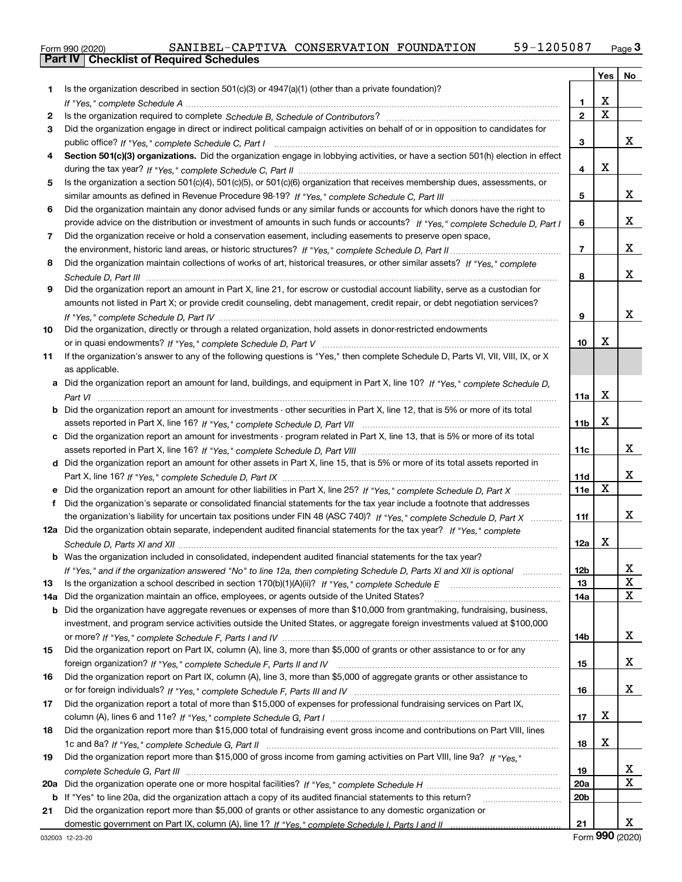|  | Form 990 (2020) |
|--|-----------------|

|     |                                                                                                                                       |                 | Yes                     | No                      |
|-----|---------------------------------------------------------------------------------------------------------------------------------------|-----------------|-------------------------|-------------------------|
| 1   | Is the organization described in section $501(c)(3)$ or $4947(a)(1)$ (other than a private foundation)?                               |                 |                         |                         |
|     |                                                                                                                                       | 1               | X                       |                         |
| 2   |                                                                                                                                       | $\overline{2}$  | $\overline{\mathbf{x}}$ |                         |
| 3   | Did the organization engage in direct or indirect political campaign activities on behalf of or in opposition to candidates for       |                 |                         |                         |
|     |                                                                                                                                       | 3               |                         | x                       |
| 4   | Section 501(c)(3) organizations. Did the organization engage in lobbying activities, or have a section 501(h) election in effect      |                 |                         |                         |
|     |                                                                                                                                       | 4               | X                       |                         |
| 5   | Is the organization a section 501(c)(4), 501(c)(5), or 501(c)(6) organization that receives membership dues, assessments, or          |                 |                         |                         |
|     |                                                                                                                                       | 5               |                         | x                       |
| 6   | Did the organization maintain any donor advised funds or any similar funds or accounts for which donors have the right to             |                 |                         |                         |
|     | provide advice on the distribution or investment of amounts in such funds or accounts? If "Yes," complete Schedule D, Part I          | 6               |                         | x                       |
| 7   | Did the organization receive or hold a conservation easement, including easements to preserve open space,                             |                 |                         |                         |
|     |                                                                                                                                       | $\overline{7}$  |                         | x                       |
| 8   | Did the organization maintain collections of works of art, historical treasures, or other similar assets? If "Yes," complete          |                 |                         |                         |
|     |                                                                                                                                       | 8               |                         | X                       |
| 9   | Did the organization report an amount in Part X, line 21, for escrow or custodial account liability, serve as a custodian for         |                 |                         |                         |
|     | amounts not listed in Part X; or provide credit counseling, debt management, credit repair, or debt negotiation services?             |                 |                         |                         |
|     |                                                                                                                                       | 9               |                         | x                       |
| 10  | Did the organization, directly or through a related organization, hold assets in donor-restricted endowments                          |                 |                         |                         |
|     |                                                                                                                                       | 10              | х                       |                         |
| 11  | If the organization's answer to any of the following questions is "Yes," then complete Schedule D, Parts VI, VII, VIII, IX, or X      |                 |                         |                         |
|     | as applicable.                                                                                                                        |                 |                         |                         |
|     | a Did the organization report an amount for land, buildings, and equipment in Part X, line 10? If "Yes." complete Schedule D.         |                 |                         |                         |
|     |                                                                                                                                       | 11a             | X                       |                         |
|     | <b>b</b> Did the organization report an amount for investments - other securities in Part X, line 12, that is 5% or more of its total |                 |                         |                         |
|     |                                                                                                                                       | 11 <sub>b</sub> | X                       |                         |
|     | Did the organization report an amount for investments - program related in Part X, line 13, that is 5% or more of its total           |                 |                         |                         |
|     |                                                                                                                                       | 11c             |                         | x                       |
|     | d Did the organization report an amount for other assets in Part X, line 15, that is 5% or more of its total assets reported in       |                 |                         |                         |
|     |                                                                                                                                       | 11d             |                         | x                       |
|     | e Did the organization report an amount for other liabilities in Part X, line 25? If "Yes," complete Schedule D, Part X               | 11e             | X                       |                         |
| f   | Did the organization's separate or consolidated financial statements for the tax year include a footnote that addresses               |                 |                         |                         |
|     | the organization's liability for uncertain tax positions under FIN 48 (ASC 740)? If "Yes," complete Schedule D, Part X                | 11f             |                         | x                       |
|     | 12a Did the organization obtain separate, independent audited financial statements for the tax year? If "Yes," complete               |                 |                         |                         |
|     |                                                                                                                                       | 12a             | Х                       |                         |
|     | <b>b</b> Was the organization included in consolidated, independent audited financial statements for the tax year?                    |                 |                         |                         |
|     | If "Yes," and if the organization answered "No" to line 12a, then completing Schedule D, Parts XI and XII is optional                 | 12b             |                         | ▵                       |
| 13  |                                                                                                                                       | 13              |                         | X                       |
| 14a | Did the organization maintain an office, employees, or agents outside of the United States?                                           | 14a             |                         | $\mathbf x$             |
| b   | Did the organization have aggregate revenues or expenses of more than \$10,000 from grantmaking, fundraising, business,               |                 |                         |                         |
|     | investment, and program service activities outside the United States, or aggregate foreign investments valued at \$100,000            |                 |                         |                         |
|     |                                                                                                                                       | 14b             |                         | x                       |
| 15  | Did the organization report on Part IX, column (A), line 3, more than \$5,000 of grants or other assistance to or for any             |                 |                         |                         |
|     |                                                                                                                                       | 15              |                         | x                       |
| 16  | Did the organization report on Part IX, column (A), line 3, more than \$5,000 of aggregate grants or other assistance to              |                 |                         |                         |
|     |                                                                                                                                       | 16              |                         | x                       |
| 17  | Did the organization report a total of more than \$15,000 of expenses for professional fundraising services on Part IX,               |                 |                         |                         |
|     |                                                                                                                                       | 17              | х                       |                         |
| 18  | Did the organization report more than \$15,000 total of fundraising event gross income and contributions on Part VIII, lines          |                 |                         |                         |
|     |                                                                                                                                       | 18              | х                       |                         |
| 19  | Did the organization report more than \$15,000 of gross income from gaming activities on Part VIII, line 9a? If "Yes."                |                 |                         |                         |
|     |                                                                                                                                       | 19              |                         | X                       |
| 20a |                                                                                                                                       | 20a             |                         | $\overline{\mathbf{X}}$ |
|     | b If "Yes" to line 20a, did the organization attach a copy of its audited financial statements to this return?                        | 20 <sub>b</sub> |                         |                         |
| 21  | Did the organization report more than \$5,000 of grants or other assistance to any domestic organization or                           |                 |                         |                         |
|     |                                                                                                                                       | 21              |                         | x                       |

Form (2020) **990**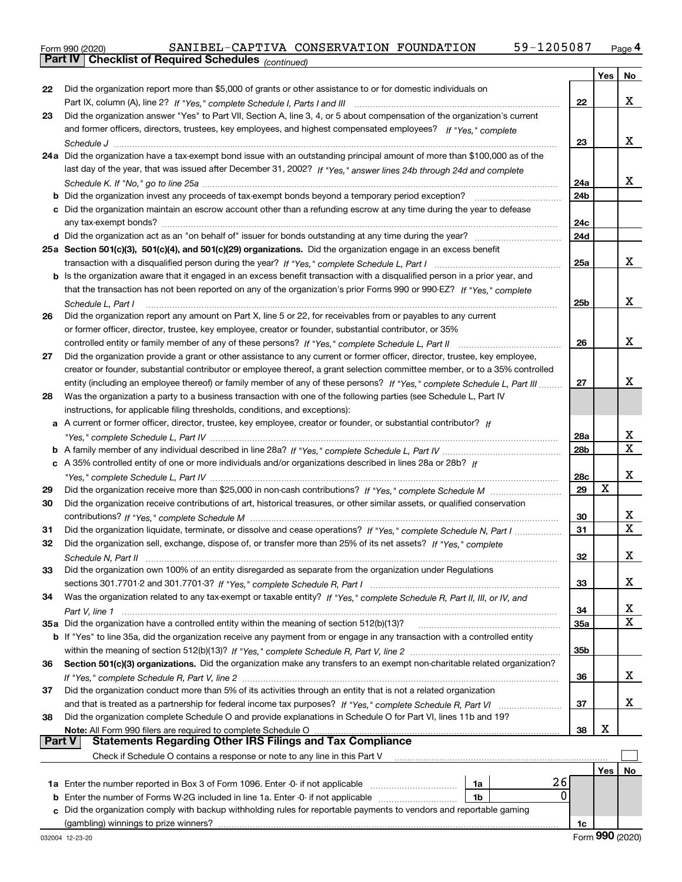|               | Parl IV  <br>Crieckist of Required Scriedules (continued)                                                                          |                 |            |    |
|---------------|------------------------------------------------------------------------------------------------------------------------------------|-----------------|------------|----|
|               |                                                                                                                                    |                 | Yes        | No |
| 22            | Did the organization report more than \$5,000 of grants or other assistance to or for domestic individuals on                      |                 |            |    |
|               |                                                                                                                                    | 22              |            | x  |
| 23            | Did the organization answer "Yes" to Part VII, Section A, line 3, 4, or 5 about compensation of the organization's current         |                 |            |    |
|               | and former officers, directors, trustees, key employees, and highest compensated employees? If "Yes," complete                     |                 |            |    |
|               |                                                                                                                                    | 23              |            | х  |
|               | 24a Did the organization have a tax-exempt bond issue with an outstanding principal amount of more than \$100,000 as of the        |                 |            |    |
|               | last day of the year, that was issued after December 31, 2002? If "Yes," answer lines 24b through 24d and complete                 |                 |            |    |
|               |                                                                                                                                    | 24a             |            | x  |
|               | <b>b</b> Did the organization invest any proceeds of tax-exempt bonds beyond a temporary period exception?                         | 24b             |            |    |
|               | c Did the organization maintain an escrow account other than a refunding escrow at any time during the year to defease             |                 |            |    |
|               | any tax-exempt bonds?                                                                                                              | 24c             |            |    |
|               | d Did the organization act as an "on behalf of" issuer for bonds outstanding at any time during the year?                          | 24d             |            |    |
|               | 25a Section 501(c)(3), 501(c)(4), and 501(c)(29) organizations. Did the organization engage in an excess benefit                   |                 |            |    |
|               |                                                                                                                                    | 25a             |            | x  |
|               | b Is the organization aware that it engaged in an excess benefit transaction with a disqualified person in a prior year, and       |                 |            |    |
|               | that the transaction has not been reported on any of the organization's prior Forms 990 or 990-EZ? If "Yes," complete              |                 |            |    |
|               | Schedule L, Part I                                                                                                                 | 25b             |            | х  |
| 26            | Did the organization report any amount on Part X, line 5 or 22, for receivables from or payables to any current                    |                 |            |    |
|               | or former officer, director, trustee, key employee, creator or founder, substantial contributor, or 35%                            |                 |            |    |
|               |                                                                                                                                    | 26              |            | x  |
| 27            | Did the organization provide a grant or other assistance to any current or former officer, director, trustee, key employee,        |                 |            |    |
|               | creator or founder, substantial contributor or employee thereof, a grant selection committee member, or to a 35% controlled        |                 |            |    |
|               | entity (including an employee thereof) or family member of any of these persons? If "Yes," complete Schedule L. Part III           | 27              |            | x  |
| 28            | Was the organization a party to a business transaction with one of the following parties (see Schedule L, Part IV                  |                 |            |    |
|               | instructions, for applicable filing thresholds, conditions, and exceptions):                                                       |                 |            |    |
|               | a A current or former officer, director, trustee, key employee, creator or founder, or substantial contributor? If                 |                 |            |    |
|               |                                                                                                                                    | 28a             |            | х  |
|               |                                                                                                                                    | 28 <sub>b</sub> |            | x  |
|               | c A 35% controlled entity of one or more individuals and/or organizations described in lines 28a or 28b? If                        |                 |            |    |
|               |                                                                                                                                    | 28c             |            | х  |
| 29            |                                                                                                                                    | 29              | X          |    |
| 30            | Did the organization receive contributions of art, historical treasures, or other similar assets, or qualified conservation        |                 |            |    |
|               |                                                                                                                                    | 30              |            | х  |
| 31            | Did the organization liquidate, terminate, or dissolve and cease operations? If "Yes," complete Schedule N, Part I                 | 31              |            | Х  |
| 32            | Did the organization sell, exchange, dispose of, or transfer more than 25% of its net assets? If "Yes," complete                   |                 |            |    |
|               | Schedule N. Part II                                                                                                                | 32              |            | х  |
| 33            | Did the organization own 100% of an entity disregarded as separate from the organization under Regulations                         |                 |            |    |
|               |                                                                                                                                    | 33              |            | x  |
| 34            | Was the organization related to any tax-exempt or taxable entity? If "Yes," complete Schedule R, Part II, III, or IV, and          |                 |            |    |
|               |                                                                                                                                    | 34              |            | х  |
|               | 35a Did the organization have a controlled entity within the meaning of section 512(b)(13)?                                        | 35a             |            | х  |
|               | <b>b</b> If "Yes" to line 35a, did the organization receive any payment from or engage in any transaction with a controlled entity |                 |            |    |
|               |                                                                                                                                    | 35b             |            |    |
| 36            | Section 501(c)(3) organizations. Did the organization make any transfers to an exempt non-charitable related organization?         |                 |            |    |
|               |                                                                                                                                    | 36              |            | X  |
| 37            | Did the organization conduct more than 5% of its activities through an entity that is not a related organization                   |                 |            |    |
|               |                                                                                                                                    | 37              |            | x  |
| 38            | Did the organization complete Schedule O and provide explanations in Schedule O for Part VI, lines 11b and 19?                     |                 | х          |    |
| <b>Part V</b> | Note: All Form 990 filers are required to complete Schedule O<br>Statements Regarding Other IRS Filings and Tax Compliance         | 38              |            |    |
|               | Check if Schedule O contains a response or note to any line in this Part V                                                         |                 |            |    |
|               |                                                                                                                                    |                 |            |    |
|               | 26<br>1a                                                                                                                           |                 | <b>Yes</b> | No |
|               | 0<br><b>b</b> Enter the number of Forms W-2G included in line 1a. Enter -0- if not applicable<br>1b                                |                 |            |    |
|               | c Did the organization comply with backup withholding rules for reportable payments to vendors and reportable gaming               |                 |            |    |
|               | (gambling) winnings to prize winners?                                                                                              | 1c              |            |    |
|               |                                                                                                                                    |                 |            |    |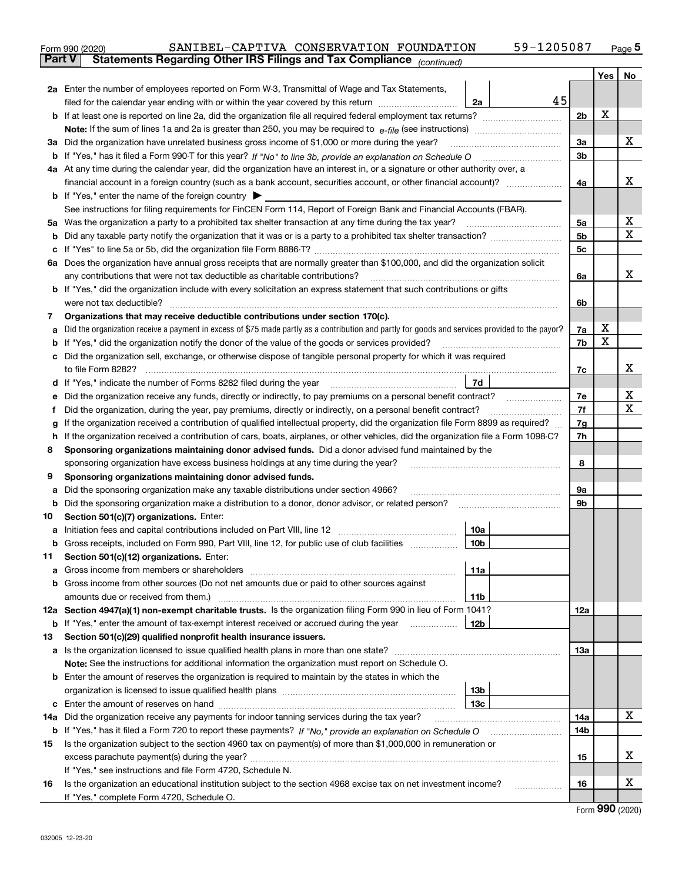|               | 59-1205087<br>SANIBEL-CAPTIVA CONSERVATION FOUNDATION<br>Form 990 (2020)                                                                                                                                                            |                |     | $_{\text{Page}}$ 5 |
|---------------|-------------------------------------------------------------------------------------------------------------------------------------------------------------------------------------------------------------------------------------|----------------|-----|--------------------|
| <b>Part V</b> | Statements Regarding Other IRS Filings and Tax Compliance (continued)                                                                                                                                                               |                |     |                    |
|               |                                                                                                                                                                                                                                     |                | Yes | No                 |
|               | 2a Enter the number of employees reported on Form W-3, Transmittal of Wage and Tax Statements,                                                                                                                                      |                |     |                    |
|               | 45<br>filed for the calendar year ending with or within the year covered by this return [11] [11] filed for the calendar year ending with or within the year covered by this return<br>2a                                           |                |     |                    |
|               |                                                                                                                                                                                                                                     | 2b             | x   |                    |
|               |                                                                                                                                                                                                                                     |                |     |                    |
| За            | Did the organization have unrelated business gross income of \$1,000 or more during the year?                                                                                                                                       | 3a             |     | х                  |
|               |                                                                                                                                                                                                                                     | 3b             |     |                    |
|               | 4a At any time during the calendar year, did the organization have an interest in, or a signature or other authority over, a                                                                                                        |                |     |                    |
|               |                                                                                                                                                                                                                                     | 4a             |     | х                  |
|               | <b>b</b> If "Yes," enter the name of the foreign country $\blacktriangleright$                                                                                                                                                      |                |     |                    |
|               | See instructions for filing requirements for FinCEN Form 114, Report of Foreign Bank and Financial Accounts (FBAR).                                                                                                                 |                |     |                    |
| 5a            | Was the organization a party to a prohibited tax shelter transaction at any time during the tax year?                                                                                                                               | 5a             |     | x                  |
| b             |                                                                                                                                                                                                                                     | 5 <sub>b</sub> |     | X                  |
| с             |                                                                                                                                                                                                                                     | 5c             |     |                    |
|               | 6a Does the organization have annual gross receipts that are normally greater than \$100,000, and did the organization solicit                                                                                                      |                |     |                    |
|               | any contributions that were not tax deductible as charitable contributions?                                                                                                                                                         | 6a             |     | х                  |
|               | <b>b</b> If "Yes," did the organization include with every solicitation an express statement that such contributions or gifts                                                                                                       |                |     |                    |
|               | were not tax deductible?                                                                                                                                                                                                            | 6b             |     |                    |
| 7             | Organizations that may receive deductible contributions under section 170(c).                                                                                                                                                       |                |     |                    |
| а             | Did the organization receive a payment in excess of \$75 made partly as a contribution and partly for goods and services provided to the payor?                                                                                     | 7a             | х   |                    |
| b             | If "Yes," did the organization notify the donor of the value of the goods or services provided?                                                                                                                                     | 7b             | X   |                    |
| с             | Did the organization sell, exchange, or otherwise dispose of tangible personal property for which it was required                                                                                                                   |                |     |                    |
|               |                                                                                                                                                                                                                                     | 7c             |     | х                  |
| d             | 7d<br>If "Yes," indicate the number of Forms 8282 filed during the year [11] [11] Wes," indicate the number of Forms 8282 filed during the year                                                                                     |                |     |                    |
| е             |                                                                                                                                                                                                                                     | 7e             |     | х                  |
| f             | Did the organization, during the year, pay premiums, directly or indirectly, on a personal benefit contract?                                                                                                                        | 7f             |     | х                  |
| g             | If the organization received a contribution of qualified intellectual property, did the organization file Form 8899 as required?                                                                                                    | 7g             |     |                    |
| h             | If the organization received a contribution of cars, boats, airplanes, or other vehicles, did the organization file a Form 1098-C?                                                                                                  | 7h             |     |                    |
| 8             | Sponsoring organizations maintaining donor advised funds. Did a donor advised fund maintained by the                                                                                                                                |                |     |                    |
|               | sponsoring organization have excess business holdings at any time during the year?                                                                                                                                                  | 8              |     |                    |
| 9             | Sponsoring organizations maintaining donor advised funds.                                                                                                                                                                           |                |     |                    |
| а             | Did the sponsoring organization make any taxable distributions under section 4966?                                                                                                                                                  | 9а             |     |                    |
| b             | Did the sponsoring organization make a distribution to a donor, donor advisor, or related person?                                                                                                                                   | 9b             |     |                    |
| 10            | Section 501(c)(7) organizations. Enter:                                                                                                                                                                                             |                |     |                    |
|               | 10a<br>a Initiation fees and capital contributions included on Part VIII, line 12 [111] [11] [11] Initiation fees and capital contributions included on Part VIII, line 12                                                          |                |     |                    |
|               | 10b <br>Gross receipts, included on Form 990, Part VIII, line 12, for public use of club facilities                                                                                                                                 |                |     |                    |
| 11            | Section 501(c)(12) organizations. Enter:                                                                                                                                                                                            |                |     |                    |
| a             | Gross income from members or shareholders<br>11a                                                                                                                                                                                    |                |     |                    |
| b             | Gross income from other sources (Do not net amounts due or paid to other sources against                                                                                                                                            |                |     |                    |
|               | 11 <sub>b</sub>                                                                                                                                                                                                                     |                |     |                    |
|               | 12a Section 4947(a)(1) non-exempt charitable trusts. Is the organization filing Form 990 in lieu of Form 1041?                                                                                                                      | 12a            |     |                    |
|               | 12b<br><b>b</b> If "Yes," enter the amount of tax-exempt interest received or accrued during the year                                                                                                                               |                |     |                    |
| 13            | Section 501(c)(29) qualified nonprofit health insurance issuers.                                                                                                                                                                    |                |     |                    |
| a             | Is the organization licensed to issue qualified health plans in more than one state?                                                                                                                                                | 13a            |     |                    |
|               | Note: See the instructions for additional information the organization must report on Schedule O.                                                                                                                                   |                |     |                    |
| b             | Enter the amount of reserves the organization is required to maintain by the states in which the                                                                                                                                    |                |     |                    |
|               | 13 <sub>b</sub><br>13 <sub>c</sub>                                                                                                                                                                                                  |                |     |                    |
|               |                                                                                                                                                                                                                                     |                |     | X                  |
| 14a           | Did the organization receive any payments for indoor tanning services during the tax year?                                                                                                                                          | 14a<br>14b     |     |                    |
|               | <b>b</b> If "Yes," has it filed a Form 720 to report these payments? If "No," provide an explanation on Schedule O<br>Is the organization subject to the section 4960 tax on payment(s) of more than \$1,000,000 in remuneration or |                |     |                    |
| 15            |                                                                                                                                                                                                                                     | 15             |     | x                  |
|               | excess parachute payment(s) during the year?<br>If "Yes," see instructions and file Form 4720, Schedule N.                                                                                                                          |                |     |                    |
| 16            | Is the organization an educational institution subject to the section 4968 excise tax on net investment income?                                                                                                                     | 16             |     | х                  |
|               | If "Yes," complete Form 4720, Schedule O.                                                                                                                                                                                           |                |     |                    |
|               |                                                                                                                                                                                                                                     |                |     |                    |

Form (2020) **990**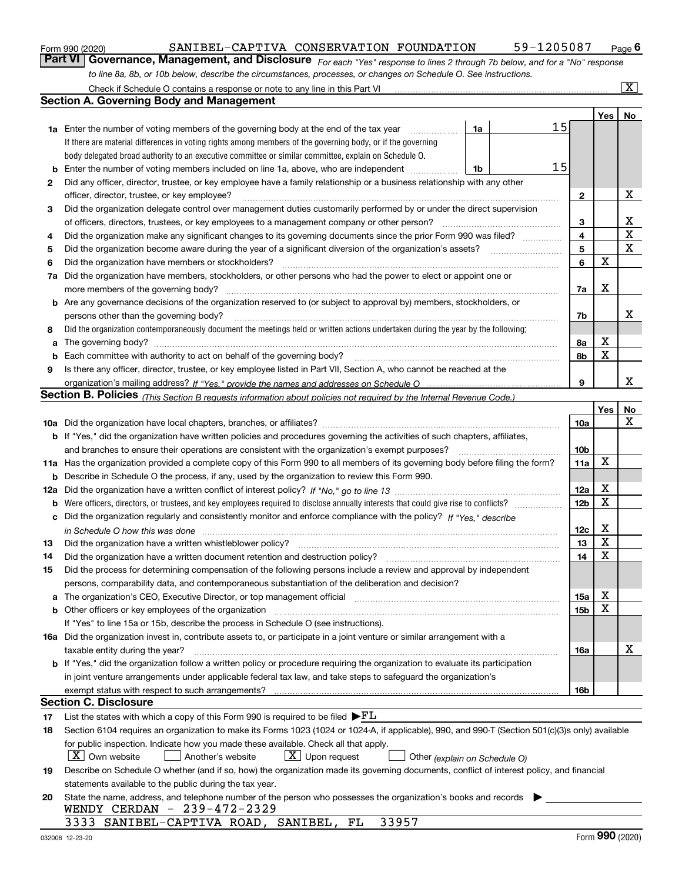|  | Form 990 (2020) |
|--|-----------------|
|  |                 |

### SANIBEL-CAPTIVA CONSERVATION FOUNDATION 59-1205087

*For each "Yes" response to lines 2 through 7b below, and for a "No" response to line 8a, 8b, or 10b below, describe the circumstances, processes, or changes on Schedule O. See instructions.* Form 990 (2020) **Carry Connect COMMANU CONSERVATION FOUNDATION** 59-1205087 Page 6<br>**Part VI Governance, Management, and Disclosure** For each "Yes" response to lines 2 through 7b below, and for a "No" response

|     | Check if Schedule O contains a response or note to any line in this Part VI                                                                                           |                 |                  | $\overline{\mathbf{x}}$ |
|-----|-----------------------------------------------------------------------------------------------------------------------------------------------------------------------|-----------------|------------------|-------------------------|
|     | Section A. Governing Body and Management                                                                                                                              |                 |                  |                         |
|     |                                                                                                                                                                       |                 | <b>Yes</b>       | No                      |
|     | 15<br>1a<br><b>1a</b> Enter the number of voting members of the governing body at the end of the tax year                                                             |                 |                  |                         |
|     | If there are material differences in voting rights among members of the governing body, or if the governing                                                           |                 |                  |                         |
|     | body delegated broad authority to an executive committee or similar committee, explain on Schedule O.                                                                 |                 |                  |                         |
| b   | 15<br>Enter the number of voting members included on line 1a, above, who are independent<br>1b                                                                        |                 |                  |                         |
| 2   | Did any officer, director, trustee, or key employee have a family relationship or a business relationship with any other                                              |                 |                  |                         |
|     | officer, director, trustee, or key employee?                                                                                                                          | $\mathbf{2}$    |                  | х                       |
| 3   | Did the organization delegate control over management duties customarily performed by or under the direct supervision                                                 |                 |                  |                         |
|     | of officers, directors, trustees, or key employees to a management company or other person?                                                                           | 3               |                  | х                       |
| 4   | Did the organization make any significant changes to its governing documents since the prior Form 990 was filed?                                                      | 4               |                  | $\mathbf X$             |
| 5   | Did the organization become aware during the year of a significant diversion of the organization's assets?                                                            | 5               |                  | $\mathbf X$             |
| 6   | Did the organization have members or stockholders?                                                                                                                    | 6               | x                |                         |
| 7a  | Did the organization have members, stockholders, or other persons who had the power to elect or appoint one or                                                        |                 |                  |                         |
|     | more members of the governing body?                                                                                                                                   | 7a              | х                |                         |
|     | <b>b</b> Are any governance decisions of the organization reserved to (or subject to approval by) members, stockholders, or                                           |                 |                  |                         |
|     | persons other than the governing body?                                                                                                                                | 7b              |                  | x                       |
| 8   | Did the organization contemporaneously document the meetings held or written actions undertaken during the year by the following:                                     |                 |                  |                         |
| a   |                                                                                                                                                                       | 8а              | х                |                         |
| b   | Each committee with authority to act on behalf of the governing body?                                                                                                 | 8b              | X                |                         |
| 9   | Is there any officer, director, trustee, or key employee listed in Part VII, Section A, who cannot be reached at the                                                  |                 |                  |                         |
|     |                                                                                                                                                                       | 9               |                  | x                       |
|     | Section B. Policies <sub>(This Section B requests information about policies not required by the Internal Revenue Code.)</sub>                                        |                 |                  |                         |
|     |                                                                                                                                                                       |                 | Yes              | No                      |
|     |                                                                                                                                                                       | 10a             |                  | x                       |
|     | b If "Yes," did the organization have written policies and procedures governing the activities of such chapters, affiliates,                                          |                 |                  |                         |
|     | and branches to ensure their operations are consistent with the organization's exempt purposes?                                                                       | 10b             |                  |                         |
|     | 11a Has the organization provided a complete copy of this Form 990 to all members of its governing body before filing the form?                                       | 11a             | Х                |                         |
| b   | Describe in Schedule O the process, if any, used by the organization to review this Form 990.                                                                         |                 |                  |                         |
| 12a |                                                                                                                                                                       | 12a             | х                |                         |
| b   |                                                                                                                                                                       | 12 <sub>b</sub> | X                |                         |
| c   | Did the organization regularly and consistently monitor and enforce compliance with the policy? If "Yes," describe                                                    |                 |                  |                         |
|     |                                                                                                                                                                       | 12c             | х                |                         |
| 13  | Did the organization have a written whistleblower policy?                                                                                                             | 13              | X                |                         |
| 14  | Did the organization have a written document retention and destruction policy?                                                                                        | 14              | X                |                         |
| 15  | Did the process for determining compensation of the following persons include a review and approval by independent                                                    |                 |                  |                         |
|     | persons, comparability data, and contemporaneous substantiation of the deliberation and decision?                                                                     |                 |                  |                         |
| a   | The organization's CEO, Executive Director, or top management official manufactured content of the organization's CEO, Executive Director, or top management official | 15a             | x                |                         |
|     | <b>b</b> Other officers or key employees of the organization                                                                                                          | 15b             | X                |                         |
|     | If "Yes" to line 15a or 15b, describe the process in Schedule O (see instructions).                                                                                   |                 |                  |                         |
|     | 16a Did the organization invest in, contribute assets to, or participate in a joint venture or similar arrangement with a                                             |                 |                  |                         |
|     | taxable entity during the year?                                                                                                                                       | 16a             |                  | х                       |
|     | <b>b</b> If "Yes," did the organization follow a written policy or procedure requiring the organization to evaluate its participation                                 |                 |                  |                         |
|     | in joint venture arrangements under applicable federal tax law, and take steps to safeguard the organization's                                                        |                 |                  |                         |
|     | exempt status with respect to such arrangements?                                                                                                                      | 16b             |                  |                         |
|     | <b>Section C. Disclosure</b>                                                                                                                                          |                 |                  |                         |
| 17  | List the states with which a copy of this Form 990 is required to be filed $\blacktriangleright$ FL                                                                   |                 |                  |                         |
| 18  | Section 6104 requires an organization to make its Forms 1023 (1024 or 1024-A, if applicable), 990, and 990-T (Section 501(c)(3)s only) available                      |                 |                  |                         |
|     | for public inspection. Indicate how you made these available. Check all that apply.                                                                                   |                 |                  |                         |
|     | $X$ Own website<br>$\lfloor x \rfloor$ Upon request<br>Another's website<br>Other (explain on Schedule O)                                                             |                 |                  |                         |
| 19  | Describe on Schedule O whether (and if so, how) the organization made its governing documents, conflict of interest policy, and financial                             |                 |                  |                         |
|     | statements available to the public during the tax year.                                                                                                               |                 |                  |                         |
| 20  | State the name, address, and telephone number of the person who possesses the organization's books and records<br>WENDY CERDAN - $239-472-2329$                       |                 |                  |                         |
|     | 33957<br>3333 SANIBEL-CAPTIVA ROAD, SANIBEL, FL                                                                                                                       |                 |                  |                         |
|     |                                                                                                                                                                       |                 | $000 \times 000$ |                         |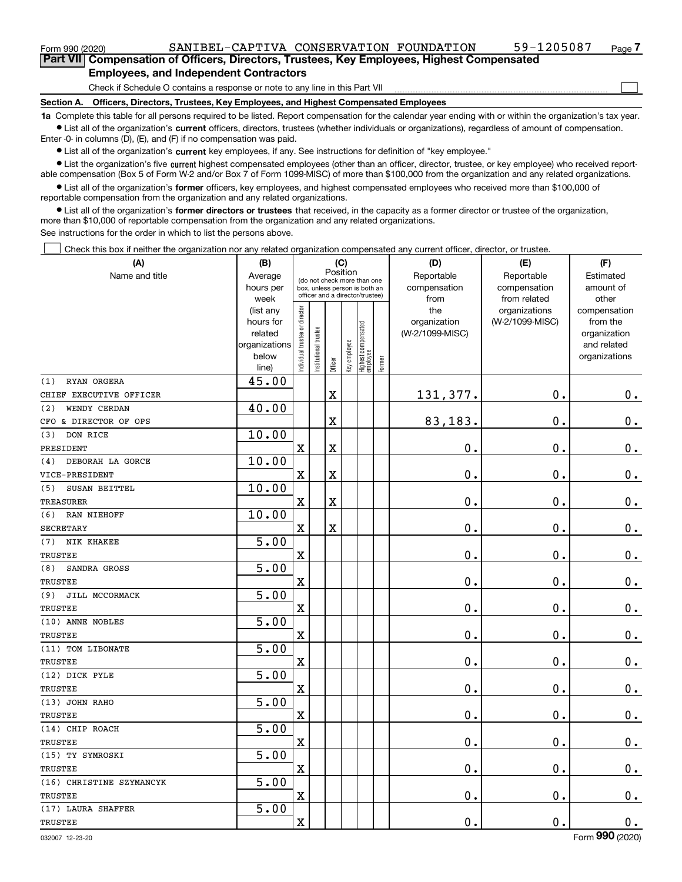$\mathcal{L}^{\text{max}}$ 

## **Employees, and Independent Contractors**

Check if Schedule O contains a response or note to any line in this Part VII

**Section A. Officers, Directors, Trustees, Key Employees, and Highest Compensated Employees**

**1a**  Complete this table for all persons required to be listed. Report compensation for the calendar year ending with or within the organization's tax year. **•** List all of the organization's current officers, directors, trustees (whether individuals or organizations), regardless of amount of compensation.

Enter -0- in columns (D), (E), and (F) if no compensation was paid.

 $\bullet$  List all of the organization's  $\,$ current key employees, if any. See instructions for definition of "key employee."

**•** List the organization's five current highest compensated employees (other than an officer, director, trustee, or key employee) who received reportable compensation (Box 5 of Form W-2 and/or Box 7 of Form 1099-MISC) of more than \$100,000 from the organization and any related organizations.

**•** List all of the organization's former officers, key employees, and highest compensated employees who received more than \$100,000 of reportable compensation from the organization and any related organizations.

**former directors or trustees**  ¥ List all of the organization's that received, in the capacity as a former director or trustee of the organization, more than \$10,000 of reportable compensation from the organization and any related organizations.

See instructions for the order in which to list the persons above.

Check this box if neither the organization nor any related organization compensated any current officer, director, or trustee.  $\mathcal{L}^{\text{max}}$ 

| (A)                      | (B)               | (C)<br>Position                |                                                                  |         |              |                                  |        | (D)             | (E)                           | (F)                            |  |  |
|--------------------------|-------------------|--------------------------------|------------------------------------------------------------------|---------|--------------|----------------------------------|--------|-----------------|-------------------------------|--------------------------------|--|--|
| Name and title           | Average           |                                | (do not check more than one                                      |         |              |                                  |        | Reportable      | Reportable                    | Estimated                      |  |  |
|                          | hours per         |                                | box, unless person is both an<br>officer and a director/trustee) |         |              |                                  |        | compensation    | compensation                  | amount of                      |  |  |
|                          | week<br>(list any |                                |                                                                  |         |              |                                  |        | from<br>the     | from related<br>organizations | other<br>compensation          |  |  |
|                          | hours for         |                                |                                                                  |         |              |                                  |        | organization    | (W-2/1099-MISC)               | from the                       |  |  |
|                          | related           |                                |                                                                  |         |              |                                  |        | (W-2/1099-MISC) |                               | organization                   |  |  |
|                          | organizations     |                                |                                                                  |         |              |                                  |        |                 |                               | and related                    |  |  |
|                          | below             | Individual trustee or director | Institutional trustee                                            | Officer | Key employee | Highest compensated<br> employee | Former |                 |                               | organizations                  |  |  |
| RYAN ORGERA<br>(1)       | line)<br>45.00    |                                |                                                                  |         |              |                                  |        |                 |                               |                                |  |  |
| CHIEF EXECUTIVE OFFICER  |                   |                                |                                                                  | X       |              |                                  |        | 131,377.        | 0.                            | $0_{.}$                        |  |  |
| (2)<br>WENDY CERDAN      | 40.00             |                                |                                                                  |         |              |                                  |        |                 |                               |                                |  |  |
| CFO & DIRECTOR OF OPS    |                   |                                |                                                                  | X       |              |                                  |        | 83,183.         | 0.                            | $0_{.}$                        |  |  |
| DON RICE<br>(3)          | 10.00             |                                |                                                                  |         |              |                                  |        |                 |                               |                                |  |  |
| PRESIDENT                |                   | $\mathbf x$                    |                                                                  | X       |              |                                  |        | $0$ .           | $\mathbf 0$ .                 | $0 \cdot$                      |  |  |
| DEBORAH LA GORCE<br>(4)  | 10.00             |                                |                                                                  |         |              |                                  |        |                 |                               |                                |  |  |
| VICE-PRESIDENT           |                   | $\mathbf X$                    |                                                                  | X       |              |                                  |        | $\mathbf 0$ .   | 0.                            | $\mathbf 0$ .                  |  |  |
| SUSAN BEITTEL<br>(5)     | 10.00             |                                |                                                                  |         |              |                                  |        |                 |                               |                                |  |  |
| <b>TREASURER</b>         |                   | $\mathbf X$                    |                                                                  | X       |              |                                  |        | $\mathbf 0$ .   | 0.                            | $0_{.}$                        |  |  |
| RAN NIEHOFF<br>(6)       | 10.00             |                                |                                                                  |         |              |                                  |        |                 |                               |                                |  |  |
| <b>SECRETARY</b>         |                   | $\mathbf X$                    |                                                                  | X       |              |                                  |        | $\mathbf 0$ .   | $\mathbf 0$ .                 | $0$ .                          |  |  |
| NIK KHAKEE<br>(7)        | $\overline{5.00}$ |                                |                                                                  |         |              |                                  |        |                 |                               |                                |  |  |
| TRUSTEE                  |                   | $\mathbf X$                    |                                                                  |         |              |                                  |        | 0.              | $\mathbf 0$ .                 | $0 \cdot$                      |  |  |
| (8)<br>SANDRA GROSS      | 5.00              |                                |                                                                  |         |              |                                  |        |                 |                               |                                |  |  |
| TRUSTEE                  |                   | $\mathbf x$                    |                                                                  |         |              |                                  |        | 0.              | $\mathbf 0$ .                 | $\mathbf 0$ .                  |  |  |
| (9)<br>JILL MCCORMACK    | 5.00              |                                |                                                                  |         |              |                                  |        |                 |                               |                                |  |  |
| TRUSTEE                  |                   | $\mathbf X$                    |                                                                  |         |              |                                  |        | $\mathbf 0$ .   | 0.                            | $0_{.}$                        |  |  |
| (10) ANNE NOBLES         | 5.00              |                                |                                                                  |         |              |                                  |        |                 |                               |                                |  |  |
| TRUSTEE                  |                   | $\mathbf x$                    |                                                                  |         |              |                                  |        | $\mathbf 0$ .   | $\mathbf 0$ .                 | $\mathbf 0$ .                  |  |  |
| (11) TOM LIBONATE        | 5.00              |                                |                                                                  |         |              |                                  |        |                 |                               |                                |  |  |
| TRUSTEE                  |                   | $\mathbf X$                    |                                                                  |         |              |                                  |        | 0.              | $\mathbf 0$ .                 | $\mathbf 0$ .                  |  |  |
| (12) DICK PYLE           | 5.00              |                                |                                                                  |         |              |                                  |        |                 |                               |                                |  |  |
| TRUSTEE                  |                   | $\mathbf X$                    |                                                                  |         |              |                                  |        | $\mathbf 0$ .   | $\mathbf 0$ .                 | $\mathbf 0$ .                  |  |  |
| (13) JOHN RAHO           | 5.00              |                                |                                                                  |         |              |                                  |        |                 |                               |                                |  |  |
| TRUSTEE                  |                   | $\mathbf X$                    |                                                                  |         |              |                                  |        | $\mathbf 0$ .   | $\mathbf 0$ .                 | $0$ .                          |  |  |
| (14) CHIP ROACH          | 5.00              |                                |                                                                  |         |              |                                  |        |                 |                               |                                |  |  |
| TRUSTEE                  |                   | $\mathbf x$                    |                                                                  |         |              |                                  |        | $\mathbf 0$ .   | $\mathbf 0$ .                 | $\mathbf 0$ .                  |  |  |
| (15) TY SYMROSKI         | 5.00              |                                |                                                                  |         |              |                                  |        |                 |                               |                                |  |  |
| TRUSTEE                  |                   | $\mathbf X$                    |                                                                  |         |              |                                  |        | 0.              | $\mathbf 0$ .                 | $\mathbf 0$ .                  |  |  |
| (16) CHRISTINE SZYMANCYK | 5.00              |                                |                                                                  |         |              |                                  |        |                 |                               |                                |  |  |
| TRUSTEE                  |                   | $\mathbf X$                    |                                                                  |         |              |                                  |        | 0.              | 0.                            | $0$ .                          |  |  |
| (17) LAURA SHAFFER       | 5.00              |                                |                                                                  |         |              |                                  |        |                 |                               |                                |  |  |
| TRUSTEE                  |                   | $\mathbf X$                    |                                                                  |         |              |                                  |        | $\mathbf 0$ .   | 0.                            | 0.<br>$\overline{\phantom{a}}$ |  |  |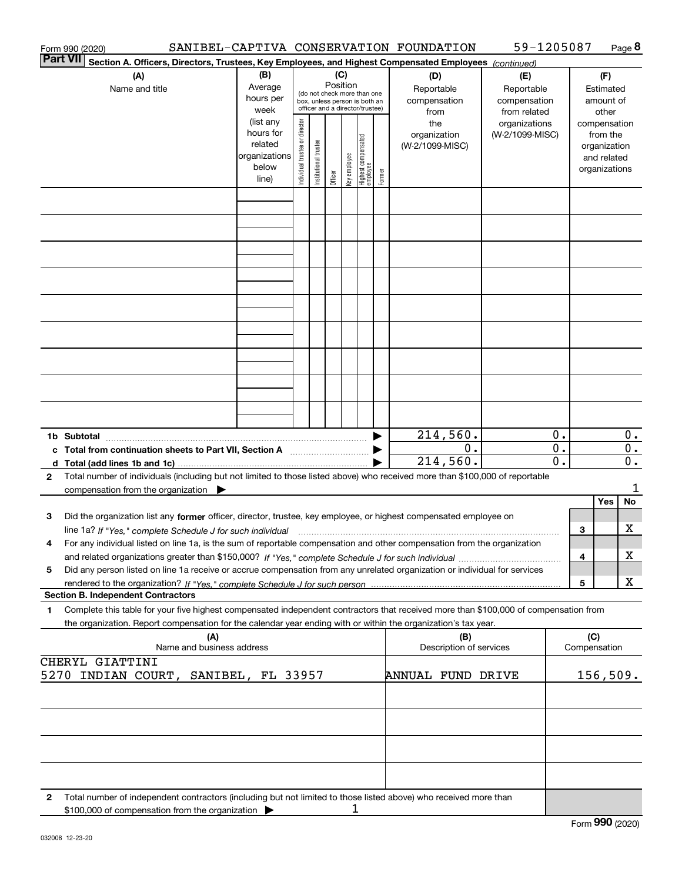| Form 990 (2020)                                                                                                                                                                        |                                                                      |                                   |                                                                                                                    |         |              |                                   |        | SANIBEL-CAPTIVA CONSERVATION FOUNDATION   | 59-1205087                                        |                  |     |                                                                          | Page 8                    |
|----------------------------------------------------------------------------------------------------------------------------------------------------------------------------------------|----------------------------------------------------------------------|-----------------------------------|--------------------------------------------------------------------------------------------------------------------|---------|--------------|-----------------------------------|--------|-------------------------------------------|---------------------------------------------------|------------------|-----|--------------------------------------------------------------------------|---------------------------|
| <b>Part VII</b><br>Section A. Officers, Directors, Trustees, Key Employees, and Highest Compensated Employees (continued)                                                              |                                                                      |                                   |                                                                                                                    |         |              |                                   |        |                                           |                                                   |                  |     |                                                                          |                           |
| (A)<br>Name and title                                                                                                                                                                  | (B)<br>Average<br>hours per<br>week                                  |                                   | (C)<br>Position<br>(do not check more than one<br>box, unless person is both an<br>officer and a director/trustee) |         |              |                                   |        | (D)<br>Reportable<br>compensation<br>from | (E)<br>Reportable<br>compensation<br>from related |                  |     | (F)<br>Estimated<br>amount of<br>other                                   |                           |
|                                                                                                                                                                                        | (list any<br>hours for<br>related<br>organizations<br>below<br>line) | director<br>Individual trustee or | Institutional trustee                                                                                              | Officer | key employee | Highest compensated<br>  employee | Former | the<br>organization<br>(W-2/1099-MISC)    | organizations<br>(W-2/1099-MISC)                  |                  |     | compensation<br>from the<br>organization<br>and related<br>organizations |                           |
|                                                                                                                                                                                        |                                                                      |                                   |                                                                                                                    |         |              |                                   |        |                                           |                                                   |                  |     |                                                                          |                           |
|                                                                                                                                                                                        |                                                                      |                                   |                                                                                                                    |         |              |                                   |        |                                           |                                                   |                  |     |                                                                          |                           |
|                                                                                                                                                                                        |                                                                      |                                   |                                                                                                                    |         |              |                                   |        |                                           |                                                   |                  |     |                                                                          |                           |
|                                                                                                                                                                                        |                                                                      |                                   |                                                                                                                    |         |              |                                   |        |                                           |                                                   |                  |     |                                                                          |                           |
|                                                                                                                                                                                        |                                                                      |                                   |                                                                                                                    |         |              |                                   |        |                                           |                                                   |                  |     |                                                                          |                           |
|                                                                                                                                                                                        |                                                                      |                                   |                                                                                                                    |         |              |                                   |        |                                           |                                                   |                  |     |                                                                          |                           |
|                                                                                                                                                                                        |                                                                      |                                   |                                                                                                                    |         |              |                                   |        |                                           |                                                   |                  |     |                                                                          |                           |
|                                                                                                                                                                                        |                                                                      |                                   |                                                                                                                    |         |              |                                   |        |                                           |                                                   |                  |     |                                                                          |                           |
|                                                                                                                                                                                        |                                                                      |                                   |                                                                                                                    |         |              |                                   |        |                                           |                                                   |                  |     |                                                                          |                           |
| 1b Subtotal                                                                                                                                                                            |                                                                      |                                   |                                                                                                                    |         |              |                                   |        | 214,560.                                  |                                                   | 0.               |     |                                                                          | $0$ .                     |
| c Total from continuation sheets to Part VII, Section A manufactured and response to Total from example.                                                                               |                                                                      |                                   |                                                                                                                    |         |              |                                   |        | 0.                                        |                                                   | $\overline{0}$ . |     |                                                                          | $\overline{0}$ .          |
| Total number of individuals (including but not limited to those listed above) who received more than \$100,000 of reportable<br>$\mathbf{2}$                                           |                                                                      |                                   |                                                                                                                    |         |              |                                   |        | 214,560.                                  |                                                   | $\overline{0}$ . |     |                                                                          | $\overline{\mathbf{0}}$ . |
| compensation from the organization $\blacktriangleright$                                                                                                                               |                                                                      |                                   |                                                                                                                    |         |              |                                   |        |                                           |                                                   |                  |     |                                                                          | 1                         |
|                                                                                                                                                                                        |                                                                      |                                   |                                                                                                                    |         |              |                                   |        |                                           |                                                   |                  |     | Yes                                                                      | No                        |
| Did the organization list any former officer, director, trustee, key employee, or highest compensated employee on<br>з                                                                 |                                                                      |                                   |                                                                                                                    |         |              |                                   |        |                                           |                                                   |                  | 3   |                                                                          | х                         |
| For any individual listed on line 1a, is the sum of reportable compensation and other compensation from the organization<br>4                                                          |                                                                      |                                   |                                                                                                                    |         |              |                                   |        |                                           |                                                   |                  |     |                                                                          |                           |
| Did any person listed on line 1a receive or accrue compensation from any unrelated organization or individual for services<br>5                                                        |                                                                      |                                   |                                                                                                                    |         |              |                                   |        |                                           |                                                   |                  | 4   |                                                                          | х                         |
|                                                                                                                                                                                        |                                                                      |                                   |                                                                                                                    |         |              |                                   |        |                                           |                                                   |                  | 5   |                                                                          | X                         |
| <b>Section B. Independent Contractors</b><br>Complete this table for your five highest compensated independent contractors that received more than \$100,000 of compensation from<br>1 |                                                                      |                                   |                                                                                                                    |         |              |                                   |        |                                           |                                                   |                  |     |                                                                          |                           |
| the organization. Report compensation for the calendar year ending with or within the organization's tax year.                                                                         |                                                                      |                                   |                                                                                                                    |         |              |                                   |        |                                           |                                                   |                  |     |                                                                          |                           |
| (A)<br>Name and business address                                                                                                                                                       |                                                                      |                                   |                                                                                                                    |         |              |                                   |        | (B)<br>Description of services            |                                                   |                  | (C) | Compensation                                                             |                           |
| CHERYL GIATTINI<br>5270 INDIAN COURT, SANIBEL, FL 33957                                                                                                                                |                                                                      |                                   |                                                                                                                    |         |              |                                   |        | ANNUAL FUND DRIVE                         |                                                   |                  |     |                                                                          | 156, 509.                 |
|                                                                                                                                                                                        |                                                                      |                                   |                                                                                                                    |         |              |                                   |        |                                           |                                                   |                  |     |                                                                          |                           |
|                                                                                                                                                                                        |                                                                      |                                   |                                                                                                                    |         |              |                                   |        |                                           |                                                   |                  |     |                                                                          |                           |
|                                                                                                                                                                                        |                                                                      |                                   |                                                                                                                    |         |              |                                   |        |                                           |                                                   |                  |     |                                                                          |                           |
|                                                                                                                                                                                        |                                                                      |                                   |                                                                                                                    |         |              |                                   |        |                                           |                                                   |                  |     |                                                                          |                           |
| Total number of independent contractors (including but not limited to those listed above) who received more than<br>2<br>\$100,000 of compensation from the organization               |                                                                      |                                   |                                                                                                                    |         | 1            |                                   |        |                                           |                                                   |                  |     |                                                                          |                           |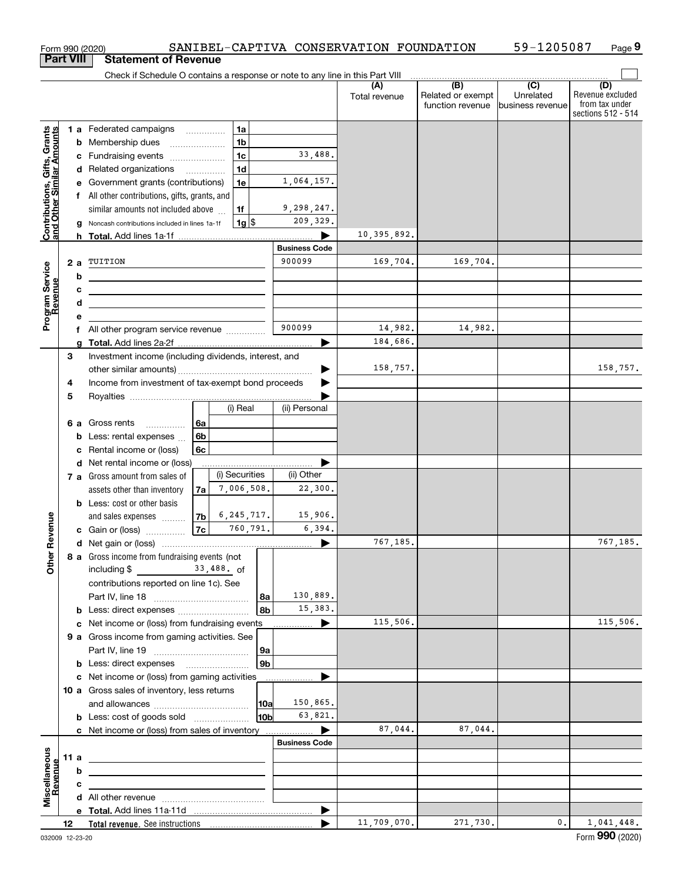|                                                           |                                                               |        | Form 990 (2020)                                                                                                          |                |                |                |                                | SANIBEL-CAPTIVA CONSERVATION FOUNDATION |                                                                                                                                                                                                                                                                                                                                                                                                                                                                                    | 59-1205087                     | Page 9                                                          |
|-----------------------------------------------------------|---------------------------------------------------------------|--------|--------------------------------------------------------------------------------------------------------------------------|----------------|----------------|----------------|--------------------------------|-----------------------------------------|------------------------------------------------------------------------------------------------------------------------------------------------------------------------------------------------------------------------------------------------------------------------------------------------------------------------------------------------------------------------------------------------------------------------------------------------------------------------------------|--------------------------------|-----------------------------------------------------------------|
|                                                           | <b>Part VIII</b>                                              |        | <b>Statement of Revenue</b>                                                                                              |                |                |                |                                |                                         |                                                                                                                                                                                                                                                                                                                                                                                                                                                                                    |                                |                                                                 |
|                                                           |                                                               |        | Check if Schedule O contains a response or note to any line in this Part VIII                                            |                |                |                |                                |                                         | $\begin{array}{c c c c c} \hline \textbf{(B)} & \textbf{(C)} & \textbf{(D)} & \textbf{(E)} & \textbf{(E)} & \textbf{(E)} & \textbf{(E)} & \textbf{(E)} & \textbf{(E)} & \textbf{(E)} & \textbf{(E)} & \textbf{(E)} & \textbf{(E)} & \textbf{(E)} & \textbf{(E)} & \textbf{(E)} & \textbf{(E)} & \textbf{(E)} & \textbf{(E)} & \textbf{(E)} & \textbf{(E)} & \textbf{(E)} & \textbf{(E)} & \textbf{(E)} & \textbf{(E)} & \textbf{(E)} & \textbf{(E)} & \textbf{(E)} & \textbf{(E)}$ |                                |                                                                 |
|                                                           |                                                               |        |                                                                                                                          |                |                |                |                                | (A)<br>Total revenue                    | Related or exempt<br>function revenue                                                                                                                                                                                                                                                                                                                                                                                                                                              | Unrelated<br> business revenue | (D)<br>Revenue excluded<br>from tax under<br>sections 512 - 514 |
|                                                           |                                                               |        | 1 a Federated campaigns                                                                                                  |                | 1a             |                |                                |                                         |                                                                                                                                                                                                                                                                                                                                                                                                                                                                                    |                                |                                                                 |
|                                                           |                                                               |        | <b>b</b> Membership dues<br>$\overline{\phantom{a}}$                                                                     |                | 1 <sub>b</sub> |                |                                |                                         |                                                                                                                                                                                                                                                                                                                                                                                                                                                                                    |                                |                                                                 |
| Contributions, Gifts, Grants<br>and Other Similar Amounts |                                                               |        | c Fundraising events                                                                                                     |                | 1 <sub>c</sub> |                | 33,488.                        |                                         |                                                                                                                                                                                                                                                                                                                                                                                                                                                                                    |                                |                                                                 |
|                                                           |                                                               |        | d Related organizations                                                                                                  |                | 1 <sub>d</sub> |                |                                |                                         |                                                                                                                                                                                                                                                                                                                                                                                                                                                                                    |                                |                                                                 |
|                                                           |                                                               |        | e Government grants (contributions)                                                                                      |                | 1e             |                | 1,064,157.                     |                                         |                                                                                                                                                                                                                                                                                                                                                                                                                                                                                    |                                |                                                                 |
|                                                           |                                                               |        | f All other contributions, gifts, grants, and                                                                            |                |                |                |                                |                                         |                                                                                                                                                                                                                                                                                                                                                                                                                                                                                    |                                |                                                                 |
|                                                           |                                                               |        | similar amounts not included above                                                                                       |                | 1f             |                | 9,298,247.                     |                                         |                                                                                                                                                                                                                                                                                                                                                                                                                                                                                    |                                |                                                                 |
|                                                           | $1g$ \$<br>Noncash contributions included in lines 1a-1f<br>g |        |                                                                                                                          |                |                |                | 209,329.                       |                                         |                                                                                                                                                                                                                                                                                                                                                                                                                                                                                    |                                |                                                                 |
|                                                           |                                                               |        |                                                                                                                          |                |                |                |                                | 10,395,892.                             |                                                                                                                                                                                                                                                                                                                                                                                                                                                                                    |                                |                                                                 |
|                                                           |                                                               |        |                                                                                                                          |                |                |                | <b>Business Code</b><br>900099 |                                         |                                                                                                                                                                                                                                                                                                                                                                                                                                                                                    |                                |                                                                 |
| Program Service<br>Revenue                                | 2a                                                            |        | TUITION                                                                                                                  |                |                |                |                                | 169,704.                                | 169,704.                                                                                                                                                                                                                                                                                                                                                                                                                                                                           |                                |                                                                 |
|                                                           |                                                               | b      | the contract of the contract of the contract of the contract of the contract of                                          |                |                |                |                                |                                         |                                                                                                                                                                                                                                                                                                                                                                                                                                                                                    |                                |                                                                 |
|                                                           |                                                               | с      | <u> 1980 - Andrea Stadt Britain, amerikansk politiker (</u>                                                              |                |                |                |                                |                                         |                                                                                                                                                                                                                                                                                                                                                                                                                                                                                    |                                |                                                                 |
|                                                           |                                                               | d<br>e | <u> 1989 - Johann Barn, mars ann an t-Amhair ann an t-Amhair ann an t-Amhair ann an t-Amhair ann an t-Amhair ann an </u> |                |                |                |                                |                                         |                                                                                                                                                                                                                                                                                                                                                                                                                                                                                    |                                |                                                                 |
|                                                           |                                                               |        | f All other program service revenue                                                                                      |                |                |                | 900099                         | 14,982.                                 | 14,982.                                                                                                                                                                                                                                                                                                                                                                                                                                                                            |                                |                                                                 |
|                                                           |                                                               | g      |                                                                                                                          |                |                |                |                                | 184,686.                                |                                                                                                                                                                                                                                                                                                                                                                                                                                                                                    |                                |                                                                 |
|                                                           | 3                                                             |        | Investment income (including dividends, interest, and                                                                    |                |                |                |                                |                                         |                                                                                                                                                                                                                                                                                                                                                                                                                                                                                    |                                |                                                                 |
|                                                           |                                                               |        |                                                                                                                          |                |                |                |                                | 158,757.                                |                                                                                                                                                                                                                                                                                                                                                                                                                                                                                    |                                | 158,757.                                                        |
|                                                           | 4                                                             |        | Income from investment of tax-exempt bond proceeds                                                                       |                |                |                |                                |                                         |                                                                                                                                                                                                                                                                                                                                                                                                                                                                                    |                                |                                                                 |
|                                                           | 5                                                             |        |                                                                                                                          |                |                |                |                                |                                         |                                                                                                                                                                                                                                                                                                                                                                                                                                                                                    |                                |                                                                 |
|                                                           |                                                               |        |                                                                                                                          |                | (i) Real       |                | (ii) Personal                  |                                         |                                                                                                                                                                                                                                                                                                                                                                                                                                                                                    |                                |                                                                 |
|                                                           |                                                               |        | 6 a Gross rents                                                                                                          | 6a             |                |                |                                |                                         |                                                                                                                                                                                                                                                                                                                                                                                                                                                                                    |                                |                                                                 |
|                                                           |                                                               | b      | Less: rental expenses                                                                                                    | 6 <sub>b</sub> |                |                |                                |                                         |                                                                                                                                                                                                                                                                                                                                                                                                                                                                                    |                                |                                                                 |
|                                                           |                                                               | c      | Rental income or (loss)                                                                                                  | 6с             |                |                |                                |                                         |                                                                                                                                                                                                                                                                                                                                                                                                                                                                                    |                                |                                                                 |
|                                                           |                                                               |        | d Net rental income or (loss)                                                                                            |                |                |                |                                |                                         |                                                                                                                                                                                                                                                                                                                                                                                                                                                                                    |                                |                                                                 |
|                                                           |                                                               |        | 7 a Gross amount from sales of                                                                                           |                | (i) Securities |                | (ii) Other                     |                                         |                                                                                                                                                                                                                                                                                                                                                                                                                                                                                    |                                |                                                                 |
|                                                           |                                                               |        | assets other than inventory                                                                                              | 7a             | 7,006,508.     |                | 22,300.                        |                                         |                                                                                                                                                                                                                                                                                                                                                                                                                                                                                    |                                |                                                                 |
|                                                           |                                                               |        | <b>b</b> Less: cost or other basis                                                                                       |                |                |                |                                |                                         |                                                                                                                                                                                                                                                                                                                                                                                                                                                                                    |                                |                                                                 |
|                                                           |                                                               |        | and sales expenses                                                                                                       | 7b             | 6, 245, 717.   |                | 15,906.                        |                                         |                                                                                                                                                                                                                                                                                                                                                                                                                                                                                    |                                |                                                                 |
| evenue                                                    |                                                               |        | c Gain or (loss)                                                                                                         | 7c             |                | 760,791.       | 6,394.                         |                                         |                                                                                                                                                                                                                                                                                                                                                                                                                                                                                    |                                |                                                                 |
|                                                           |                                                               |        |                                                                                                                          |                |                |                |                                | 767,185.                                |                                                                                                                                                                                                                                                                                                                                                                                                                                                                                    |                                | 767,185.                                                        |
| Other <sub>R</sub>                                        |                                                               |        | 8 a Gross income from fundraising events (not<br>including $\frac{2}{3}$ $\frac{33,488}{60}$ of                          |                |                |                |                                |                                         |                                                                                                                                                                                                                                                                                                                                                                                                                                                                                    |                                |                                                                 |
|                                                           |                                                               |        | contributions reported on line 1c). See                                                                                  |                |                |                |                                |                                         |                                                                                                                                                                                                                                                                                                                                                                                                                                                                                    |                                |                                                                 |
|                                                           |                                                               |        |                                                                                                                          |                |                | 8a             | 130,889.                       |                                         |                                                                                                                                                                                                                                                                                                                                                                                                                                                                                    |                                |                                                                 |
|                                                           |                                                               |        |                                                                                                                          |                |                | 8 <sub>b</sub> | 15,383.                        |                                         |                                                                                                                                                                                                                                                                                                                                                                                                                                                                                    |                                |                                                                 |
|                                                           |                                                               |        | c Net income or (loss) from fundraising events                                                                           |                |                |                | ▶                              | 115,506.                                |                                                                                                                                                                                                                                                                                                                                                                                                                                                                                    |                                | 115,506.                                                        |
|                                                           |                                                               |        | 9 a Gross income from gaming activities. See                                                                             |                |                |                |                                |                                         |                                                                                                                                                                                                                                                                                                                                                                                                                                                                                    |                                |                                                                 |
|                                                           |                                                               |        |                                                                                                                          |                |                | 9a             |                                |                                         |                                                                                                                                                                                                                                                                                                                                                                                                                                                                                    |                                |                                                                 |
|                                                           |                                                               |        | <b>b</b> Less: direct expenses <b>manually</b>                                                                           |                |                | 9 <sub>b</sub> |                                |                                         |                                                                                                                                                                                                                                                                                                                                                                                                                                                                                    |                                |                                                                 |
|                                                           |                                                               |        | c Net income or (loss) from gaming activities                                                                            |                |                |                | .                              |                                         |                                                                                                                                                                                                                                                                                                                                                                                                                                                                                    |                                |                                                                 |
|                                                           |                                                               |        | 10 a Gross sales of inventory, less returns                                                                              |                |                |                |                                |                                         |                                                                                                                                                                                                                                                                                                                                                                                                                                                                                    |                                |                                                                 |
|                                                           |                                                               |        |                                                                                                                          |                |                | 10a            | 150,865.                       |                                         |                                                                                                                                                                                                                                                                                                                                                                                                                                                                                    |                                |                                                                 |
|                                                           |                                                               |        | <b>b</b> Less: cost of goods sold                                                                                        |                |                | 10bl           | 63,821.                        |                                         |                                                                                                                                                                                                                                                                                                                                                                                                                                                                                    |                                |                                                                 |
|                                                           |                                                               |        | c Net income or (loss) from sales of inventory                                                                           |                |                |                | ▶                              | 87,044.                                 | 87,044.                                                                                                                                                                                                                                                                                                                                                                                                                                                                            |                                |                                                                 |
|                                                           |                                                               |        |                                                                                                                          |                |                |                | <b>Business Code</b>           |                                         |                                                                                                                                                                                                                                                                                                                                                                                                                                                                                    |                                |                                                                 |
|                                                           | 11 a                                                          |        | <u> 1989 - Johann Stein, marwolaethau a bhann an t-Amhain an t-Amhain an t-Amhain an t-Amhain an t-Amhain an t-A</u>     |                |                |                |                                |                                         |                                                                                                                                                                                                                                                                                                                                                                                                                                                                                    |                                |                                                                 |
| evenue                                                    |                                                               | b      |                                                                                                                          |                |                |                |                                |                                         |                                                                                                                                                                                                                                                                                                                                                                                                                                                                                    |                                |                                                                 |
| Miscellaneous                                             |                                                               | c      | the control of the control of the control of the control of the control of the control of                                |                |                |                |                                |                                         |                                                                                                                                                                                                                                                                                                                                                                                                                                                                                    |                                |                                                                 |
|                                                           |                                                               |        |                                                                                                                          |                |                |                |                                |                                         |                                                                                                                                                                                                                                                                                                                                                                                                                                                                                    |                                |                                                                 |
|                                                           | 12                                                            |        |                                                                                                                          |                |                |                | ▶<br>▶                         | 11,709,070.                             | 271,730.                                                                                                                                                                                                                                                                                                                                                                                                                                                                           | 0.                             | 1,041,448.                                                      |
|                                                           |                                                               |        |                                                                                                                          |                |                |                |                                |                                         |                                                                                                                                                                                                                                                                                                                                                                                                                                                                                    |                                |                                                                 |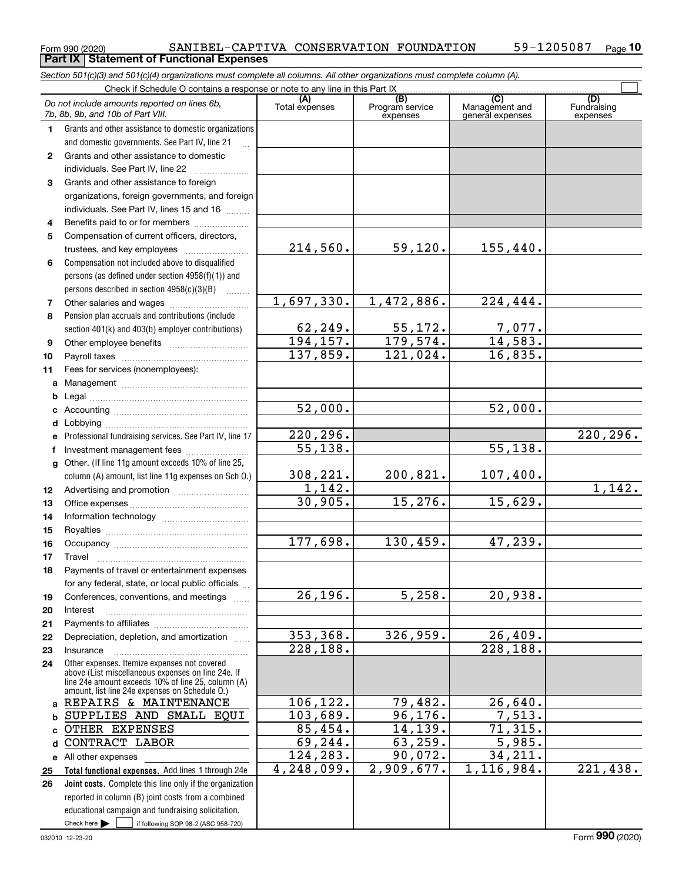**24**

**25 26**

|              | SANIBEL-CAPTIVA CONSERVATION FOUNDATION<br>Form 990 (2020)                                                                 |                       |                             |                          | 59-1205087<br>$P_{\text{aqe}}$ 10 |
|--------------|----------------------------------------------------------------------------------------------------------------------------|-----------------------|-----------------------------|--------------------------|-----------------------------------|
|              | <b>Statement of Functional Expenses</b><br><b>Part IX</b>                                                                  |                       |                             |                          |                                   |
|              | Section 501(c)(3) and 501(c)(4) organizations must complete all columns. All other organizations must complete column (A). |                       |                             |                          |                                   |
|              | Check if Schedule O contains a response or note to any line in this Part IX                                                | (A)                   | $\overline{(B)}$            | (C)                      | (D)                               |
|              | Do not include amounts reported on lines 6b,<br>7b, 8b, 9b, and 10b of Part VIII.                                          | Total expenses        | Program service<br>expenses | Management and           | Fundraising                       |
| 1.           | Grants and other assistance to domestic organizations                                                                      |                       |                             | general expenses         | expenses                          |
|              | and domestic governments. See Part IV, line 21                                                                             |                       |                             |                          |                                   |
| $\mathbf{2}$ | Grants and other assistance to domestic                                                                                    |                       |                             |                          |                                   |
|              | individuals. See Part IV, line 22                                                                                          |                       |                             |                          |                                   |
| 3            | Grants and other assistance to foreign                                                                                     |                       |                             |                          |                                   |
|              | organizations, foreign governments, and foreign                                                                            |                       |                             |                          |                                   |
|              | individuals. See Part IV, lines 15 and 16                                                                                  |                       |                             |                          |                                   |
| 4            | Benefits paid to or for members                                                                                            |                       |                             |                          |                                   |
| 5            | Compensation of current officers, directors,                                                                               |                       |                             |                          |                                   |
|              |                                                                                                                            | 214,560.              | 59,120.                     | 155,440.                 |                                   |
| 6            | Compensation not included above to disqualified                                                                            |                       |                             |                          |                                   |
|              | persons (as defined under section 4958(f)(1)) and                                                                          |                       |                             |                          |                                   |
|              | persons described in section 4958(c)(3)(B)                                                                                 |                       |                             |                          |                                   |
| 7            |                                                                                                                            | 1,697,330.            | 1,472,886.                  | $\overline{224,444}$ .   |                                   |
| 8            | Pension plan accruals and contributions (include                                                                           |                       |                             |                          |                                   |
|              | section 401(k) and 403(b) employer contributions)                                                                          | 62,249.               | 55,172.<br>179,574.         | $\frac{7,077.}{14,583.}$ |                                   |
| 9            |                                                                                                                            | 194, 157.<br>137,859. | 121,024.                    | 16,835.                  |                                   |
| 10           |                                                                                                                            |                       |                             |                          |                                   |
| 11           | Fees for services (nonemployees):                                                                                          |                       |                             |                          |                                   |
| a<br>b       |                                                                                                                            |                       |                             |                          |                                   |
|              |                                                                                                                            | 52,000.               |                             | $\overline{52}$ , 000.   |                                   |
|              |                                                                                                                            |                       |                             |                          |                                   |
| е            | Professional fundraising services. See Part IV, line 17                                                                    | 220, 296.             |                             |                          | 220, 296.                         |
| f            | Investment management fees                                                                                                 | 55, 138.              |                             | $\overline{55,138}$ .    |                                   |
| g            | Other. (If line 11g amount exceeds 10% of line 25,                                                                         |                       |                             |                          |                                   |
|              | column (A) amount, list line 11g expenses on Sch O.)                                                                       | 308,221.              | 200,821.                    | 107,400.                 |                                   |
| 12           |                                                                                                                            | $\overline{1,142}$ .  |                             |                          | 1,142.                            |
| 13           |                                                                                                                            | 30,905.               | 15,276.                     | 15,629.                  |                                   |
| 14           |                                                                                                                            |                       |                             |                          |                                   |
| 15           |                                                                                                                            |                       |                             |                          |                                   |
| 16           |                                                                                                                            | 177,698.              | 130,459.                    | 47,239.                  |                                   |
| 17           | Travel                                                                                                                     |                       |                             |                          |                                   |
| 18           | Payments of travel or entertainment expenses                                                                               |                       |                             |                          |                                   |
|              | for any federal, state, or local public officials                                                                          | 26, 196.              | 5,258.                      | 20,938.                  |                                   |
| 19<br>20     | Conferences, conventions, and meetings<br>Interest                                                                         |                       |                             |                          |                                   |
| 21           |                                                                                                                            |                       |                             |                          |                                   |
| 22           | Depreciation, depletion, and amortization                                                                                  | 353,368.              | 326, 959.                   | 26,409.                  |                                   |
| 23           | Insurance                                                                                                                  | 228, 188.             |                             | $\overline{228,188}$ .   |                                   |

Check here  $\bullet$  if following SOP 98-2 (ASC 958-720) **Total functional expenses.**  Add lines 1 through 24e **Joint costs.** Complete this line only if the organization **a**REPAIRS & MAINTENANCE **bcd**CONTRACT LABOR **e** All other expenses Other expenses. Itemize expenses not covered above (List miscellaneous expenses on line 24e. If line 24e amount exceeds 10% of line 25, column (A) amount, list line 24e expenses on Schedule O.) reported in column (B) joint costs from a combined educational campaign and fundraising solicitation. Check here  $\blacktriangleright$ 106,122. 103,689. 85,454. 69,244. 124,283. 4,248,099. 79,482. 26,640. 96,176. 7,513. 14,139. 71,315. 63,259. 5,985. 90,072. 34,211. 2,909,677. 1,116,984. 221,438. SUPPLIES AND SMALL EQUI OTHER EXPENSES

Form (2020) **990**

**10**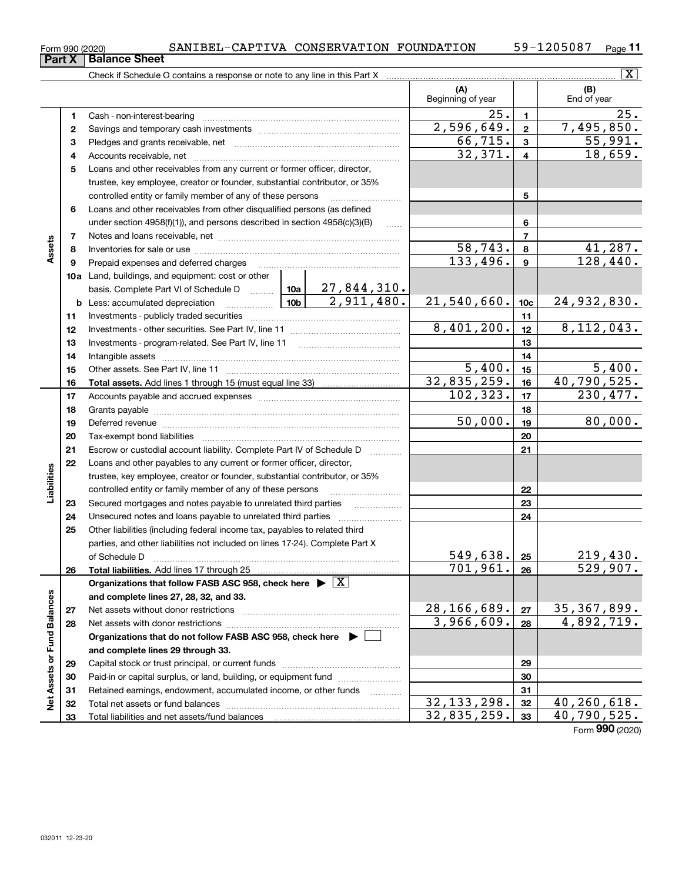| ----- |                      |  |                                                                                 |  |  |
|-------|----------------------|--|---------------------------------------------------------------------------------|--|--|
|       | <b>Balance Sheet</b> |  |                                                                                 |  |  |
|       |                      |  | Chack if Schodule $\cap$ contains a response or note to any line in this Part Y |  |  |

| Form 990 (2020) |                               |  | SANIBEL-CAPTIVA CONSERVATION FOUNDATION | 59-1205087 | $P$ age |
|-----------------|-------------------------------|--|-----------------------------------------|------------|---------|
|                 | <b>Part X   Balance Sheet</b> |  |                                         |            |         |

|                             |    |                                                                                                                                                                                                                                |                     |                          |                         | $\mathbf{X}$                |
|-----------------------------|----|--------------------------------------------------------------------------------------------------------------------------------------------------------------------------------------------------------------------------------|---------------------|--------------------------|-------------------------|-----------------------------|
|                             |    |                                                                                                                                                                                                                                |                     | (A)<br>Beginning of year |                         | (B)<br>End of year          |
|                             | 1  |                                                                                                                                                                                                                                |                     | 25.                      | $\mathbf{1}$            | $\overline{25}$ .           |
|                             | 2  |                                                                                                                                                                                                                                |                     | 2,596,649.               | $\mathbf{2}$            | 7,495,850.                  |
|                             | з  |                                                                                                                                                                                                                                |                     | 66, 715.                 | $\mathbf{3}$            | 55,991.                     |
|                             | 4  |                                                                                                                                                                                                                                |                     | 32,371.                  | $\overline{\mathbf{4}}$ | 18,659.                     |
|                             | 5  | Loans and other receivables from any current or former officer, director,                                                                                                                                                      |                     |                          |                         |                             |
|                             |    | trustee, key employee, creator or founder, substantial contributor, or 35%                                                                                                                                                     |                     |                          |                         |                             |
|                             |    | controlled entity or family member of any of these persons                                                                                                                                                                     |                     |                          | 5                       |                             |
|                             | 6  | Loans and other receivables from other disqualified persons (as defined                                                                                                                                                        |                     |                          |                         |                             |
|                             |    | under section $4958(f)(1)$ , and persons described in section $4958(c)(3)(B)$                                                                                                                                                  | $\ldots$            |                          | 6                       |                             |
|                             | 7  |                                                                                                                                                                                                                                |                     | $\overline{7}$           |                         |                             |
| Assets                      | 8  |                                                                                                                                                                                                                                | 58, 743.            | 8                        | 41,287.                 |                             |
|                             | 9  | Prepaid expenses and deferred charges                                                                                                                                                                                          |                     | 133,496.                 | $\boldsymbol{9}$        | 128,440.                    |
|                             |    | <b>10a</b> Land, buildings, and equipment: cost or other                                                                                                                                                                       |                     |                          |                         |                             |
|                             |    | basis. Complete Part VI of Schedule D                                                                                                                                                                                          | $10a$ $27,844,310.$ |                          |                         |                             |
|                             |    | <b>b</b> Less: accumulated depreciation<br>. 1                                                                                                                                                                                 | $10b$ 2, 911, 480.  | 21,540,660.              | 10 <sub>c</sub>         | 24,932,830.                 |
|                             | 11 |                                                                                                                                                                                                                                |                     | 11                       |                         |                             |
|                             | 12 |                                                                                                                                                                                                                                | 8,401,200.          | 12                       | 8, 112, 043.            |                             |
|                             | 13 |                                                                                                                                                                                                                                |                     | 13                       |                         |                             |
|                             | 14 |                                                                                                                                                                                                                                |                     | 14                       |                         |                             |
|                             | 15 |                                                                                                                                                                                                                                | 5,400.              | 15                       | 5,400.                  |                             |
|                             | 16 |                                                                                                                                                                                                                                | 32,835,259.         | 16                       | 40,790,525.             |                             |
|                             | 17 |                                                                                                                                                                                                                                | 102, 323.           | 17                       | 230,477.                |                             |
|                             | 18 |                                                                                                                                                                                                                                |                     | 18                       |                         |                             |
|                             | 19 | Deferred revenue manual contracts and contracts are all the manual contracts and contracts are contracted and contracts are contracted and contract are contracted and contract are contracted and contract are contracted and | 50,000.             | 19                       | 80,000.                 |                             |
|                             | 20 |                                                                                                                                                                                                                                |                     |                          | 20                      |                             |
|                             | 21 | Escrow or custodial account liability. Complete Part IV of Schedule D                                                                                                                                                          |                     |                          | 21                      |                             |
|                             | 22 | Loans and other payables to any current or former officer, director,                                                                                                                                                           |                     |                          |                         |                             |
| Liabilities                 |    | trustee, key employee, creator or founder, substantial contributor, or 35%                                                                                                                                                     |                     |                          |                         |                             |
|                             |    | controlled entity or family member of any of these persons                                                                                                                                                                     |                     |                          | 22                      |                             |
|                             | 23 | Secured mortgages and notes payable to unrelated third parties                                                                                                                                                                 |                     |                          | 23                      |                             |
|                             | 24 |                                                                                                                                                                                                                                |                     |                          | 24                      |                             |
|                             | 25 | Other liabilities (including federal income tax, payables to related third                                                                                                                                                     |                     |                          |                         |                             |
|                             |    | parties, and other liabilities not included on lines 17-24). Complete Part X                                                                                                                                                   |                     |                          |                         |                             |
|                             |    | of Schedule D                                                                                                                                                                                                                  | 549,638.            | 25                       | 219,430.                |                             |
|                             | 26 | Total liabilities. Add lines 17 through 25                                                                                                                                                                                     |                     | 701,961.                 | 26                      | 529,907.                    |
|                             |    | Organizations that follow FASB ASC 958, check here $\blacktriangleright \lfloor X \rfloor$                                                                                                                                     |                     |                          |                         |                             |
|                             |    | and complete lines 27, 28, 32, and 33.                                                                                                                                                                                         |                     |                          |                         |                             |
|                             | 27 |                                                                                                                                                                                                                                | 28,166,689.         | 27                       | 35, 367, 899.           |                             |
|                             | 28 |                                                                                                                                                                                                                                | 3,966,609.          | 28                       | 4,892,719.              |                             |
|                             |    | Organizations that do not follow FASB ASC 958, check here $\blacktriangleright$                                                                                                                                                |                     |                          |                         |                             |
| Net Assets or Fund Balances |    | and complete lines 29 through 33.                                                                                                                                                                                              |                     |                          |                         |                             |
|                             | 29 |                                                                                                                                                                                                                                |                     |                          | 29                      |                             |
|                             | 30 | Paid-in or capital surplus, or land, building, or equipment fund                                                                                                                                                               |                     |                          | 30                      |                             |
|                             | 31 | Retained earnings, endowment, accumulated income, or other funds                                                                                                                                                               |                     |                          | 31                      |                             |
|                             | 32 |                                                                                                                                                                                                                                |                     | 32, 133, 298.            | 32                      | 40,260,618.                 |
|                             | 33 |                                                                                                                                                                                                                                |                     | 32,835,259.              | 33                      | $\overline{40}$ , 790, 525. |

Form (2020) **990**

**Part X Balance B**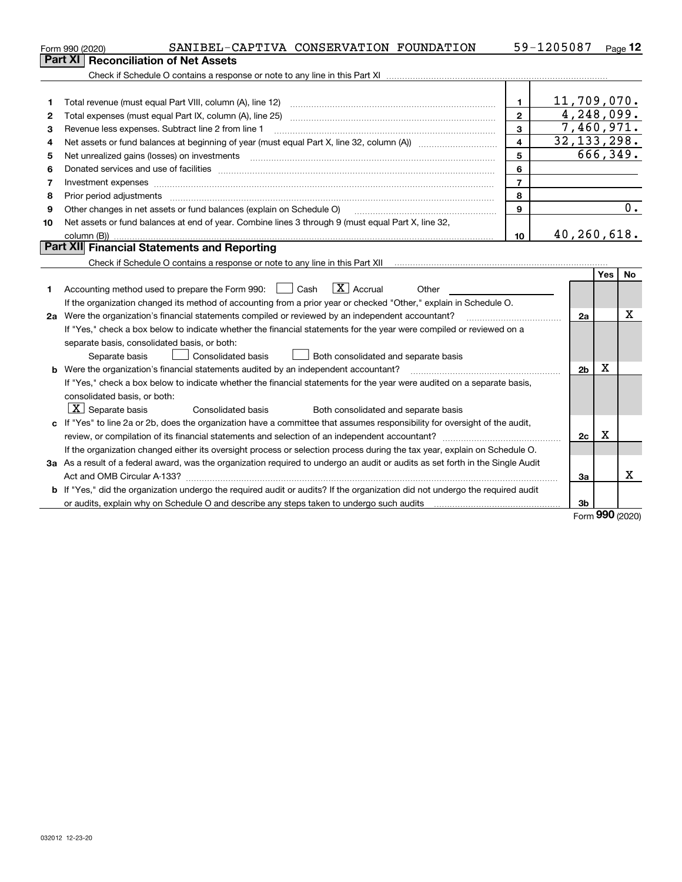|    | Form 990 (2020) | SANIBEL-CAPTIVA CONSERVATION FOUNDATION                                                                                 |                                      |       |                | 59-1205087     |     | <u>Page</u> 12 |
|----|-----------------|-------------------------------------------------------------------------------------------------------------------------|--------------------------------------|-------|----------------|----------------|-----|----------------|
|    |                 | <b>Part XI Reconciliation of Net Assets</b>                                                                             |                                      |       |                |                |     |                |
|    |                 |                                                                                                                         |                                      |       |                |                |     |                |
|    |                 |                                                                                                                         |                                      |       |                |                |     |                |
|    |                 |                                                                                                                         |                                      |       | $\blacksquare$ | 11,709,070.    |     |                |
| 2  |                 |                                                                                                                         |                                      |       | $\overline{2}$ | 4,248,099.     |     |                |
| 3  |                 | Revenue less expenses. Subtract line 2 from line 1                                                                      |                                      |       | $\overline{3}$ | 7,460,971.     |     |                |
| 4  |                 |                                                                                                                         |                                      |       | $\overline{4}$ | 32, 133, 298.  |     |                |
| 5  |                 |                                                                                                                         |                                      |       | 5              |                |     | 666,349.       |
| 6  |                 |                                                                                                                         |                                      |       | 6              |                |     |                |
| 7  |                 | Investment expenses www.communication.com/www.communication.com/www.communication.com/www.com/www.com/www.com/          |                                      |       | $\overline{7}$ |                |     |                |
| 8  |                 | Prior period adjustments www.communication.communication.communication.com/                                             |                                      |       | 8              |                |     |                |
| 9  |                 | Other changes in net assets or fund balances (explain on Schedule O)                                                    |                                      |       | 9              |                |     | 0.             |
| 10 |                 | Net assets or fund balances at end of year. Combine lines 3 through 9 (must equal Part X, line 32,                      |                                      |       |                |                |     |                |
|    |                 |                                                                                                                         |                                      |       | 10             | 40,260,618.    |     |                |
|    |                 | <b>Part XII</b> Financial Statements and Reporting                                                                      |                                      |       |                |                |     |                |
|    |                 |                                                                                                                         |                                      |       |                |                |     |                |
|    |                 |                                                                                                                         |                                      |       |                |                | Yes | <b>No</b>      |
|    |                 | Accounting method used to prepare the Form 990: $\Box$ Cash $\Box X$ Accrual                                            |                                      | Other |                |                |     |                |
|    |                 | If the organization changed its method of accounting from a prior year or checked "Other," explain in Schedule O.       |                                      |       |                |                |     |                |
|    |                 | 2a Were the organization's financial statements compiled or reviewed by an independent accountant?                      |                                      |       |                | 2a             |     | x              |
|    |                 | If "Yes," check a box below to indicate whether the financial statements for the year were compiled or reviewed on a    |                                      |       |                |                |     |                |
|    |                 | separate basis, consolidated basis, or both:                                                                            |                                      |       |                |                |     |                |
|    | Separate basis  | Consolidated basis                                                                                                      | Both consolidated and separate basis |       |                |                |     |                |
|    |                 | <b>b</b> Were the organization's financial statements audited by an independent accountant?                             |                                      |       |                | 2 <sub>b</sub> | х   |                |
|    |                 | If "Yes," check a box below to indicate whether the financial statements for the year were audited on a separate basis, |                                      |       |                |                |     |                |

**2c**

**3a**

**3b**

Form (2020) **990**

X

X

**3a**As a result of a federal award, was the organization required to undergo an audit or audits as set forth in the Single Audit

**b** If "Yes," did the organization undergo the required audit or audits? If the organization did not undergo the required audit

or audits, explain why on Schedule O and describe any steps taken to undergo such audits

**c**If "Yes" to line 2a or 2b, does the organization have a committee that assumes responsibility for oversight of the audit,

Consolidated basis **Both consolidated and separate basis** 

review, or compilation of its financial statements and selection of an independent accountant? ~~~~~~~~~~~~~~~ If the organization changed either its oversight process or selection process during the tax year, explain on Schedule O.

Act and OMB Circular A-133?  $\ldots$   $\ldots$   $\ldots$   $\ldots$   $\ldots$   $\ldots$   $\ldots$   $\ldots$   $\ldots$   $\ldots$   $\ldots$   $\ldots$   $\ldots$   $\ldots$   $\ldots$   $\ldots$   $\ldots$   $\ldots$   $\ldots$   $\ldots$   $\ldots$   $\ldots$   $\ldots$   $\ldots$   $\ldots$   $\ldots$   $\ldots$   $\ldots$   $\ldots$   $\ldots$   $\ldots$   $\ldots$   $\$ 

consolidated basis, or both:

 $\overline{X}$  Separate basis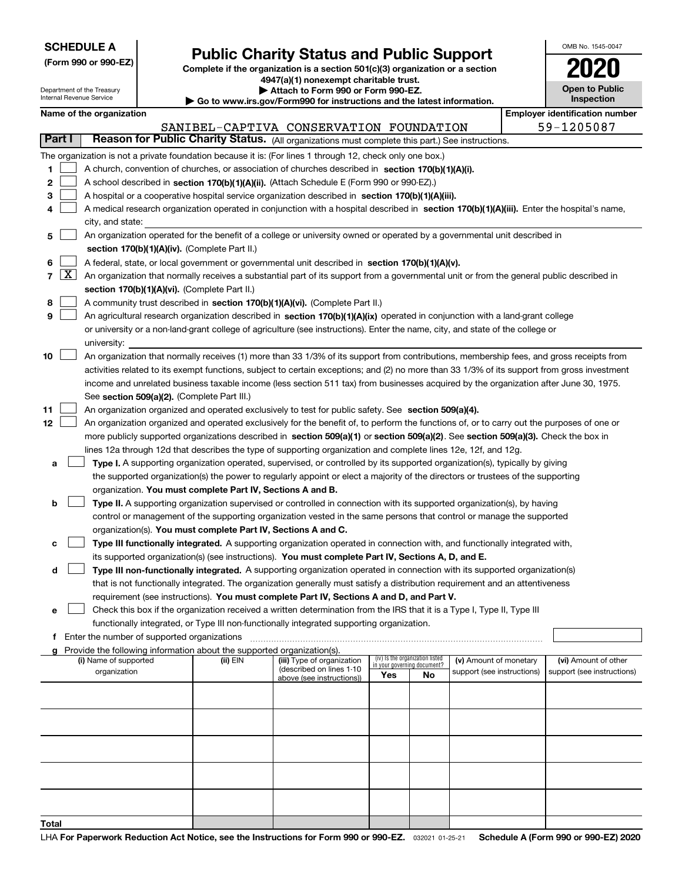|--|

**(Form 990 or 990-EZ)**

# **Public Charity Status and Public Support**

**Complete if the organization is a section 501(c)(3) organization or a section 4947(a)(1) nonexempt charitable trust. | Attach to Form 990 or Form 990-EZ.** 

| www.irs.gov/Form990 for instructions and the latest information. |  |
|------------------------------------------------------------------|--|

| OMB No 1545-0047                    |
|-------------------------------------|
| 2020                                |
| <b>Open to Public</b><br>Inspection |

|                                                                                                            |                                                       | Department of the Treasury<br>Internal Revenue Service            |                                             |                                                                        | ▶ Attach to Form 990 or Form 990-EZ.<br>Go to www.irs.gov/Form990 for instructions and the latest information.                                                                                                                                                                                                                                                                                                                                                                                                                                                     |                             |                                 |                            |  | <b>Open to Public</b><br>Inspection |
|------------------------------------------------------------------------------------------------------------|-------------------------------------------------------|-------------------------------------------------------------------|---------------------------------------------|------------------------------------------------------------------------|--------------------------------------------------------------------------------------------------------------------------------------------------------------------------------------------------------------------------------------------------------------------------------------------------------------------------------------------------------------------------------------------------------------------------------------------------------------------------------------------------------------------------------------------------------------------|-----------------------------|---------------------------------|----------------------------|--|-------------------------------------|
|                                                                                                            |                                                       | Name of the organization<br><b>Employer identification number</b> |                                             |                                                                        |                                                                                                                                                                                                                                                                                                                                                                                                                                                                                                                                                                    |                             |                                 |                            |  |                                     |
|                                                                                                            | 59-1205087<br>SANIBEL-CAPTIVA CONSERVATION FOUNDATION |                                                                   |                                             |                                                                        |                                                                                                                                                                                                                                                                                                                                                                                                                                                                                                                                                                    |                             |                                 |                            |  |                                     |
| Part I<br>Reason for Public Charity Status. (All organizations must complete this part.) See instructions. |                                                       |                                                                   |                                             |                                                                        |                                                                                                                                                                                                                                                                                                                                                                                                                                                                                                                                                                    |                             |                                 |                            |  |                                     |
| 1<br>2<br>з<br>4                                                                                           |                                                       | city, and state:                                                  |                                             |                                                                        | The organization is not a private foundation because it is: (For lines 1 through 12, check only one box.)<br>A church, convention of churches, or association of churches described in section 170(b)(1)(A)(i).<br>A school described in section 170(b)(1)(A)(ii). (Attach Schedule E (Form 990 or 990-EZ).)<br>A hospital or a cooperative hospital service organization described in section $170(b)(1)(A)(iii)$ .<br>A medical research organization operated in conjunction with a hospital described in section 170(b)(1)(A)(iii). Enter the hospital's name, |                             |                                 |                            |  |                                     |
| 5                                                                                                          |                                                       |                                                                   |                                             |                                                                        | An organization operated for the benefit of a college or university owned or operated by a governmental unit described in                                                                                                                                                                                                                                                                                                                                                                                                                                          |                             |                                 |                            |  |                                     |
|                                                                                                            |                                                       |                                                                   |                                             | section 170(b)(1)(A)(iv). (Complete Part II.)                          |                                                                                                                                                                                                                                                                                                                                                                                                                                                                                                                                                                    |                             |                                 |                            |  |                                     |
| 6                                                                                                          |                                                       |                                                                   |                                             |                                                                        | A federal, state, or local government or governmental unit described in section 170(b)(1)(A)(v).                                                                                                                                                                                                                                                                                                                                                                                                                                                                   |                             |                                 |                            |  |                                     |
|                                                                                                            | $7 \times$                                            |                                                                   |                                             |                                                                        | An organization that normally receives a substantial part of its support from a governmental unit or from the general public described in                                                                                                                                                                                                                                                                                                                                                                                                                          |                             |                                 |                            |  |                                     |
|                                                                                                            |                                                       |                                                                   |                                             | section 170(b)(1)(A)(vi). (Complete Part II.)                          |                                                                                                                                                                                                                                                                                                                                                                                                                                                                                                                                                                    |                             |                                 |                            |  |                                     |
| 8                                                                                                          |                                                       |                                                                   |                                             |                                                                        | A community trust described in section 170(b)(1)(A)(vi). (Complete Part II.)                                                                                                                                                                                                                                                                                                                                                                                                                                                                                       |                             |                                 |                            |  |                                     |
| 9                                                                                                          |                                                       |                                                                   |                                             |                                                                        | An agricultural research organization described in section 170(b)(1)(A)(ix) operated in conjunction with a land-grant college                                                                                                                                                                                                                                                                                                                                                                                                                                      |                             |                                 |                            |  |                                     |
|                                                                                                            |                                                       |                                                                   |                                             |                                                                        | or university or a non-land-grant college of agriculture (see instructions). Enter the name, city, and state of the college or                                                                                                                                                                                                                                                                                                                                                                                                                                     |                             |                                 |                            |  |                                     |
|                                                                                                            |                                                       | university:                                                       |                                             |                                                                        |                                                                                                                                                                                                                                                                                                                                                                                                                                                                                                                                                                    |                             |                                 |                            |  |                                     |
| 10                                                                                                         |                                                       |                                                                   |                                             |                                                                        | An organization that normally receives (1) more than 33 1/3% of its support from contributions, membership fees, and gross receipts from                                                                                                                                                                                                                                                                                                                                                                                                                           |                             |                                 |                            |  |                                     |
|                                                                                                            |                                                       |                                                                   |                                             |                                                                        | activities related to its exempt functions, subject to certain exceptions; and (2) no more than 33 1/3% of its support from gross investment<br>income and unrelated business taxable income (less section 511 tax) from businesses acquired by the organization after June 30, 1975.                                                                                                                                                                                                                                                                              |                             |                                 |                            |  |                                     |
|                                                                                                            |                                                       |                                                                   |                                             | See section 509(a)(2). (Complete Part III.)                            |                                                                                                                                                                                                                                                                                                                                                                                                                                                                                                                                                                    |                             |                                 |                            |  |                                     |
| 11                                                                                                         |                                                       |                                                                   |                                             |                                                                        | An organization organized and operated exclusively to test for public safety. See section 509(a)(4).                                                                                                                                                                                                                                                                                                                                                                                                                                                               |                             |                                 |                            |  |                                     |
| 12                                                                                                         |                                                       |                                                                   |                                             |                                                                        | An organization organized and operated exclusively for the benefit of, to perform the functions of, or to carry out the purposes of one or                                                                                                                                                                                                                                                                                                                                                                                                                         |                             |                                 |                            |  |                                     |
|                                                                                                            |                                                       |                                                                   |                                             |                                                                        | more publicly supported organizations described in section 509(a)(1) or section 509(a)(2). See section 509(a)(3). Check the box in                                                                                                                                                                                                                                                                                                                                                                                                                                 |                             |                                 |                            |  |                                     |
|                                                                                                            |                                                       |                                                                   |                                             |                                                                        | lines 12a through 12d that describes the type of supporting organization and complete lines 12e, 12f, and 12g.                                                                                                                                                                                                                                                                                                                                                                                                                                                     |                             |                                 |                            |  |                                     |
| а                                                                                                          |                                                       |                                                                   |                                             |                                                                        | Type I. A supporting organization operated, supervised, or controlled by its supported organization(s), typically by giving                                                                                                                                                                                                                                                                                                                                                                                                                                        |                             |                                 |                            |  |                                     |
|                                                                                                            |                                                       |                                                                   |                                             |                                                                        | the supported organization(s) the power to regularly appoint or elect a majority of the directors or trustees of the supporting                                                                                                                                                                                                                                                                                                                                                                                                                                    |                             |                                 |                            |  |                                     |
|                                                                                                            |                                                       |                                                                   |                                             | organization. You must complete Part IV, Sections A and B.             |                                                                                                                                                                                                                                                                                                                                                                                                                                                                                                                                                                    |                             |                                 |                            |  |                                     |
| b                                                                                                          |                                                       |                                                                   |                                             |                                                                        | Type II. A supporting organization supervised or controlled in connection with its supported organization(s), by having                                                                                                                                                                                                                                                                                                                                                                                                                                            |                             |                                 |                            |  |                                     |
|                                                                                                            |                                                       |                                                                   |                                             |                                                                        | control or management of the supporting organization vested in the same persons that control or manage the supported                                                                                                                                                                                                                                                                                                                                                                                                                                               |                             |                                 |                            |  |                                     |
|                                                                                                            |                                                       |                                                                   |                                             | organization(s). You must complete Part IV, Sections A and C.          |                                                                                                                                                                                                                                                                                                                                                                                                                                                                                                                                                                    |                             |                                 |                            |  |                                     |
| с                                                                                                          |                                                       |                                                                   |                                             |                                                                        | Type III functionally integrated. A supporting organization operated in connection with, and functionally integrated with,                                                                                                                                                                                                                                                                                                                                                                                                                                         |                             |                                 |                            |  |                                     |
|                                                                                                            |                                                       |                                                                   |                                             |                                                                        | its supported organization(s) (see instructions). You must complete Part IV, Sections A, D, and E.                                                                                                                                                                                                                                                                                                                                                                                                                                                                 |                             |                                 |                            |  |                                     |
| d                                                                                                          |                                                       |                                                                   |                                             |                                                                        | Type III non-functionally integrated. A supporting organization operated in connection with its supported organization(s)<br>that is not functionally integrated. The organization generally must satisfy a distribution requirement and an attentiveness                                                                                                                                                                                                                                                                                                          |                             |                                 |                            |  |                                     |
|                                                                                                            |                                                       |                                                                   |                                             |                                                                        | requirement (see instructions). You must complete Part IV, Sections A and D, and Part V.                                                                                                                                                                                                                                                                                                                                                                                                                                                                           |                             |                                 |                            |  |                                     |
| е                                                                                                          |                                                       |                                                                   |                                             |                                                                        | Check this box if the organization received a written determination from the IRS that it is a Type I, Type II, Type III                                                                                                                                                                                                                                                                                                                                                                                                                                            |                             |                                 |                            |  |                                     |
|                                                                                                            |                                                       |                                                                   |                                             |                                                                        | functionally integrated, or Type III non-functionally integrated supporting organization.                                                                                                                                                                                                                                                                                                                                                                                                                                                                          |                             |                                 |                            |  |                                     |
| f                                                                                                          |                                                       |                                                                   | Enter the number of supported organizations |                                                                        |                                                                                                                                                                                                                                                                                                                                                                                                                                                                                                                                                                    |                             |                                 |                            |  |                                     |
|                                                                                                            |                                                       |                                                                   |                                             | Provide the following information about the supported organization(s). |                                                                                                                                                                                                                                                                                                                                                                                                                                                                                                                                                                    |                             |                                 |                            |  |                                     |
|                                                                                                            |                                                       | (i) Name of supported                                             |                                             | (ii) EIN                                                               | (iii) Type of organization<br>(described on lines 1-10                                                                                                                                                                                                                                                                                                                                                                                                                                                                                                             | in your governing document? | (iv) Is the organization listed | (v) Amount of monetary     |  | (vi) Amount of other                |
|                                                                                                            |                                                       | organization                                                      |                                             |                                                                        | above (see instructions))                                                                                                                                                                                                                                                                                                                                                                                                                                                                                                                                          | Yes                         | No                              | support (see instructions) |  | support (see instructions)          |
|                                                                                                            |                                                       |                                                                   |                                             |                                                                        |                                                                                                                                                                                                                                                                                                                                                                                                                                                                                                                                                                    |                             |                                 |                            |  |                                     |
|                                                                                                            |                                                       |                                                                   |                                             |                                                                        |                                                                                                                                                                                                                                                                                                                                                                                                                                                                                                                                                                    |                             |                                 |                            |  |                                     |
|                                                                                                            |                                                       |                                                                   |                                             |                                                                        |                                                                                                                                                                                                                                                                                                                                                                                                                                                                                                                                                                    |                             |                                 |                            |  |                                     |
|                                                                                                            |                                                       |                                                                   |                                             |                                                                        |                                                                                                                                                                                                                                                                                                                                                                                                                                                                                                                                                                    |                             |                                 |                            |  |                                     |
|                                                                                                            |                                                       |                                                                   |                                             |                                                                        |                                                                                                                                                                                                                                                                                                                                                                                                                                                                                                                                                                    |                             |                                 |                            |  |                                     |
|                                                                                                            |                                                       |                                                                   |                                             |                                                                        |                                                                                                                                                                                                                                                                                                                                                                                                                                                                                                                                                                    |                             |                                 |                            |  |                                     |
|                                                                                                            |                                                       |                                                                   |                                             |                                                                        |                                                                                                                                                                                                                                                                                                                                                                                                                                                                                                                                                                    |                             |                                 |                            |  |                                     |
|                                                                                                            |                                                       |                                                                   |                                             |                                                                        |                                                                                                                                                                                                                                                                                                                                                                                                                                                                                                                                                                    |                             |                                 |                            |  |                                     |
|                                                                                                            |                                                       |                                                                   |                                             |                                                                        |                                                                                                                                                                                                                                                                                                                                                                                                                                                                                                                                                                    |                             |                                 |                            |  |                                     |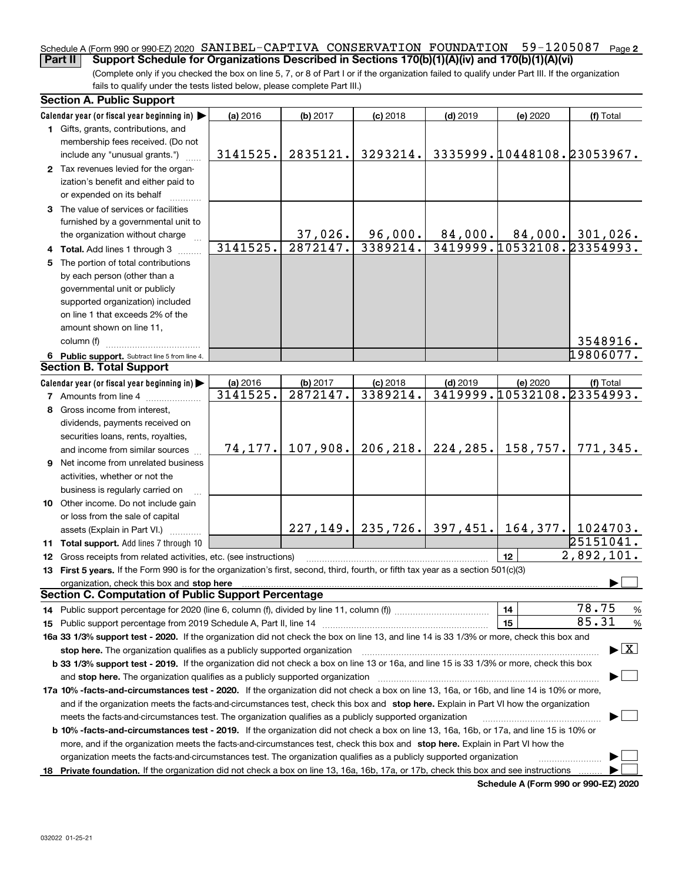#### Schedule A (Form 990 or 990-EZ) 2020  $\,$  S $\,$ ANIBEL-CAPTIVA  $\,$  CONSERVATION  $\,$  FOUNDATION  $\,$  59–1205087  $\,$  Page  $2$ **Part II Support Schedule for Organizations Described in Sections 170(b)(1)(A)(iv) and 170(b)(1)(A)(vi)**

(Complete only if you checked the box on line 5, 7, or 8 of Part I or if the organization failed to qualify under Part III. If the organization fails to qualify under the tests listed below, please complete Part III.)

| Calendar year (or fiscal year beginning in)<br>(a) 2016<br>$(b)$ 2017<br>$(c)$ 2018<br>$(d)$ 2019<br>(e) 2020<br>(f) Total<br>1 Gifts, grants, contributions, and<br>membership fees received. (Do not<br>3335999.10448108.23053967.<br>2835121.<br>3293214.<br>3141525.<br>include any "unusual grants.")<br>2 Tax revenues levied for the organ-<br>ization's benefit and either paid to<br>or expended on its behalf<br>3 The value of services or facilities<br>furnished by a governmental unit to<br>37,026.<br>96,000.<br>$84,000.$ 84,000. 301,026.<br>the organization without charge<br>3419999.10532108.23354993.<br>3141525.<br>3389214.<br>2872147.<br>4 Total. Add lines 1 through 3<br>5 The portion of total contributions<br>by each person (other than a<br>governmental unit or publicly<br>supported organization) included<br>on line 1 that exceeds 2% of the<br>amount shown on line 11,<br>3548916.<br>column (f)<br>19806077.<br>6 Public support. Subtract line 5 from line 4.<br><b>Section B. Total Support</b><br>Calendar year (or fiscal year beginning in)<br>(a) 2016<br>(b) 2017<br>$(c)$ 2018<br>$(d)$ 2019<br>(e) 2020<br>(f) Total<br>3419999. 10532108. 23354993.<br>2872147.<br>3389214.<br>3141525.<br><b>7</b> Amounts from line 4<br>8 Gross income from interest,<br>dividends, payments received on<br>securities loans, rents, royalties,<br>206, 218.<br>224, 285.<br>107,908.<br>158,757.<br>771,345.<br>74, 177.<br>and income from similar sources<br>9 Net income from unrelated business<br>activities, whether or not the<br>business is regularly carried on<br>10 Other income. Do not include gain<br>or loss from the sale of capital<br>$227, 149.$   235, 726.   397, 451.   164, 377.   1024703.<br>assets (Explain in Part VI.)<br>$\sqrt{25151041}$ .<br>11 Total support. Add lines 7 through 10<br>$\overline{2,892},101.$<br>12<br><b>12</b> Gross receipts from related activities, etc. (see instructions)<br>13 First 5 years. If the Form 990 is for the organization's first, second, third, fourth, or fifth tax year as a section 501(c)(3)<br>organization, check this box and stop here manufactured and according to the state of the state of the state of the state of the state of the state of the state of the state of the state of the state of the state of the st<br><b>Section C. Computation of Public Support Percentage</b><br>78.75<br>14<br>%<br>14 Public support percentage for 2020 (line 6, column (f), divided by line 11, column (f) <i>mummumumum</i><br>85.31<br>15<br>%<br>16a 33 1/3% support test - 2020. If the organization did not check the box on line 13, and line 14 is 33 1/3% or more, check this box and<br>$\blacktriangleright$ $\boxed{\text{X}}$<br>stop here. The organization qualifies as a publicly supported organization<br>b 33 1/3% support test - 2019. If the organization did not check a box on line 13 or 16a, and line 15 is 33 1/3% or more, check this box<br>and stop here. The organization qualifies as a publicly supported organization<br>17a 10% -facts-and-circumstances test - 2020. If the organization did not check a box on line 13, 16a, or 16b, and line 14 is 10% or more,<br>and if the organization meets the facts and circumstances test, check this box and stop here. Explain in Part VI how the organization<br>meets the facts-and-circumstances test. The organization qualifies as a publicly supported organization<br><b>b 10% -facts-and-circumstances test - 2019.</b> If the organization did not check a box on line 13, 16a, 16b, or 17a, and line 15 is 10% or<br>more, and if the organization meets the facts-and-circumstances test, check this box and stop here. Explain in Part VI how the<br>organization meets the facts-and-circumstances test. The organization qualifies as a publicly supported organization<br>18 Private foundation. If the organization did not check a box on line 13, 16a, 16b, 17a, or 17b, check this box and see instructions | <b>Section A. Public Support</b> |  |  |  |  |  |  |  |  |  |
|---------------------------------------------------------------------------------------------------------------------------------------------------------------------------------------------------------------------------------------------------------------------------------------------------------------------------------------------------------------------------------------------------------------------------------------------------------------------------------------------------------------------------------------------------------------------------------------------------------------------------------------------------------------------------------------------------------------------------------------------------------------------------------------------------------------------------------------------------------------------------------------------------------------------------------------------------------------------------------------------------------------------------------------------------------------------------------------------------------------------------------------------------------------------------------------------------------------------------------------------------------------------------------------------------------------------------------------------------------------------------------------------------------------------------------------------------------------------------------------------------------------------------------------------------------------------------------------------------------------------------------------------------------------------------------------------------------------------------------------------------------------------------------------------------------------------------------------------------------------------------------------------------------------------------------------------------------------------------------------------------------------------------------------------------------------------------------------------------------------------------------------------------------------------------------------------------------------------------------------------------------------------------------------------------------------------------------------------------------------------------------------------------------------------------------------------------------------------------------------------------------------------------------------------------------------------------------------------------------------------------------------------------------------------------------------------------------------------------------------------------------------------------------------------------------------------------------------------------------------------------------------------------------------------------------------------------------------------------------------------------------------------------------------------------------------------------------------------------------------------------------------------------------------------------------------------------------------------------------------------------------------------------------------------------------------------------------------------------------------------------------------------------------------------------------------------------------------------------------------------------------------------------------------------------------------------------------------------------------------------------------------------------------------------------------------------------------------------------------------------------------------------------------------------------------------------------------------------------------------------------------------------------------------------------------------------------------------------------------------------------------------------------------------|----------------------------------|--|--|--|--|--|--|--|--|--|
|                                                                                                                                                                                                                                                                                                                                                                                                                                                                                                                                                                                                                                                                                                                                                                                                                                                                                                                                                                                                                                                                                                                                                                                                                                                                                                                                                                                                                                                                                                                                                                                                                                                                                                                                                                                                                                                                                                                                                                                                                                                                                                                                                                                                                                                                                                                                                                                                                                                                                                                                                                                                                                                                                                                                                                                                                                                                                                                                                                                                                                                                                                                                                                                                                                                                                                                                                                                                                                                                                                                                                                                                                                                                                                                                                                                                                                                                                                                                                                                                                                       |                                  |  |  |  |  |  |  |  |  |  |
|                                                                                                                                                                                                                                                                                                                                                                                                                                                                                                                                                                                                                                                                                                                                                                                                                                                                                                                                                                                                                                                                                                                                                                                                                                                                                                                                                                                                                                                                                                                                                                                                                                                                                                                                                                                                                                                                                                                                                                                                                                                                                                                                                                                                                                                                                                                                                                                                                                                                                                                                                                                                                                                                                                                                                                                                                                                                                                                                                                                                                                                                                                                                                                                                                                                                                                                                                                                                                                                                                                                                                                                                                                                                                                                                                                                                                                                                                                                                                                                                                                       |                                  |  |  |  |  |  |  |  |  |  |
|                                                                                                                                                                                                                                                                                                                                                                                                                                                                                                                                                                                                                                                                                                                                                                                                                                                                                                                                                                                                                                                                                                                                                                                                                                                                                                                                                                                                                                                                                                                                                                                                                                                                                                                                                                                                                                                                                                                                                                                                                                                                                                                                                                                                                                                                                                                                                                                                                                                                                                                                                                                                                                                                                                                                                                                                                                                                                                                                                                                                                                                                                                                                                                                                                                                                                                                                                                                                                                                                                                                                                                                                                                                                                                                                                                                                                                                                                                                                                                                                                                       |                                  |  |  |  |  |  |  |  |  |  |
|                                                                                                                                                                                                                                                                                                                                                                                                                                                                                                                                                                                                                                                                                                                                                                                                                                                                                                                                                                                                                                                                                                                                                                                                                                                                                                                                                                                                                                                                                                                                                                                                                                                                                                                                                                                                                                                                                                                                                                                                                                                                                                                                                                                                                                                                                                                                                                                                                                                                                                                                                                                                                                                                                                                                                                                                                                                                                                                                                                                                                                                                                                                                                                                                                                                                                                                                                                                                                                                                                                                                                                                                                                                                                                                                                                                                                                                                                                                                                                                                                                       |                                  |  |  |  |  |  |  |  |  |  |
|                                                                                                                                                                                                                                                                                                                                                                                                                                                                                                                                                                                                                                                                                                                                                                                                                                                                                                                                                                                                                                                                                                                                                                                                                                                                                                                                                                                                                                                                                                                                                                                                                                                                                                                                                                                                                                                                                                                                                                                                                                                                                                                                                                                                                                                                                                                                                                                                                                                                                                                                                                                                                                                                                                                                                                                                                                                                                                                                                                                                                                                                                                                                                                                                                                                                                                                                                                                                                                                                                                                                                                                                                                                                                                                                                                                                                                                                                                                                                                                                                                       |                                  |  |  |  |  |  |  |  |  |  |
|                                                                                                                                                                                                                                                                                                                                                                                                                                                                                                                                                                                                                                                                                                                                                                                                                                                                                                                                                                                                                                                                                                                                                                                                                                                                                                                                                                                                                                                                                                                                                                                                                                                                                                                                                                                                                                                                                                                                                                                                                                                                                                                                                                                                                                                                                                                                                                                                                                                                                                                                                                                                                                                                                                                                                                                                                                                                                                                                                                                                                                                                                                                                                                                                                                                                                                                                                                                                                                                                                                                                                                                                                                                                                                                                                                                                                                                                                                                                                                                                                                       |                                  |  |  |  |  |  |  |  |  |  |
|                                                                                                                                                                                                                                                                                                                                                                                                                                                                                                                                                                                                                                                                                                                                                                                                                                                                                                                                                                                                                                                                                                                                                                                                                                                                                                                                                                                                                                                                                                                                                                                                                                                                                                                                                                                                                                                                                                                                                                                                                                                                                                                                                                                                                                                                                                                                                                                                                                                                                                                                                                                                                                                                                                                                                                                                                                                                                                                                                                                                                                                                                                                                                                                                                                                                                                                                                                                                                                                                                                                                                                                                                                                                                                                                                                                                                                                                                                                                                                                                                                       |                                  |  |  |  |  |  |  |  |  |  |
|                                                                                                                                                                                                                                                                                                                                                                                                                                                                                                                                                                                                                                                                                                                                                                                                                                                                                                                                                                                                                                                                                                                                                                                                                                                                                                                                                                                                                                                                                                                                                                                                                                                                                                                                                                                                                                                                                                                                                                                                                                                                                                                                                                                                                                                                                                                                                                                                                                                                                                                                                                                                                                                                                                                                                                                                                                                                                                                                                                                                                                                                                                                                                                                                                                                                                                                                                                                                                                                                                                                                                                                                                                                                                                                                                                                                                                                                                                                                                                                                                                       |                                  |  |  |  |  |  |  |  |  |  |
|                                                                                                                                                                                                                                                                                                                                                                                                                                                                                                                                                                                                                                                                                                                                                                                                                                                                                                                                                                                                                                                                                                                                                                                                                                                                                                                                                                                                                                                                                                                                                                                                                                                                                                                                                                                                                                                                                                                                                                                                                                                                                                                                                                                                                                                                                                                                                                                                                                                                                                                                                                                                                                                                                                                                                                                                                                                                                                                                                                                                                                                                                                                                                                                                                                                                                                                                                                                                                                                                                                                                                                                                                                                                                                                                                                                                                                                                                                                                                                                                                                       |                                  |  |  |  |  |  |  |  |  |  |
|                                                                                                                                                                                                                                                                                                                                                                                                                                                                                                                                                                                                                                                                                                                                                                                                                                                                                                                                                                                                                                                                                                                                                                                                                                                                                                                                                                                                                                                                                                                                                                                                                                                                                                                                                                                                                                                                                                                                                                                                                                                                                                                                                                                                                                                                                                                                                                                                                                                                                                                                                                                                                                                                                                                                                                                                                                                                                                                                                                                                                                                                                                                                                                                                                                                                                                                                                                                                                                                                                                                                                                                                                                                                                                                                                                                                                                                                                                                                                                                                                                       |                                  |  |  |  |  |  |  |  |  |  |
|                                                                                                                                                                                                                                                                                                                                                                                                                                                                                                                                                                                                                                                                                                                                                                                                                                                                                                                                                                                                                                                                                                                                                                                                                                                                                                                                                                                                                                                                                                                                                                                                                                                                                                                                                                                                                                                                                                                                                                                                                                                                                                                                                                                                                                                                                                                                                                                                                                                                                                                                                                                                                                                                                                                                                                                                                                                                                                                                                                                                                                                                                                                                                                                                                                                                                                                                                                                                                                                                                                                                                                                                                                                                                                                                                                                                                                                                                                                                                                                                                                       |                                  |  |  |  |  |  |  |  |  |  |
|                                                                                                                                                                                                                                                                                                                                                                                                                                                                                                                                                                                                                                                                                                                                                                                                                                                                                                                                                                                                                                                                                                                                                                                                                                                                                                                                                                                                                                                                                                                                                                                                                                                                                                                                                                                                                                                                                                                                                                                                                                                                                                                                                                                                                                                                                                                                                                                                                                                                                                                                                                                                                                                                                                                                                                                                                                                                                                                                                                                                                                                                                                                                                                                                                                                                                                                                                                                                                                                                                                                                                                                                                                                                                                                                                                                                                                                                                                                                                                                                                                       |                                  |  |  |  |  |  |  |  |  |  |
|                                                                                                                                                                                                                                                                                                                                                                                                                                                                                                                                                                                                                                                                                                                                                                                                                                                                                                                                                                                                                                                                                                                                                                                                                                                                                                                                                                                                                                                                                                                                                                                                                                                                                                                                                                                                                                                                                                                                                                                                                                                                                                                                                                                                                                                                                                                                                                                                                                                                                                                                                                                                                                                                                                                                                                                                                                                                                                                                                                                                                                                                                                                                                                                                                                                                                                                                                                                                                                                                                                                                                                                                                                                                                                                                                                                                                                                                                                                                                                                                                                       |                                  |  |  |  |  |  |  |  |  |  |
|                                                                                                                                                                                                                                                                                                                                                                                                                                                                                                                                                                                                                                                                                                                                                                                                                                                                                                                                                                                                                                                                                                                                                                                                                                                                                                                                                                                                                                                                                                                                                                                                                                                                                                                                                                                                                                                                                                                                                                                                                                                                                                                                                                                                                                                                                                                                                                                                                                                                                                                                                                                                                                                                                                                                                                                                                                                                                                                                                                                                                                                                                                                                                                                                                                                                                                                                                                                                                                                                                                                                                                                                                                                                                                                                                                                                                                                                                                                                                                                                                                       |                                  |  |  |  |  |  |  |  |  |  |
|                                                                                                                                                                                                                                                                                                                                                                                                                                                                                                                                                                                                                                                                                                                                                                                                                                                                                                                                                                                                                                                                                                                                                                                                                                                                                                                                                                                                                                                                                                                                                                                                                                                                                                                                                                                                                                                                                                                                                                                                                                                                                                                                                                                                                                                                                                                                                                                                                                                                                                                                                                                                                                                                                                                                                                                                                                                                                                                                                                                                                                                                                                                                                                                                                                                                                                                                                                                                                                                                                                                                                                                                                                                                                                                                                                                                                                                                                                                                                                                                                                       |                                  |  |  |  |  |  |  |  |  |  |
|                                                                                                                                                                                                                                                                                                                                                                                                                                                                                                                                                                                                                                                                                                                                                                                                                                                                                                                                                                                                                                                                                                                                                                                                                                                                                                                                                                                                                                                                                                                                                                                                                                                                                                                                                                                                                                                                                                                                                                                                                                                                                                                                                                                                                                                                                                                                                                                                                                                                                                                                                                                                                                                                                                                                                                                                                                                                                                                                                                                                                                                                                                                                                                                                                                                                                                                                                                                                                                                                                                                                                                                                                                                                                                                                                                                                                                                                                                                                                                                                                                       |                                  |  |  |  |  |  |  |  |  |  |
|                                                                                                                                                                                                                                                                                                                                                                                                                                                                                                                                                                                                                                                                                                                                                                                                                                                                                                                                                                                                                                                                                                                                                                                                                                                                                                                                                                                                                                                                                                                                                                                                                                                                                                                                                                                                                                                                                                                                                                                                                                                                                                                                                                                                                                                                                                                                                                                                                                                                                                                                                                                                                                                                                                                                                                                                                                                                                                                                                                                                                                                                                                                                                                                                                                                                                                                                                                                                                                                                                                                                                                                                                                                                                                                                                                                                                                                                                                                                                                                                                                       |                                  |  |  |  |  |  |  |  |  |  |
|                                                                                                                                                                                                                                                                                                                                                                                                                                                                                                                                                                                                                                                                                                                                                                                                                                                                                                                                                                                                                                                                                                                                                                                                                                                                                                                                                                                                                                                                                                                                                                                                                                                                                                                                                                                                                                                                                                                                                                                                                                                                                                                                                                                                                                                                                                                                                                                                                                                                                                                                                                                                                                                                                                                                                                                                                                                                                                                                                                                                                                                                                                                                                                                                                                                                                                                                                                                                                                                                                                                                                                                                                                                                                                                                                                                                                                                                                                                                                                                                                                       |                                  |  |  |  |  |  |  |  |  |  |
|                                                                                                                                                                                                                                                                                                                                                                                                                                                                                                                                                                                                                                                                                                                                                                                                                                                                                                                                                                                                                                                                                                                                                                                                                                                                                                                                                                                                                                                                                                                                                                                                                                                                                                                                                                                                                                                                                                                                                                                                                                                                                                                                                                                                                                                                                                                                                                                                                                                                                                                                                                                                                                                                                                                                                                                                                                                                                                                                                                                                                                                                                                                                                                                                                                                                                                                                                                                                                                                                                                                                                                                                                                                                                                                                                                                                                                                                                                                                                                                                                                       |                                  |  |  |  |  |  |  |  |  |  |
|                                                                                                                                                                                                                                                                                                                                                                                                                                                                                                                                                                                                                                                                                                                                                                                                                                                                                                                                                                                                                                                                                                                                                                                                                                                                                                                                                                                                                                                                                                                                                                                                                                                                                                                                                                                                                                                                                                                                                                                                                                                                                                                                                                                                                                                                                                                                                                                                                                                                                                                                                                                                                                                                                                                                                                                                                                                                                                                                                                                                                                                                                                                                                                                                                                                                                                                                                                                                                                                                                                                                                                                                                                                                                                                                                                                                                                                                                                                                                                                                                                       |                                  |  |  |  |  |  |  |  |  |  |
|                                                                                                                                                                                                                                                                                                                                                                                                                                                                                                                                                                                                                                                                                                                                                                                                                                                                                                                                                                                                                                                                                                                                                                                                                                                                                                                                                                                                                                                                                                                                                                                                                                                                                                                                                                                                                                                                                                                                                                                                                                                                                                                                                                                                                                                                                                                                                                                                                                                                                                                                                                                                                                                                                                                                                                                                                                                                                                                                                                                                                                                                                                                                                                                                                                                                                                                                                                                                                                                                                                                                                                                                                                                                                                                                                                                                                                                                                                                                                                                                                                       |                                  |  |  |  |  |  |  |  |  |  |
|                                                                                                                                                                                                                                                                                                                                                                                                                                                                                                                                                                                                                                                                                                                                                                                                                                                                                                                                                                                                                                                                                                                                                                                                                                                                                                                                                                                                                                                                                                                                                                                                                                                                                                                                                                                                                                                                                                                                                                                                                                                                                                                                                                                                                                                                                                                                                                                                                                                                                                                                                                                                                                                                                                                                                                                                                                                                                                                                                                                                                                                                                                                                                                                                                                                                                                                                                                                                                                                                                                                                                                                                                                                                                                                                                                                                                                                                                                                                                                                                                                       |                                  |  |  |  |  |  |  |  |  |  |
|                                                                                                                                                                                                                                                                                                                                                                                                                                                                                                                                                                                                                                                                                                                                                                                                                                                                                                                                                                                                                                                                                                                                                                                                                                                                                                                                                                                                                                                                                                                                                                                                                                                                                                                                                                                                                                                                                                                                                                                                                                                                                                                                                                                                                                                                                                                                                                                                                                                                                                                                                                                                                                                                                                                                                                                                                                                                                                                                                                                                                                                                                                                                                                                                                                                                                                                                                                                                                                                                                                                                                                                                                                                                                                                                                                                                                                                                                                                                                                                                                                       |                                  |  |  |  |  |  |  |  |  |  |
|                                                                                                                                                                                                                                                                                                                                                                                                                                                                                                                                                                                                                                                                                                                                                                                                                                                                                                                                                                                                                                                                                                                                                                                                                                                                                                                                                                                                                                                                                                                                                                                                                                                                                                                                                                                                                                                                                                                                                                                                                                                                                                                                                                                                                                                                                                                                                                                                                                                                                                                                                                                                                                                                                                                                                                                                                                                                                                                                                                                                                                                                                                                                                                                                                                                                                                                                                                                                                                                                                                                                                                                                                                                                                                                                                                                                                                                                                                                                                                                                                                       |                                  |  |  |  |  |  |  |  |  |  |
|                                                                                                                                                                                                                                                                                                                                                                                                                                                                                                                                                                                                                                                                                                                                                                                                                                                                                                                                                                                                                                                                                                                                                                                                                                                                                                                                                                                                                                                                                                                                                                                                                                                                                                                                                                                                                                                                                                                                                                                                                                                                                                                                                                                                                                                                                                                                                                                                                                                                                                                                                                                                                                                                                                                                                                                                                                                                                                                                                                                                                                                                                                                                                                                                                                                                                                                                                                                                                                                                                                                                                                                                                                                                                                                                                                                                                                                                                                                                                                                                                                       |                                  |  |  |  |  |  |  |  |  |  |
|                                                                                                                                                                                                                                                                                                                                                                                                                                                                                                                                                                                                                                                                                                                                                                                                                                                                                                                                                                                                                                                                                                                                                                                                                                                                                                                                                                                                                                                                                                                                                                                                                                                                                                                                                                                                                                                                                                                                                                                                                                                                                                                                                                                                                                                                                                                                                                                                                                                                                                                                                                                                                                                                                                                                                                                                                                                                                                                                                                                                                                                                                                                                                                                                                                                                                                                                                                                                                                                                                                                                                                                                                                                                                                                                                                                                                                                                                                                                                                                                                                       |                                  |  |  |  |  |  |  |  |  |  |
|                                                                                                                                                                                                                                                                                                                                                                                                                                                                                                                                                                                                                                                                                                                                                                                                                                                                                                                                                                                                                                                                                                                                                                                                                                                                                                                                                                                                                                                                                                                                                                                                                                                                                                                                                                                                                                                                                                                                                                                                                                                                                                                                                                                                                                                                                                                                                                                                                                                                                                                                                                                                                                                                                                                                                                                                                                                                                                                                                                                                                                                                                                                                                                                                                                                                                                                                                                                                                                                                                                                                                                                                                                                                                                                                                                                                                                                                                                                                                                                                                                       |                                  |  |  |  |  |  |  |  |  |  |
|                                                                                                                                                                                                                                                                                                                                                                                                                                                                                                                                                                                                                                                                                                                                                                                                                                                                                                                                                                                                                                                                                                                                                                                                                                                                                                                                                                                                                                                                                                                                                                                                                                                                                                                                                                                                                                                                                                                                                                                                                                                                                                                                                                                                                                                                                                                                                                                                                                                                                                                                                                                                                                                                                                                                                                                                                                                                                                                                                                                                                                                                                                                                                                                                                                                                                                                                                                                                                                                                                                                                                                                                                                                                                                                                                                                                                                                                                                                                                                                                                                       |                                  |  |  |  |  |  |  |  |  |  |
|                                                                                                                                                                                                                                                                                                                                                                                                                                                                                                                                                                                                                                                                                                                                                                                                                                                                                                                                                                                                                                                                                                                                                                                                                                                                                                                                                                                                                                                                                                                                                                                                                                                                                                                                                                                                                                                                                                                                                                                                                                                                                                                                                                                                                                                                                                                                                                                                                                                                                                                                                                                                                                                                                                                                                                                                                                                                                                                                                                                                                                                                                                                                                                                                                                                                                                                                                                                                                                                                                                                                                                                                                                                                                                                                                                                                                                                                                                                                                                                                                                       |                                  |  |  |  |  |  |  |  |  |  |
|                                                                                                                                                                                                                                                                                                                                                                                                                                                                                                                                                                                                                                                                                                                                                                                                                                                                                                                                                                                                                                                                                                                                                                                                                                                                                                                                                                                                                                                                                                                                                                                                                                                                                                                                                                                                                                                                                                                                                                                                                                                                                                                                                                                                                                                                                                                                                                                                                                                                                                                                                                                                                                                                                                                                                                                                                                                                                                                                                                                                                                                                                                                                                                                                                                                                                                                                                                                                                                                                                                                                                                                                                                                                                                                                                                                                                                                                                                                                                                                                                                       |                                  |  |  |  |  |  |  |  |  |  |
|                                                                                                                                                                                                                                                                                                                                                                                                                                                                                                                                                                                                                                                                                                                                                                                                                                                                                                                                                                                                                                                                                                                                                                                                                                                                                                                                                                                                                                                                                                                                                                                                                                                                                                                                                                                                                                                                                                                                                                                                                                                                                                                                                                                                                                                                                                                                                                                                                                                                                                                                                                                                                                                                                                                                                                                                                                                                                                                                                                                                                                                                                                                                                                                                                                                                                                                                                                                                                                                                                                                                                                                                                                                                                                                                                                                                                                                                                                                                                                                                                                       |                                  |  |  |  |  |  |  |  |  |  |
|                                                                                                                                                                                                                                                                                                                                                                                                                                                                                                                                                                                                                                                                                                                                                                                                                                                                                                                                                                                                                                                                                                                                                                                                                                                                                                                                                                                                                                                                                                                                                                                                                                                                                                                                                                                                                                                                                                                                                                                                                                                                                                                                                                                                                                                                                                                                                                                                                                                                                                                                                                                                                                                                                                                                                                                                                                                                                                                                                                                                                                                                                                                                                                                                                                                                                                                                                                                                                                                                                                                                                                                                                                                                                                                                                                                                                                                                                                                                                                                                                                       |                                  |  |  |  |  |  |  |  |  |  |
|                                                                                                                                                                                                                                                                                                                                                                                                                                                                                                                                                                                                                                                                                                                                                                                                                                                                                                                                                                                                                                                                                                                                                                                                                                                                                                                                                                                                                                                                                                                                                                                                                                                                                                                                                                                                                                                                                                                                                                                                                                                                                                                                                                                                                                                                                                                                                                                                                                                                                                                                                                                                                                                                                                                                                                                                                                                                                                                                                                                                                                                                                                                                                                                                                                                                                                                                                                                                                                                                                                                                                                                                                                                                                                                                                                                                                                                                                                                                                                                                                                       |                                  |  |  |  |  |  |  |  |  |  |
|                                                                                                                                                                                                                                                                                                                                                                                                                                                                                                                                                                                                                                                                                                                                                                                                                                                                                                                                                                                                                                                                                                                                                                                                                                                                                                                                                                                                                                                                                                                                                                                                                                                                                                                                                                                                                                                                                                                                                                                                                                                                                                                                                                                                                                                                                                                                                                                                                                                                                                                                                                                                                                                                                                                                                                                                                                                                                                                                                                                                                                                                                                                                                                                                                                                                                                                                                                                                                                                                                                                                                                                                                                                                                                                                                                                                                                                                                                                                                                                                                                       |                                  |  |  |  |  |  |  |  |  |  |
|                                                                                                                                                                                                                                                                                                                                                                                                                                                                                                                                                                                                                                                                                                                                                                                                                                                                                                                                                                                                                                                                                                                                                                                                                                                                                                                                                                                                                                                                                                                                                                                                                                                                                                                                                                                                                                                                                                                                                                                                                                                                                                                                                                                                                                                                                                                                                                                                                                                                                                                                                                                                                                                                                                                                                                                                                                                                                                                                                                                                                                                                                                                                                                                                                                                                                                                                                                                                                                                                                                                                                                                                                                                                                                                                                                                                                                                                                                                                                                                                                                       |                                  |  |  |  |  |  |  |  |  |  |
|                                                                                                                                                                                                                                                                                                                                                                                                                                                                                                                                                                                                                                                                                                                                                                                                                                                                                                                                                                                                                                                                                                                                                                                                                                                                                                                                                                                                                                                                                                                                                                                                                                                                                                                                                                                                                                                                                                                                                                                                                                                                                                                                                                                                                                                                                                                                                                                                                                                                                                                                                                                                                                                                                                                                                                                                                                                                                                                                                                                                                                                                                                                                                                                                                                                                                                                                                                                                                                                                                                                                                                                                                                                                                                                                                                                                                                                                                                                                                                                                                                       |                                  |  |  |  |  |  |  |  |  |  |
|                                                                                                                                                                                                                                                                                                                                                                                                                                                                                                                                                                                                                                                                                                                                                                                                                                                                                                                                                                                                                                                                                                                                                                                                                                                                                                                                                                                                                                                                                                                                                                                                                                                                                                                                                                                                                                                                                                                                                                                                                                                                                                                                                                                                                                                                                                                                                                                                                                                                                                                                                                                                                                                                                                                                                                                                                                                                                                                                                                                                                                                                                                                                                                                                                                                                                                                                                                                                                                                                                                                                                                                                                                                                                                                                                                                                                                                                                                                                                                                                                                       |                                  |  |  |  |  |  |  |  |  |  |
|                                                                                                                                                                                                                                                                                                                                                                                                                                                                                                                                                                                                                                                                                                                                                                                                                                                                                                                                                                                                                                                                                                                                                                                                                                                                                                                                                                                                                                                                                                                                                                                                                                                                                                                                                                                                                                                                                                                                                                                                                                                                                                                                                                                                                                                                                                                                                                                                                                                                                                                                                                                                                                                                                                                                                                                                                                                                                                                                                                                                                                                                                                                                                                                                                                                                                                                                                                                                                                                                                                                                                                                                                                                                                                                                                                                                                                                                                                                                                                                                                                       |                                  |  |  |  |  |  |  |  |  |  |
|                                                                                                                                                                                                                                                                                                                                                                                                                                                                                                                                                                                                                                                                                                                                                                                                                                                                                                                                                                                                                                                                                                                                                                                                                                                                                                                                                                                                                                                                                                                                                                                                                                                                                                                                                                                                                                                                                                                                                                                                                                                                                                                                                                                                                                                                                                                                                                                                                                                                                                                                                                                                                                                                                                                                                                                                                                                                                                                                                                                                                                                                                                                                                                                                                                                                                                                                                                                                                                                                                                                                                                                                                                                                                                                                                                                                                                                                                                                                                                                                                                       |                                  |  |  |  |  |  |  |  |  |  |
|                                                                                                                                                                                                                                                                                                                                                                                                                                                                                                                                                                                                                                                                                                                                                                                                                                                                                                                                                                                                                                                                                                                                                                                                                                                                                                                                                                                                                                                                                                                                                                                                                                                                                                                                                                                                                                                                                                                                                                                                                                                                                                                                                                                                                                                                                                                                                                                                                                                                                                                                                                                                                                                                                                                                                                                                                                                                                                                                                                                                                                                                                                                                                                                                                                                                                                                                                                                                                                                                                                                                                                                                                                                                                                                                                                                                                                                                                                                                                                                                                                       |                                  |  |  |  |  |  |  |  |  |  |
|                                                                                                                                                                                                                                                                                                                                                                                                                                                                                                                                                                                                                                                                                                                                                                                                                                                                                                                                                                                                                                                                                                                                                                                                                                                                                                                                                                                                                                                                                                                                                                                                                                                                                                                                                                                                                                                                                                                                                                                                                                                                                                                                                                                                                                                                                                                                                                                                                                                                                                                                                                                                                                                                                                                                                                                                                                                                                                                                                                                                                                                                                                                                                                                                                                                                                                                                                                                                                                                                                                                                                                                                                                                                                                                                                                                                                                                                                                                                                                                                                                       |                                  |  |  |  |  |  |  |  |  |  |
|                                                                                                                                                                                                                                                                                                                                                                                                                                                                                                                                                                                                                                                                                                                                                                                                                                                                                                                                                                                                                                                                                                                                                                                                                                                                                                                                                                                                                                                                                                                                                                                                                                                                                                                                                                                                                                                                                                                                                                                                                                                                                                                                                                                                                                                                                                                                                                                                                                                                                                                                                                                                                                                                                                                                                                                                                                                                                                                                                                                                                                                                                                                                                                                                                                                                                                                                                                                                                                                                                                                                                                                                                                                                                                                                                                                                                                                                                                                                                                                                                                       |                                  |  |  |  |  |  |  |  |  |  |
|                                                                                                                                                                                                                                                                                                                                                                                                                                                                                                                                                                                                                                                                                                                                                                                                                                                                                                                                                                                                                                                                                                                                                                                                                                                                                                                                                                                                                                                                                                                                                                                                                                                                                                                                                                                                                                                                                                                                                                                                                                                                                                                                                                                                                                                                                                                                                                                                                                                                                                                                                                                                                                                                                                                                                                                                                                                                                                                                                                                                                                                                                                                                                                                                                                                                                                                                                                                                                                                                                                                                                                                                                                                                                                                                                                                                                                                                                                                                                                                                                                       |                                  |  |  |  |  |  |  |  |  |  |
|                                                                                                                                                                                                                                                                                                                                                                                                                                                                                                                                                                                                                                                                                                                                                                                                                                                                                                                                                                                                                                                                                                                                                                                                                                                                                                                                                                                                                                                                                                                                                                                                                                                                                                                                                                                                                                                                                                                                                                                                                                                                                                                                                                                                                                                                                                                                                                                                                                                                                                                                                                                                                                                                                                                                                                                                                                                                                                                                                                                                                                                                                                                                                                                                                                                                                                                                                                                                                                                                                                                                                                                                                                                                                                                                                                                                                                                                                                                                                                                                                                       |                                  |  |  |  |  |  |  |  |  |  |
|                                                                                                                                                                                                                                                                                                                                                                                                                                                                                                                                                                                                                                                                                                                                                                                                                                                                                                                                                                                                                                                                                                                                                                                                                                                                                                                                                                                                                                                                                                                                                                                                                                                                                                                                                                                                                                                                                                                                                                                                                                                                                                                                                                                                                                                                                                                                                                                                                                                                                                                                                                                                                                                                                                                                                                                                                                                                                                                                                                                                                                                                                                                                                                                                                                                                                                                                                                                                                                                                                                                                                                                                                                                                                                                                                                                                                                                                                                                                                                                                                                       |                                  |  |  |  |  |  |  |  |  |  |
|                                                                                                                                                                                                                                                                                                                                                                                                                                                                                                                                                                                                                                                                                                                                                                                                                                                                                                                                                                                                                                                                                                                                                                                                                                                                                                                                                                                                                                                                                                                                                                                                                                                                                                                                                                                                                                                                                                                                                                                                                                                                                                                                                                                                                                                                                                                                                                                                                                                                                                                                                                                                                                                                                                                                                                                                                                                                                                                                                                                                                                                                                                                                                                                                                                                                                                                                                                                                                                                                                                                                                                                                                                                                                                                                                                                                                                                                                                                                                                                                                                       |                                  |  |  |  |  |  |  |  |  |  |
|                                                                                                                                                                                                                                                                                                                                                                                                                                                                                                                                                                                                                                                                                                                                                                                                                                                                                                                                                                                                                                                                                                                                                                                                                                                                                                                                                                                                                                                                                                                                                                                                                                                                                                                                                                                                                                                                                                                                                                                                                                                                                                                                                                                                                                                                                                                                                                                                                                                                                                                                                                                                                                                                                                                                                                                                                                                                                                                                                                                                                                                                                                                                                                                                                                                                                                                                                                                                                                                                                                                                                                                                                                                                                                                                                                                                                                                                                                                                                                                                                                       |                                  |  |  |  |  |  |  |  |  |  |
|                                                                                                                                                                                                                                                                                                                                                                                                                                                                                                                                                                                                                                                                                                                                                                                                                                                                                                                                                                                                                                                                                                                                                                                                                                                                                                                                                                                                                                                                                                                                                                                                                                                                                                                                                                                                                                                                                                                                                                                                                                                                                                                                                                                                                                                                                                                                                                                                                                                                                                                                                                                                                                                                                                                                                                                                                                                                                                                                                                                                                                                                                                                                                                                                                                                                                                                                                                                                                                                                                                                                                                                                                                                                                                                                                                                                                                                                                                                                                                                                                                       |                                  |  |  |  |  |  |  |  |  |  |
|                                                                                                                                                                                                                                                                                                                                                                                                                                                                                                                                                                                                                                                                                                                                                                                                                                                                                                                                                                                                                                                                                                                                                                                                                                                                                                                                                                                                                                                                                                                                                                                                                                                                                                                                                                                                                                                                                                                                                                                                                                                                                                                                                                                                                                                                                                                                                                                                                                                                                                                                                                                                                                                                                                                                                                                                                                                                                                                                                                                                                                                                                                                                                                                                                                                                                                                                                                                                                                                                                                                                                                                                                                                                                                                                                                                                                                                                                                                                                                                                                                       |                                  |  |  |  |  |  |  |  |  |  |
|                                                                                                                                                                                                                                                                                                                                                                                                                                                                                                                                                                                                                                                                                                                                                                                                                                                                                                                                                                                                                                                                                                                                                                                                                                                                                                                                                                                                                                                                                                                                                                                                                                                                                                                                                                                                                                                                                                                                                                                                                                                                                                                                                                                                                                                                                                                                                                                                                                                                                                                                                                                                                                                                                                                                                                                                                                                                                                                                                                                                                                                                                                                                                                                                                                                                                                                                                                                                                                                                                                                                                                                                                                                                                                                                                                                                                                                                                                                                                                                                                                       |                                  |  |  |  |  |  |  |  |  |  |
|                                                                                                                                                                                                                                                                                                                                                                                                                                                                                                                                                                                                                                                                                                                                                                                                                                                                                                                                                                                                                                                                                                                                                                                                                                                                                                                                                                                                                                                                                                                                                                                                                                                                                                                                                                                                                                                                                                                                                                                                                                                                                                                                                                                                                                                                                                                                                                                                                                                                                                                                                                                                                                                                                                                                                                                                                                                                                                                                                                                                                                                                                                                                                                                                                                                                                                                                                                                                                                                                                                                                                                                                                                                                                                                                                                                                                                                                                                                                                                                                                                       |                                  |  |  |  |  |  |  |  |  |  |

**Schedule A (Form 990 or 990-EZ) 2020**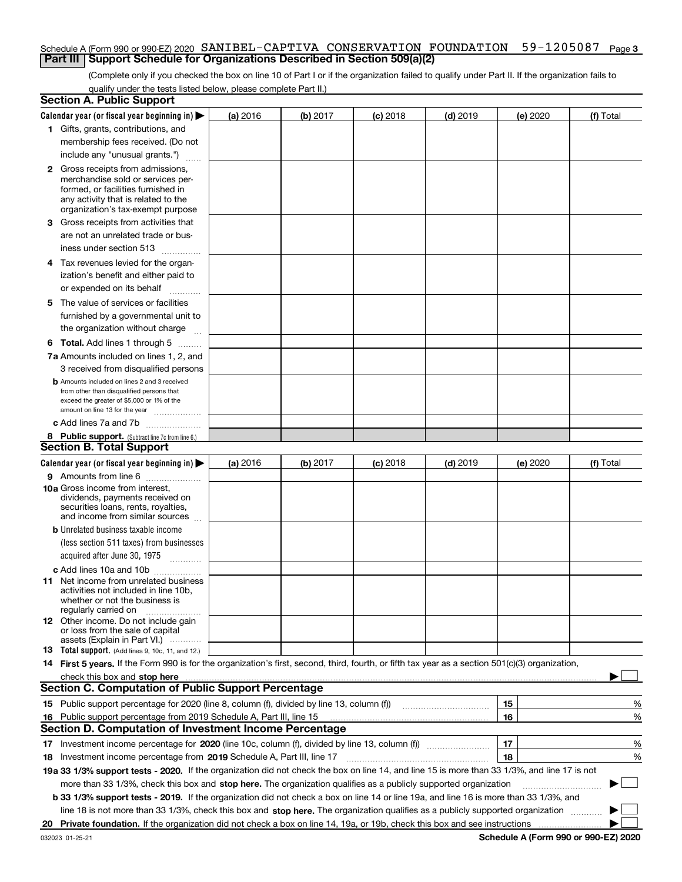#### Schedule A (Form 990 or 990-EZ) 2020  $\,$  S $\,$ ANIBEL-CAPTIVA  $\,$  CONSERVATION  $\,$  FOUNDATION  $\,$  59–1205087  $\,$  Page 3 **Part III Support Schedule for Organizations Described in Section 509(a)(2)**

(Complete only if you checked the box on line 10 of Part I or if the organization failed to qualify under Part II. If the organization fails to qualify under the tests listed below, please complete Part II.)

|    | <b>Section A. Public Support</b>                                                                                                                 |          |          |                 |                                                      |          |           |
|----|--------------------------------------------------------------------------------------------------------------------------------------------------|----------|----------|-----------------|------------------------------------------------------|----------|-----------|
|    | Calendar year (or fiscal year beginning in) $\blacktriangleright$                                                                                | (a) 2016 | (b) 2017 | <b>(c)</b> 2018 | $(d)$ 2019                                           | (e) 2020 | (f) Total |
|    | 1 Gifts, grants, contributions, and                                                                                                              |          |          |                 |                                                      |          |           |
|    | membership fees received. (Do not                                                                                                                |          |          |                 |                                                      |          |           |
|    | include any "unusual grants.")                                                                                                                   |          |          |                 |                                                      |          |           |
|    | <b>2</b> Gross receipts from admissions,                                                                                                         |          |          |                 |                                                      |          |           |
|    | merchandise sold or services per-                                                                                                                |          |          |                 |                                                      |          |           |
|    | formed, or facilities furnished in                                                                                                               |          |          |                 |                                                      |          |           |
|    | any activity that is related to the                                                                                                              |          |          |                 |                                                      |          |           |
|    | organization's tax-exempt purpose                                                                                                                |          |          |                 |                                                      |          |           |
|    | 3 Gross receipts from activities that                                                                                                            |          |          |                 |                                                      |          |           |
|    | are not an unrelated trade or bus-                                                                                                               |          |          |                 |                                                      |          |           |
|    | iness under section 513                                                                                                                          |          |          |                 |                                                      |          |           |
|    | 4 Tax revenues levied for the organ-                                                                                                             |          |          |                 |                                                      |          |           |
|    | ization's benefit and either paid to                                                                                                             |          |          |                 |                                                      |          |           |
|    | or expended on its behalf<br>.                                                                                                                   |          |          |                 |                                                      |          |           |
|    | 5 The value of services or facilities                                                                                                            |          |          |                 |                                                      |          |           |
|    | furnished by a governmental unit to                                                                                                              |          |          |                 |                                                      |          |           |
|    | the organization without charge                                                                                                                  |          |          |                 |                                                      |          |           |
|    |                                                                                                                                                  |          |          |                 |                                                      |          |           |
|    | <b>6 Total.</b> Add lines 1 through 5                                                                                                            |          |          |                 |                                                      |          |           |
|    | 7a Amounts included on lines 1, 2, and                                                                                                           |          |          |                 |                                                      |          |           |
|    | 3 received from disqualified persons                                                                                                             |          |          |                 |                                                      |          |           |
|    | <b>b</b> Amounts included on lines 2 and 3 received                                                                                              |          |          |                 |                                                      |          |           |
|    | from other than disqualified persons that<br>exceed the greater of \$5,000 or 1% of the                                                          |          |          |                 |                                                      |          |           |
|    | amount on line 13 for the year                                                                                                                   |          |          |                 |                                                      |          |           |
|    | c Add lines 7a and 7b                                                                                                                            |          |          |                 |                                                      |          |           |
|    | 8 Public support. (Subtract line 7c from line 6.)                                                                                                |          |          |                 |                                                      |          |           |
|    | <b>Section B. Total Support</b>                                                                                                                  |          |          |                 |                                                      |          |           |
|    | Calendar year (or fiscal year beginning in) $\blacktriangleright$                                                                                | (a) 2016 | (b) 2017 | $(c)$ 2018      | $(d)$ 2019                                           | (e) 2020 | (f) Total |
|    | 9 Amounts from line 6                                                                                                                            |          |          |                 |                                                      |          |           |
|    | 10a Gross income from interest,                                                                                                                  |          |          |                 |                                                      |          |           |
|    | dividends, payments received on                                                                                                                  |          |          |                 |                                                      |          |           |
|    | securities loans, rents, royalties,                                                                                                              |          |          |                 |                                                      |          |           |
|    | and income from similar sources                                                                                                                  |          |          |                 |                                                      |          |           |
|    | <b>b</b> Unrelated business taxable income                                                                                                       |          |          |                 |                                                      |          |           |
|    | (less section 511 taxes) from businesses                                                                                                         |          |          |                 |                                                      |          |           |
|    | acquired after June 30, 1975                                                                                                                     |          |          |                 |                                                      |          |           |
|    | c Add lines 10a and 10b                                                                                                                          |          |          |                 |                                                      |          |           |
|    | 11 Net income from unrelated business                                                                                                            |          |          |                 |                                                      |          |           |
|    | activities not included in line 10b.                                                                                                             |          |          |                 |                                                      |          |           |
|    | whether or not the business is<br>regularly carried on                                                                                           |          |          |                 |                                                      |          |           |
|    | 12 Other income. Do not include gain                                                                                                             |          |          |                 |                                                      |          |           |
|    | or loss from the sale of capital                                                                                                                 |          |          |                 |                                                      |          |           |
|    | assets (Explain in Part VI.)                                                                                                                     |          |          |                 |                                                      |          |           |
|    | <b>13</b> Total support. (Add lines 9, 10c, 11, and 12.)                                                                                         |          |          |                 |                                                      |          |           |
|    | 14 First 5 years. If the Form 990 is for the organization's first, second, third, fourth, or fifth tax year as a section 501(c)(3) organization, |          |          |                 |                                                      |          |           |
|    | check this box and stop here measurements are constructed as the state of the state of the state of the state o                                  |          |          |                 |                                                      |          |           |
|    | <b>Section C. Computation of Public Support Percentage</b>                                                                                       |          |          |                 |                                                      |          |           |
|    | 15 Public support percentage for 2020 (line 8, column (f), divided by line 13, column (f))                                                       |          |          |                 | <u> 1986 - Johann Stoff, Amerikaansk politiker (</u> | 15       | %         |
|    | 16 Public support percentage from 2019 Schedule A, Part III, line 15                                                                             |          |          |                 |                                                      | 16       | %         |
|    | <b>Section D. Computation of Investment Income Percentage</b>                                                                                    |          |          |                 |                                                      |          |           |
|    |                                                                                                                                                  |          |          |                 |                                                      | 17       | %         |
|    | <b>18</b> Investment income percentage from <b>2019</b> Schedule A, Part III, line 17                                                            |          |          |                 |                                                      | 18       | %         |
|    | 19a 33 1/3% support tests - 2020. If the organization did not check the box on line 14, and line 15 is more than 33 1/3%, and line 17 is not     |          |          |                 |                                                      |          |           |
|    | more than 33 1/3%, check this box and stop here. The organization qualifies as a publicly supported organization                                 |          |          |                 |                                                      |          | ▶         |
|    | b 33 1/3% support tests - 2019. If the organization did not check a box on line 14 or line 19a, and line 16 is more than 33 1/3%, and            |          |          |                 |                                                      |          |           |
|    | line 18 is not more than 33 1/3%, check this box and stop here. The organization qualifies as a publicly supported organization                  |          |          |                 |                                                      |          |           |
| 20 |                                                                                                                                                  |          |          |                 |                                                      |          |           |
|    |                                                                                                                                                  |          |          |                 |                                                      |          |           |

**Schedule A (Form 990 or 990-EZ) 2020**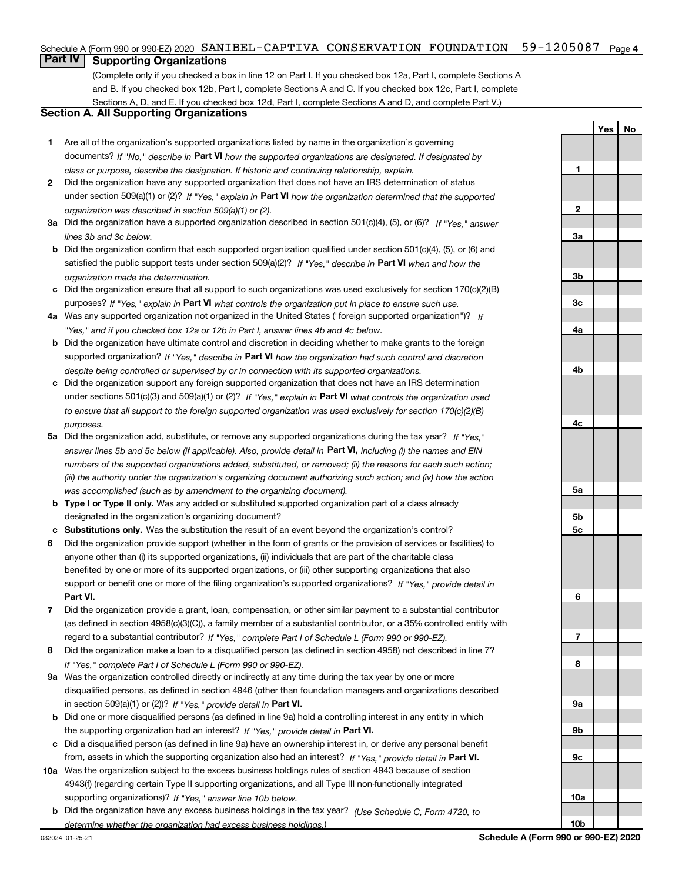#### Schedule A (Form 990 or 990-EZ) 2020 SANIBEL-CAPTIVA CONSERVATION FOUNDATION 59-1205087 Page 4

# **Part IV Supporting Organizations**

(Complete only if you checked a box in line 12 on Part I. If you checked box 12a, Part I, complete Sections A and B. If you checked box 12b, Part I, complete Sections A and C. If you checked box 12c, Part I, complete Sections A, D, and E. If you checked box 12d, Part I, complete Sections A and D, and complete Part V.)

### **Section A. All Supporting Organizations**

- **1** Are all of the organization's supported organizations listed by name in the organization's governing documents? If "No," describe in **Part VI** how the supported organizations are designated. If designated by *class or purpose, describe the designation. If historic and continuing relationship, explain.*
- **2** Did the organization have any supported organization that does not have an IRS determination of status under section 509(a)(1) or (2)? If "Yes," explain in Part VI how the organization determined that the supported *organization was described in section 509(a)(1) or (2).*
- **3a** Did the organization have a supported organization described in section 501(c)(4), (5), or (6)? If "Yes," answer *lines 3b and 3c below.*
- **b** Did the organization confirm that each supported organization qualified under section 501(c)(4), (5), or (6) and satisfied the public support tests under section 509(a)(2)? If "Yes," describe in **Part VI** when and how the *organization made the determination.*
- **c**Did the organization ensure that all support to such organizations was used exclusively for section 170(c)(2)(B) purposes? If "Yes," explain in **Part VI** what controls the organization put in place to ensure such use.
- **4a***If* Was any supported organization not organized in the United States ("foreign supported organization")? *"Yes," and if you checked box 12a or 12b in Part I, answer lines 4b and 4c below.*
- **b** Did the organization have ultimate control and discretion in deciding whether to make grants to the foreign supported organization? If "Yes," describe in **Part VI** how the organization had such control and discretion *despite being controlled or supervised by or in connection with its supported organizations.*
- **c** Did the organization support any foreign supported organization that does not have an IRS determination under sections 501(c)(3) and 509(a)(1) or (2)? If "Yes," explain in **Part VI** what controls the organization used *to ensure that all support to the foreign supported organization was used exclusively for section 170(c)(2)(B) purposes.*
- **5a***If "Yes,"* Did the organization add, substitute, or remove any supported organizations during the tax year? answer lines 5b and 5c below (if applicable). Also, provide detail in **Part VI,** including (i) the names and EIN *numbers of the supported organizations added, substituted, or removed; (ii) the reasons for each such action; (iii) the authority under the organization's organizing document authorizing such action; and (iv) how the action was accomplished (such as by amendment to the organizing document).*
- **b** Type I or Type II only. Was any added or substituted supported organization part of a class already designated in the organization's organizing document?
- **cSubstitutions only.**  Was the substitution the result of an event beyond the organization's control?
- **6** Did the organization provide support (whether in the form of grants or the provision of services or facilities) to **Part VI.** *If "Yes," provide detail in* support or benefit one or more of the filing organization's supported organizations? anyone other than (i) its supported organizations, (ii) individuals that are part of the charitable class benefited by one or more of its supported organizations, or (iii) other supporting organizations that also
- **7**Did the organization provide a grant, loan, compensation, or other similar payment to a substantial contributor *If "Yes," complete Part I of Schedule L (Form 990 or 990-EZ).* regard to a substantial contributor? (as defined in section 4958(c)(3)(C)), a family member of a substantial contributor, or a 35% controlled entity with
- **8** Did the organization make a loan to a disqualified person (as defined in section 4958) not described in line 7? *If "Yes," complete Part I of Schedule L (Form 990 or 990-EZ).*
- **9a** Was the organization controlled directly or indirectly at any time during the tax year by one or more in section 509(a)(1) or (2))? If "Yes," *provide detail in* <code>Part VI.</code> disqualified persons, as defined in section 4946 (other than foundation managers and organizations described
- **b** Did one or more disqualified persons (as defined in line 9a) hold a controlling interest in any entity in which the supporting organization had an interest? If "Yes," provide detail in P**art VI**.
- **c**Did a disqualified person (as defined in line 9a) have an ownership interest in, or derive any personal benefit from, assets in which the supporting organization also had an interest? If "Yes," provide detail in P**art VI.**
- **10a** Was the organization subject to the excess business holdings rules of section 4943 because of section supporting organizations)? If "Yes," answer line 10b below. 4943(f) (regarding certain Type II supporting organizations, and all Type III non-functionally integrated
- **b** Did the organization have any excess business holdings in the tax year? (Use Schedule C, Form 4720, to *determine whether the organization had excess business holdings.)*

**YesNo**

**10b**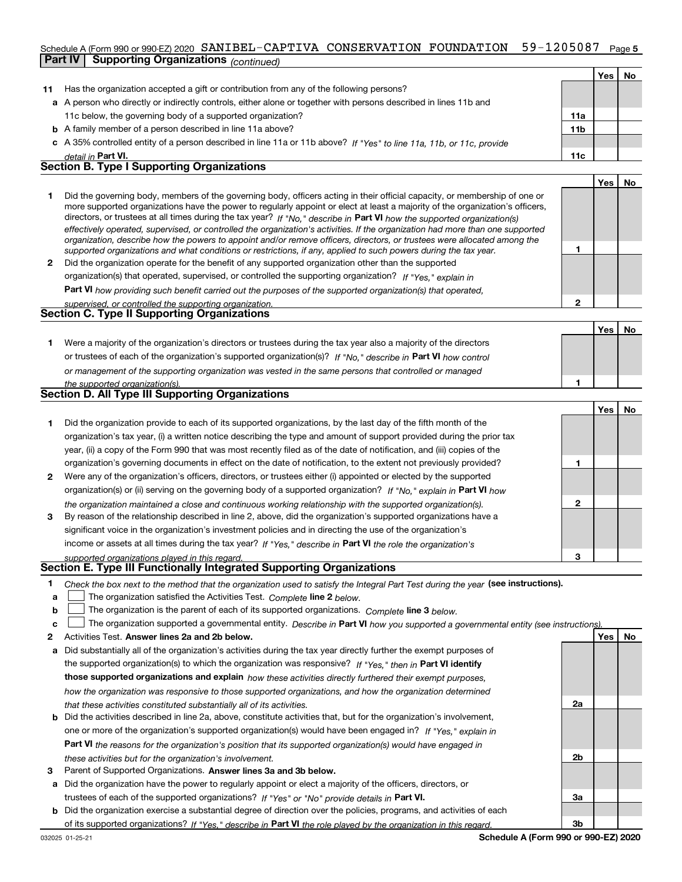#### $59 - 1205087$  Page 5 Schedule A (Form 990 or 990-EZ) 2020  $\,$  SANIBEL-CAPTIVA  $\,$  CONSERVATION  $\,$  FOUNDATION  $\,$  59-1205087  $\,$  Page **Part IV Supporting Organizations** *(continued)*

|              |                                                                                                                                                                                                                                                                                                                                                                                                                                                                                                                                                                                                                                                      |                 | Yes I | No        |
|--------------|------------------------------------------------------------------------------------------------------------------------------------------------------------------------------------------------------------------------------------------------------------------------------------------------------------------------------------------------------------------------------------------------------------------------------------------------------------------------------------------------------------------------------------------------------------------------------------------------------------------------------------------------------|-----------------|-------|-----------|
| 11           | Has the organization accepted a gift or contribution from any of the following persons?                                                                                                                                                                                                                                                                                                                                                                                                                                                                                                                                                              |                 |       |           |
|              | a A person who directly or indirectly controls, either alone or together with persons described in lines 11b and                                                                                                                                                                                                                                                                                                                                                                                                                                                                                                                                     |                 |       |           |
|              | 11c below, the governing body of a supported organization?                                                                                                                                                                                                                                                                                                                                                                                                                                                                                                                                                                                           | 11a             |       |           |
|              | <b>b</b> A family member of a person described in line 11a above?                                                                                                                                                                                                                                                                                                                                                                                                                                                                                                                                                                                    | 11 <sub>b</sub> |       |           |
|              | c A 35% controlled entity of a person described in line 11a or 11b above? If "Yes" to line 11a, 11b, or 11c, provide                                                                                                                                                                                                                                                                                                                                                                                                                                                                                                                                 |                 |       |           |
|              | detail in Part VI.                                                                                                                                                                                                                                                                                                                                                                                                                                                                                                                                                                                                                                   | 11c             |       |           |
|              | <b>Section B. Type I Supporting Organizations</b>                                                                                                                                                                                                                                                                                                                                                                                                                                                                                                                                                                                                    |                 |       |           |
|              |                                                                                                                                                                                                                                                                                                                                                                                                                                                                                                                                                                                                                                                      |                 | Yes I | <b>No</b> |
|              | Did the governing body, members of the governing body, officers acting in their official capacity, or membership of one or<br>more supported organizations have the power to regularly appoint or elect at least a majority of the organization's officers,<br>directors, or trustees at all times during the tax year? If "No," describe in Part VI how the supported organization(s)<br>effectively operated, supervised, or controlled the organization's activities. If the organization had more than one supported<br>organization, describe how the powers to appoint and/or remove officers, directors, or trustees were allocated among the |                 |       |           |
|              | supported organizations and what conditions or restrictions, if any, applied to such powers during the tax year.                                                                                                                                                                                                                                                                                                                                                                                                                                                                                                                                     |                 |       |           |
| $\mathbf{2}$ | Did the organization operate for the benefit of any supported organization other than the supported                                                                                                                                                                                                                                                                                                                                                                                                                                                                                                                                                  |                 |       |           |
|              | organization(s) that operated, supervised, or controlled the supporting organization? If "Yes," explain in                                                                                                                                                                                                                                                                                                                                                                                                                                                                                                                                           |                 |       |           |
|              |                                                                                                                                                                                                                                                                                                                                                                                                                                                                                                                                                                                                                                                      |                 |       |           |

**Part VI**  *how providing such benefit carried out the purposes of the supported organization(s) that operated,*

| supervised, or controlled the supporting organization. |  |
|--------------------------------------------------------|--|
| <b>Section C. Type II Supporting Organizations</b>     |  |

**Yes No 1**or trustees of each of the organization's supported organization(s)? If "No," describe in **Part VI** how control **1***or management of the supporting organization was vested in the same persons that controlled or managed* Were a majority of the organization's directors or trustees during the tax year also a majority of the directors

| the supported organization(s).                                                                   |
|--------------------------------------------------------------------------------------------------|
| Section D. All Type III Supporting Organizations                                                 |
|                                                                                                  |
| Did the organization provide to each of its supported organizations, by the last day of the fift |

|              | Did the organization provide to each of its supported organizations, by the last day of the fifth month of the         |   |  |
|--------------|------------------------------------------------------------------------------------------------------------------------|---|--|
|              | organization's tax year, (i) a written notice describing the type and amount of support provided during the prior tax  |   |  |
|              | year, (ii) a copy of the Form 990 that was most recently filed as of the date of notification, and (iii) copies of the |   |  |
|              | organization's governing documents in effect on the date of notification, to the extent not previously provided?       |   |  |
| $\mathbf{2}$ | Were any of the organization's officers, directors, or trustees either (i) appointed or elected by the supported       |   |  |
|              | organization(s) or (ii) serving on the governing body of a supported organization? If "No," explain in Part VI how     |   |  |
|              | the organization maintained a close and continuous working relationship with the supported organization(s).            | 2 |  |
| 3            | By reason of the relationship described in line 2, above, did the organization's supported organizations have a        |   |  |
|              | significant voice in the organization's investment policies and in directing the use of the organization's             |   |  |
|              | income or assets at all times during the tax year? If "Yes," describe in Part VI the role the organization's           |   |  |
|              | supported organizations played in this regard                                                                          |   |  |

# *supported organizations played in this regard.* **Section E. Type III Functionally Integrated Supporting Organizations**

- **1**Check the box next to the method that the organization used to satisfy the Integral Part Test during the year (see instructions).
- **alinupy** The organization satisfied the Activities Test. Complete line 2 below.
- **b**The organization is the parent of each of its supported organizations. *Complete* line 3 *below.*  $\mathcal{L}^{\text{max}}$

|  |  |  | c <u>L</u> The organization supported a governmental entity. Describe in Part VI how you supported a governmental entity (see instructions) |  |
|--|--|--|---------------------------------------------------------------------------------------------------------------------------------------------|--|
|--|--|--|---------------------------------------------------------------------------------------------------------------------------------------------|--|

- **2Answer lines 2a and 2b below. Yes No** Activities Test.
- **a** Did substantially all of the organization's activities during the tax year directly further the exempt purposes of the supported organization(s) to which the organization was responsive? If "Yes," then in **Part VI identify those supported organizations and explain**  *how these activities directly furthered their exempt purposes, how the organization was responsive to those supported organizations, and how the organization determined that these activities constituted substantially all of its activities.*
- **b** Did the activities described in line 2a, above, constitute activities that, but for the organization's involvement, **Part VI**  *the reasons for the organization's position that its supported organization(s) would have engaged in* one or more of the organization's supported organization(s) would have been engaged in? If "Yes," e*xplain in these activities but for the organization's involvement.*
- **3**Parent of Supported Organizations. Answer lines 3a and 3b below.
- **a** Did the organization have the power to regularly appoint or elect a majority of the officers, directors, or trustees of each of the supported organizations? If "Yes" or "No" provide details in P**art VI.**
- **b** Did the organization exercise a substantial degree of direction over the policies, programs, and activities of each of its supported organizations? If "Yes," describe in Part VI the role played by the organization in this regard.

**2a**

**2b**

**3a**

**3b**

**2**

**YesNo**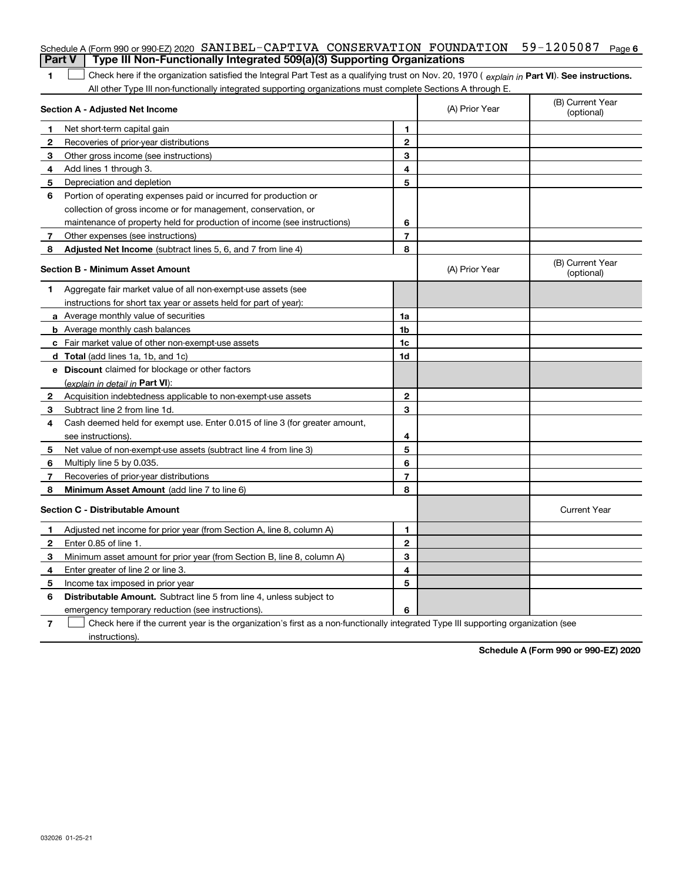|                                         | Schedule A (Form 990 or 990-EZ) 2020 SANIBEL-CAPTIVA CONSERVATION FOUNDATION                                                                   |                |                                | $59 - 1205087$ Page 6          |
|-----------------------------------------|------------------------------------------------------------------------------------------------------------------------------------------------|----------------|--------------------------------|--------------------------------|
|                                         | Type III Non-Functionally Integrated 509(a)(3) Supporting Organizations<br><b>Part V</b>                                                       |                |                                |                                |
| 1                                       | Check here if the organization satisfied the Integral Part Test as a qualifying trust on Nov. 20, 1970 (explain in Part VI). See instructions. |                |                                |                                |
|                                         | All other Type III non-functionally integrated supporting organizations must complete Sections A through E.                                    |                |                                |                                |
|                                         | <b>Section A - Adjusted Net Income</b>                                                                                                         | (A) Prior Year | (B) Current Year<br>(optional) |                                |
| 1                                       | Net short-term capital gain                                                                                                                    | 1              |                                |                                |
| $\mathbf{2}$                            | Recoveries of prior-year distributions                                                                                                         | $\bf 2$        |                                |                                |
| 3                                       | Other gross income (see instructions)                                                                                                          | 3              |                                |                                |
| 4                                       | Add lines 1 through 3.                                                                                                                         | 4              |                                |                                |
| 5                                       | Depreciation and depletion                                                                                                                     | 5              |                                |                                |
| 6                                       | Portion of operating expenses paid or incurred for production or                                                                               |                |                                |                                |
|                                         | collection of gross income or for management, conservation, or                                                                                 |                |                                |                                |
|                                         | maintenance of property held for production of income (see instructions)                                                                       | 6              |                                |                                |
| 7                                       | Other expenses (see instructions)                                                                                                              | $\overline{7}$ |                                |                                |
| 8                                       | Adjusted Net Income (subtract lines 5, 6, and 7 from line 4)                                                                                   | 8              |                                |                                |
|                                         | <b>Section B - Minimum Asset Amount</b>                                                                                                        |                | (A) Prior Year                 | (B) Current Year<br>(optional) |
| 1                                       | Aggregate fair market value of all non-exempt-use assets (see                                                                                  |                |                                |                                |
|                                         | instructions for short tax year or assets held for part of year):                                                                              |                |                                |                                |
|                                         | <b>a</b> Average monthly value of securities                                                                                                   | 1a             |                                |                                |
|                                         | <b>b</b> Average monthly cash balances                                                                                                         | 1 <sub>b</sub> |                                |                                |
|                                         | c Fair market value of other non-exempt-use assets                                                                                             | 1 <sub>c</sub> |                                |                                |
|                                         | <b>d</b> Total (add lines 1a, 1b, and 1c)                                                                                                      | 1d             |                                |                                |
|                                         | e Discount claimed for blockage or other factors                                                                                               |                |                                |                                |
|                                         | (explain in detail in <b>Part VI</b> ):                                                                                                        |                |                                |                                |
| 2                                       | Acquisition indebtedness applicable to non-exempt-use assets                                                                                   | 2              |                                |                                |
| 3                                       | Subtract line 2 from line 1d.                                                                                                                  | 3              |                                |                                |
| 4                                       | Cash deemed held for exempt use. Enter 0.015 of line 3 (for greater amount,                                                                    |                |                                |                                |
|                                         | see instructions).                                                                                                                             | 4              |                                |                                |
| 5                                       | Net value of non-exempt-use assets (subtract line 4 from line 3)                                                                               | 5              |                                |                                |
| 6                                       | Multiply line 5 by 0.035.                                                                                                                      | 6              |                                |                                |
| 7                                       | Recoveries of prior-year distributions                                                                                                         | $\overline{7}$ |                                |                                |
| 8                                       | Minimum Asset Amount (add line 7 to line 6)                                                                                                    | 8              |                                |                                |
| <b>Section C - Distributable Amount</b> |                                                                                                                                                |                |                                | <b>Current Year</b>            |
| 1                                       | Adjusted net income for prior year (from Section A, line 8, column A)                                                                          | 1              |                                |                                |
| $\mathbf{2}$                            | Enter 0.85 of line 1.                                                                                                                          | $\mathbf{2}$   |                                |                                |
| 3                                       | Minimum asset amount for prior year (from Section B, line 8, column A)                                                                         | 3              |                                |                                |
| 4                                       | Enter greater of line 2 or line 3.                                                                                                             | 4              |                                |                                |
| 5                                       | Income tax imposed in prior year                                                                                                               | 5              |                                |                                |
| 6                                       | <b>Distributable Amount.</b> Subtract line 5 from line 4, unless subject to                                                                    |                |                                |                                |
|                                         | emergency temporary reduction (see instructions).                                                                                              | 6              |                                |                                |
|                                         |                                                                                                                                                |                |                                |                                |

**7** Check here if the current year is the organization's first as a non-functionally integrated Type III supporting organization (see instructions).

**Schedule A (Form 990 or 990-EZ) 2020**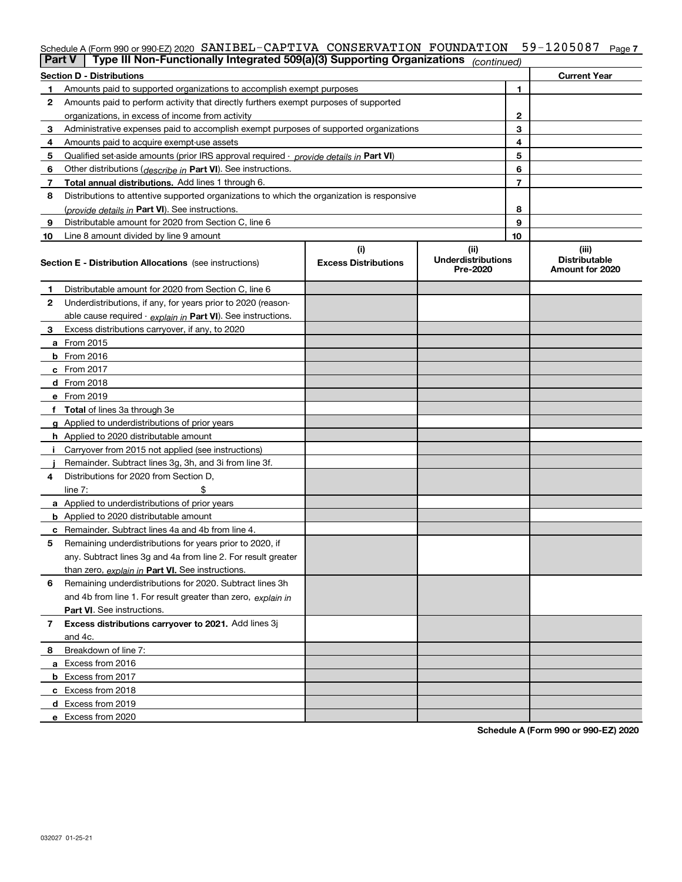# Schedule A (Form 990 or 990-EZ) 2020  $\,$  S $\,$ ANIBEL-CAPTIVA  $\,$  CONSERVATION  $\,$  FOUNDATION  $\,$  59–1205087  $\,$  Page 7  $\,$

| <b>Part V</b> | Type III Non-Functionally Integrated 509(a)(3) Supporting Organizations <sub>(continued)</sub> |                                    |                                               |                          |                                                  |
|---------------|------------------------------------------------------------------------------------------------|------------------------------------|-----------------------------------------------|--------------------------|--------------------------------------------------|
|               | <b>Section D - Distributions</b>                                                               |                                    |                                               |                          | <b>Current Year</b>                              |
|               | Amounts paid to supported organizations to accomplish exempt purposes                          |                                    | 1                                             |                          |                                                  |
| 2             | Amounts paid to perform activity that directly furthers exempt purposes of supported           |                                    |                                               |                          |                                                  |
|               | organizations, in excess of income from activity                                               | 2                                  |                                               |                          |                                                  |
| 3             | Administrative expenses paid to accomplish exempt purposes of supported organizations          |                                    | 3                                             |                          |                                                  |
| 4             | Amounts paid to acquire exempt-use assets                                                      |                                    |                                               | 4                        |                                                  |
| 5             | Qualified set-aside amounts (prior IRS approval required - provide details in Part VI)         |                                    |                                               | 5                        |                                                  |
| 6             | Other distributions ( <i>describe in</i> Part VI). See instructions.                           |                                    |                                               | 6                        |                                                  |
| 7             | Total annual distributions. Add lines 1 through 6.                                             |                                    |                                               | $\overline{\phantom{a}}$ |                                                  |
| 8             | Distributions to attentive supported organizations to which the organization is responsive     |                                    |                                               |                          |                                                  |
|               | (provide details in Part VI). See instructions.                                                |                                    |                                               | 8                        |                                                  |
| 9             | Distributable amount for 2020 from Section C, line 6                                           |                                    |                                               | 9                        |                                                  |
| 10            | Line 8 amount divided by line 9 amount                                                         |                                    |                                               | 10                       |                                                  |
|               | <b>Section E - Distribution Allocations</b> (see instructions)                                 | (i)<br><b>Excess Distributions</b> | (ii)<br><b>Underdistributions</b><br>Pre-2020 |                          | (iii)<br><b>Distributable</b><br>Amount for 2020 |
| 1             | Distributable amount for 2020 from Section C, line 6                                           |                                    |                                               |                          |                                                  |
| 2             | Underdistributions, if any, for years prior to 2020 (reason-                                   |                                    |                                               |                          |                                                  |
|               | able cause required - explain in Part VI). See instructions.                                   |                                    |                                               |                          |                                                  |
| 3             | Excess distributions carryover, if any, to 2020                                                |                                    |                                               |                          |                                                  |
|               | a From 2015                                                                                    |                                    |                                               |                          |                                                  |
|               | <b>b</b> From 2016                                                                             |                                    |                                               |                          |                                                  |
|               | $c$ From 2017                                                                                  |                                    |                                               |                          |                                                  |
|               | d From 2018                                                                                    |                                    |                                               |                          |                                                  |
|               | e From 2019                                                                                    |                                    |                                               |                          |                                                  |
|               | f Total of lines 3a through 3e                                                                 |                                    |                                               |                          |                                                  |
|               | g Applied to underdistributions of prior years                                                 |                                    |                                               |                          |                                                  |
|               | h Applied to 2020 distributable amount                                                         |                                    |                                               |                          |                                                  |
|               | Carryover from 2015 not applied (see instructions)                                             |                                    |                                               |                          |                                                  |
|               | Remainder. Subtract lines 3g, 3h, and 3i from line 3f.                                         |                                    |                                               |                          |                                                  |
| 4             | Distributions for 2020 from Section D.                                                         |                                    |                                               |                          |                                                  |
|               | line $7:$                                                                                      |                                    |                                               |                          |                                                  |
|               | a Applied to underdistributions of prior years                                                 |                                    |                                               |                          |                                                  |
|               | <b>b</b> Applied to 2020 distributable amount                                                  |                                    |                                               |                          |                                                  |
|               | c Remainder. Subtract lines 4a and 4b from line 4.                                             |                                    |                                               |                          |                                                  |
| 5             | Remaining underdistributions for years prior to 2020, if                                       |                                    |                                               |                          |                                                  |
|               | any. Subtract lines 3g and 4a from line 2. For result greater                                  |                                    |                                               |                          |                                                  |
|               | than zero, explain in Part VI. See instructions.                                               |                                    |                                               |                          |                                                  |
| 6             | Remaining underdistributions for 2020. Subtract lines 3h                                       |                                    |                                               |                          |                                                  |
|               | and 4b from line 1. For result greater than zero, explain in                                   |                                    |                                               |                          |                                                  |
|               | Part VI. See instructions.                                                                     |                                    |                                               |                          |                                                  |
| 7             | Excess distributions carryover to 2021. Add lines 3j                                           |                                    |                                               |                          |                                                  |
|               | and 4c.                                                                                        |                                    |                                               |                          |                                                  |
| 8             | Breakdown of line 7:                                                                           |                                    |                                               |                          |                                                  |
|               | a Excess from 2016                                                                             |                                    |                                               |                          |                                                  |
|               | <b>b</b> Excess from 2017                                                                      |                                    |                                               |                          |                                                  |
|               | c Excess from 2018                                                                             |                                    |                                               |                          |                                                  |
|               | d Excess from 2019                                                                             |                                    |                                               |                          |                                                  |
|               | e Excess from 2020                                                                             |                                    |                                               |                          |                                                  |

**Schedule A (Form 990 or 990-EZ) 2020**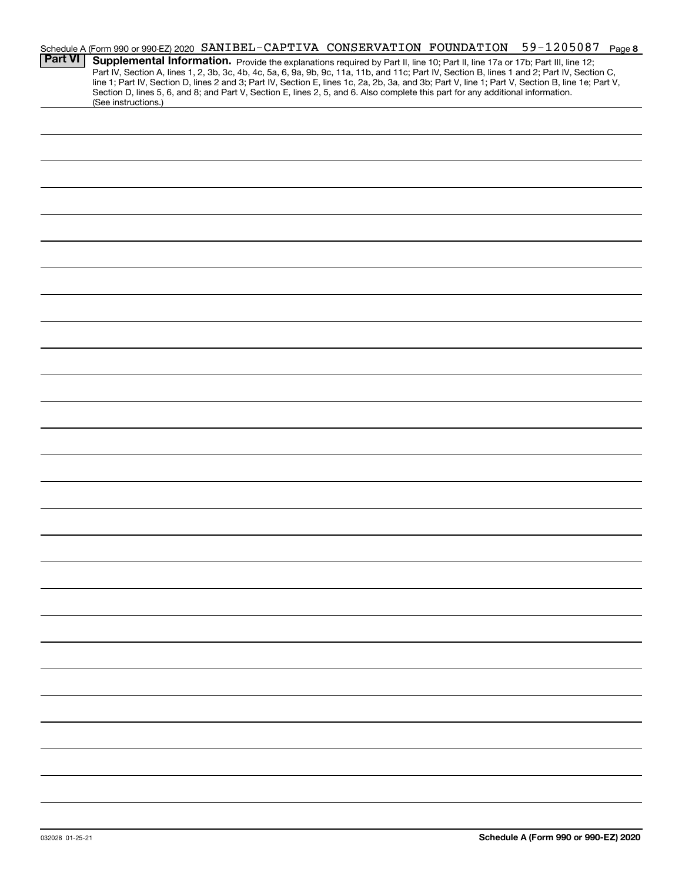|                | 59-1205087<br>Schedule A (Form 990 or 990-EZ) 2020 SANIBEL-CAPTIVA CONSERVATION FOUNDATION<br>Page 8                                                                                                                                                                                             |
|----------------|--------------------------------------------------------------------------------------------------------------------------------------------------------------------------------------------------------------------------------------------------------------------------------------------------|
| <b>Part VI</b> | Supplemental Information. Provide the explanations required by Part II, line 10; Part II, line 17a or 17b; Part III, line 12;                                                                                                                                                                    |
|                | Part IV, Section A, lines 1, 2, 3b, 3c, 4b, 4c, 5a, 6, 9a, 9b, 9c, 11a, 11b, and 11c; Part IV, Section B, lines 1 and 2; Part IV, Section C,<br>line 1; Part IV, Section D, lines 2 and 3; Part IV, Section E, lines 1c, 2a, 2b, 3a, and 3b; Part V, line 1; Part V, Section B, line 1e; Part V, |
|                | Section D, lines 5, 6, and 8; and Part V, Section E, lines 2, 5, and 6. Also complete this part for any additional information.                                                                                                                                                                  |
|                | (See instructions.)                                                                                                                                                                                                                                                                              |
|                |                                                                                                                                                                                                                                                                                                  |
|                |                                                                                                                                                                                                                                                                                                  |
|                |                                                                                                                                                                                                                                                                                                  |
|                |                                                                                                                                                                                                                                                                                                  |
|                |                                                                                                                                                                                                                                                                                                  |
|                |                                                                                                                                                                                                                                                                                                  |
|                |                                                                                                                                                                                                                                                                                                  |
|                |                                                                                                                                                                                                                                                                                                  |
|                |                                                                                                                                                                                                                                                                                                  |
|                |                                                                                                                                                                                                                                                                                                  |
|                |                                                                                                                                                                                                                                                                                                  |
|                |                                                                                                                                                                                                                                                                                                  |
|                |                                                                                                                                                                                                                                                                                                  |
|                |                                                                                                                                                                                                                                                                                                  |
|                |                                                                                                                                                                                                                                                                                                  |
|                |                                                                                                                                                                                                                                                                                                  |
|                |                                                                                                                                                                                                                                                                                                  |
|                |                                                                                                                                                                                                                                                                                                  |
|                |                                                                                                                                                                                                                                                                                                  |
|                |                                                                                                                                                                                                                                                                                                  |
|                |                                                                                                                                                                                                                                                                                                  |
|                |                                                                                                                                                                                                                                                                                                  |
|                |                                                                                                                                                                                                                                                                                                  |
|                |                                                                                                                                                                                                                                                                                                  |
|                |                                                                                                                                                                                                                                                                                                  |
|                |                                                                                                                                                                                                                                                                                                  |
|                |                                                                                                                                                                                                                                                                                                  |
|                |                                                                                                                                                                                                                                                                                                  |
|                |                                                                                                                                                                                                                                                                                                  |
|                |                                                                                                                                                                                                                                                                                                  |
|                |                                                                                                                                                                                                                                                                                                  |
|                |                                                                                                                                                                                                                                                                                                  |
|                |                                                                                                                                                                                                                                                                                                  |
|                |                                                                                                                                                                                                                                                                                                  |
|                |                                                                                                                                                                                                                                                                                                  |
|                |                                                                                                                                                                                                                                                                                                  |
|                |                                                                                                                                                                                                                                                                                                  |
|                |                                                                                                                                                                                                                                                                                                  |
|                |                                                                                                                                                                                                                                                                                                  |
|                |                                                                                                                                                                                                                                                                                                  |
|                |                                                                                                                                                                                                                                                                                                  |
|                |                                                                                                                                                                                                                                                                                                  |
|                |                                                                                                                                                                                                                                                                                                  |
|                |                                                                                                                                                                                                                                                                                                  |
|                |                                                                                                                                                                                                                                                                                                  |
|                |                                                                                                                                                                                                                                                                                                  |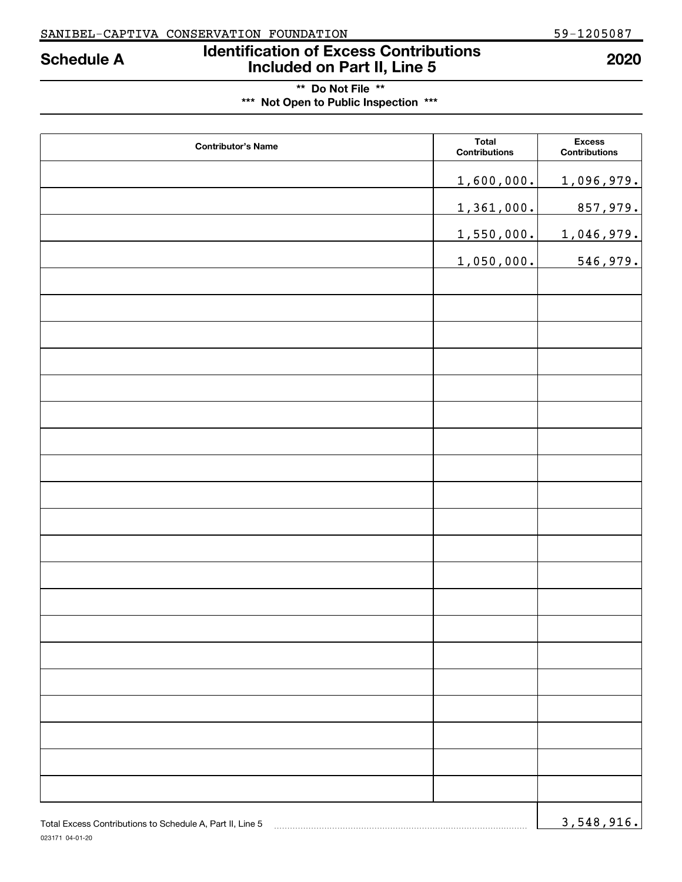# **Identification of Excess Contributions Included on Part II, Line 5 Schedule A 2020**

# **\*\* Do Not File \*\* \*\*\* Not Open to Public Inspection \*\*\***

| <b>Contributor's Name</b> | <b>Total</b><br>Contributions | <b>Excess</b><br>Contributions |
|---------------------------|-------------------------------|--------------------------------|
|                           | 1,600,000.                    | 1,096,979.                     |
|                           | 1,361,000.                    | 857,979.                       |
|                           | 1,550,000.                    | 1,046,979.                     |
|                           | 1,050,000.                    | 546,979.                       |
|                           |                               |                                |
|                           |                               |                                |
|                           |                               |                                |
|                           |                               |                                |
|                           |                               |                                |
|                           |                               |                                |
|                           |                               |                                |
|                           |                               |                                |
|                           |                               |                                |
|                           |                               |                                |
|                           |                               |                                |
|                           |                               |                                |
|                           |                               |                                |
|                           |                               |                                |
|                           |                               |                                |
|                           |                               |                                |
|                           |                               |                                |
|                           |                               |                                |
|                           |                               |                                |
|                           |                               |                                |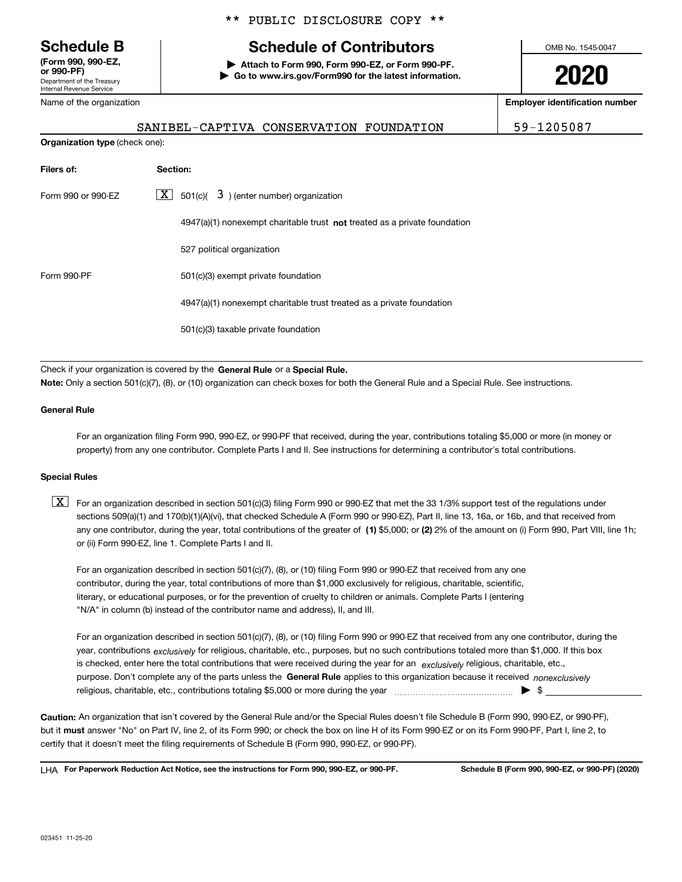Department of the Treasury Internal Revenue Service **(Form 990, 990-EZ, or 990-PF)**

#### Name of the organization

**Organization type** (check one):

### \*\* PUBLIC DISCLOSURE COPY \*\*

# **Schedule B Schedule of Contributors**

**| Attach to Form 990, Form 990-EZ, or Form 990-PF. | Go to www.irs.gov/Form990 for the latest information.** OMB No. 1545-0047

**2020**

**Employer identification number**

SANIBEL-CAPTIVA CONSERVATION FOUNDATION 59-1205087

| Filers of:         | Section:                                                                           |
|--------------------|------------------------------------------------------------------------------------|
| Form 990 or 990-EZ | $\boxed{\textbf{X}}$ 501(c)( 3) (enter number) organization                        |
|                    | $4947(a)(1)$ nonexempt charitable trust <b>not</b> treated as a private foundation |
|                    | 527 political organization                                                         |
| Form 990-PF        | 501(c)(3) exempt private foundation                                                |
|                    | 4947(a)(1) nonexempt charitable trust treated as a private foundation              |
|                    | 501(c)(3) taxable private foundation                                               |

Check if your organization is covered by the **General Rule** or a **Special Rule.**<br>Nota: Only a section 501(c)(7), (8), or (10) erganization can chock boxes for be **Note:**  Only a section 501(c)(7), (8), or (10) organization can check boxes for both the General Rule and a Special Rule. See instructions.

#### **General Rule**

For an organization filing Form 990, 990-EZ, or 990-PF that received, during the year, contributions totaling \$5,000 or more (in money or property) from any one contributor. Complete Parts I and II. See instructions for determining a contributor's total contributions.

#### **Special Rules**

any one contributor, during the year, total contributions of the greater of  $\,$  (1) \$5,000; or **(2)** 2% of the amount on (i) Form 990, Part VIII, line 1h;  $\boxed{\textbf{X}}$  For an organization described in section 501(c)(3) filing Form 990 or 990-EZ that met the 33 1/3% support test of the regulations under sections 509(a)(1) and 170(b)(1)(A)(vi), that checked Schedule A (Form 990 or 990-EZ), Part II, line 13, 16a, or 16b, and that received from or (ii) Form 990-EZ, line 1. Complete Parts I and II.

For an organization described in section 501(c)(7), (8), or (10) filing Form 990 or 990-EZ that received from any one contributor, during the year, total contributions of more than \$1,000 exclusively for religious, charitable, scientific, literary, or educational purposes, or for the prevention of cruelty to children or animals. Complete Parts I (entering "N/A" in column (b) instead of the contributor name and address), II, and III.

purpose. Don't complete any of the parts unless the **General Rule** applies to this organization because it received *nonexclusively* year, contributions <sub>exclusively</sub> for religious, charitable, etc., purposes, but no such contributions totaled more than \$1,000. If this box is checked, enter here the total contributions that were received during the year for an  $\;$ exclusively religious, charitable, etc., For an organization described in section 501(c)(7), (8), or (10) filing Form 990 or 990-EZ that received from any one contributor, during the religious, charitable, etc., contributions totaling \$5,000 or more during the year  $\Box$ — $\Box$   $\Box$ 

**Caution:**  An organization that isn't covered by the General Rule and/or the Special Rules doesn't file Schedule B (Form 990, 990-EZ, or 990-PF), but it **must** answer "No" on Part IV, line 2, of its Form 990; or check the box on line H of its Form 990-EZ or on its Form 990-PF, Part I, line 2, to<br>cortify that it doesn't meet the filipe requirements of Schodule B (Fer certify that it doesn't meet the filing requirements of Schedule B (Form 990, 990-EZ, or 990-PF).

**For Paperwork Reduction Act Notice, see the instructions for Form 990, 990-EZ, or 990-PF. Schedule B (Form 990, 990-EZ, or 990-PF) (2020)** LHA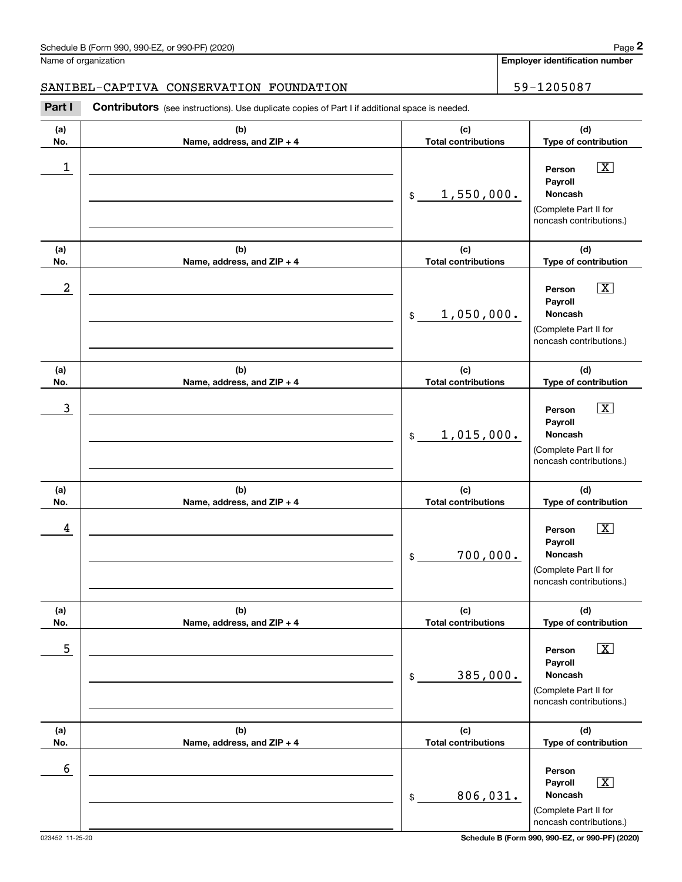Name of organization

**Employer identification number**

#### SANIBEL-CAPTIVA CONSERVATION FOUNDATION 59-1205087

**(a)No.(b)Name, address, and ZIP + 4 (c)Total contributions (d)Type of contribution PersonPayrollNoncash(a)No.(b)Name, address, and ZIP + 4 (c)Total contributions (d)Type of contribution PersonPayrollNoncash(a)No.(b)Name, address, and ZIP + 4 (c)Total contributions (d)Type of contribution PersonPayrollNoncash(a) No.(b) Name, address, and ZIP + 4 (c) Total contributions (d) Type of contribution PersonPayrollNoncash(a) No.(b) Name, address, and ZIP + 4 (c) Total contributions (d) Type of contribution Person PayrollNoncash(a) No.(b)Name, address, and ZIP + 4 (c) Total contributions (d)Type of contribution PersonPayrollNoncash** Contributors (see instructions). Use duplicate copies of Part I if additional space is needed. \$(Complete Part II for noncash contributions.) \$(Complete Part II for noncash contributions.) \$(Complete Part II for noncash contributions.) \$(Complete Part II for noncash contributions.) \$(Complete Part II for noncash contributions.) \$(Complete Part II for noncash contributions.) **2Page 2**<br>
Iame of organization<br> **2Part I CAPTIVA CONSERVATION FOUNDATION**<br> **Part I Contributors** (see instructions). Use duplicate copies of Part I if additional space is needed.  $\boxed{\mathbf{X}}$  $\boxed{\mathbf{X}}$  $|\mathbf{X}|$  $\sqrt{X}$  $\boxed{\text{X}}$  X  $\begin{array}{c|c|c|c|c|c} 1 & \hspace{1.5cm} & \hspace{1.5cm} & \hspace{1.5cm} & \hspace{1.5cm} & \hspace{1.5cm} & \hspace{1.5cm} & \hspace{1.5cm} & \hspace{1.5cm} & \hspace{1.5cm} & \hspace{1.5cm} & \hspace{1.5cm} & \hspace{1.5cm} & \hspace{1.5cm} & \hspace{1.5cm} & \hspace{1.5cm} & \hspace{1.5cm} & \hspace{1.5cm} & \hspace{1.5cm} & \hspace{1.5cm} & \hspace{1.5cm} &$ 1,550,000.  $2$  | Person  $\overline{\text{X}}$ 1,050,000.  $\overline{3}$  | Person  $\overline{X}$ 1,015,000.  $4$  | Person  $\overline{\text{X}}$ 700,000.  $\sim$  5 | Person X 385,000. 6 806,031.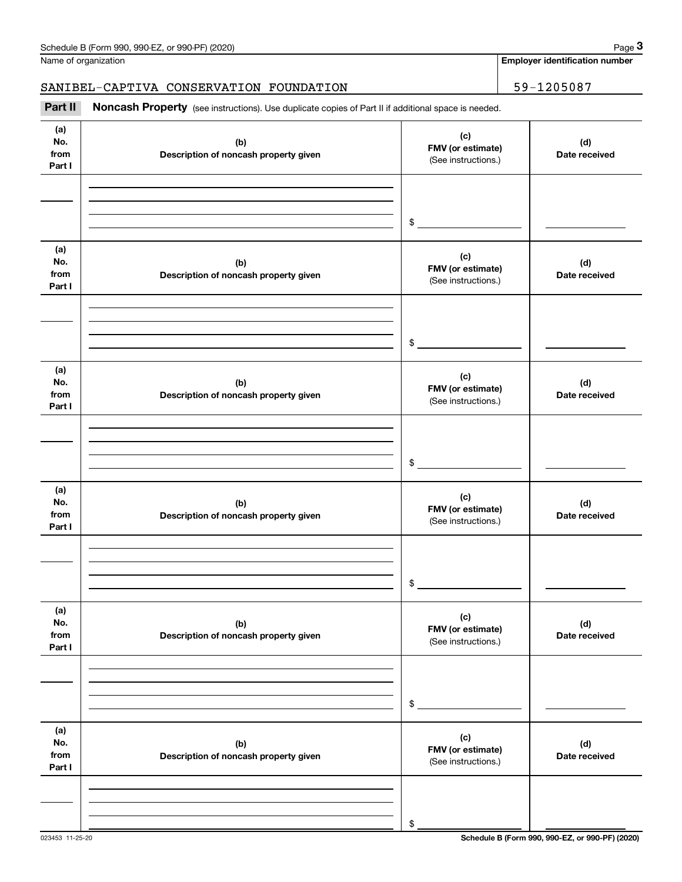**Employer identification number**

# SANIBEL-CAPTIVA CONSERVATION FOUNDATION 59-1205087

(see instructions). Use duplicate copies of Part II if additional space is needed.<br> **3Part II Noncash Property** (see instructions). Use duplicate copies of Part II if additional space is needed.<br> **3Part II Noncash Prop** 

| (a)<br>No.<br>from<br>Part I | (b)<br>Description of noncash property given | (c)<br>FMV (or estimate)<br>(See instructions.) | (d)<br>Date received |
|------------------------------|----------------------------------------------|-------------------------------------------------|----------------------|
|                              |                                              | $\frac{1}{2}$                                   |                      |
| (a)<br>No.<br>from<br>Part I | (b)<br>Description of noncash property given | (c)<br>FMV (or estimate)<br>(See instructions.) | (d)<br>Date received |
|                              |                                              | $\frac{1}{2}$                                   |                      |
| (a)<br>No.<br>from<br>Part I | (b)<br>Description of noncash property given | (c)<br>FMV (or estimate)<br>(See instructions.) | (d)<br>Date received |
|                              |                                              | $\frac{1}{2}$                                   |                      |
| (a)<br>No.<br>from<br>Part I | (b)<br>Description of noncash property given | (c)<br>FMV (or estimate)<br>(See instructions.) | (d)<br>Date received |
|                              |                                              | $\mathsf{\$}$                                   |                      |
| (a)<br>No.<br>from<br>Part I | (b)<br>Description of noncash property given | (c)<br>FMV (or estimate)<br>(See instructions.) | (d)<br>Date received |
|                              |                                              | \$                                              |                      |
| (a)<br>No.<br>from<br>Part I | (b)<br>Description of noncash property given | (c)<br>FMV (or estimate)<br>(See instructions.) | (d)<br>Date received |
|                              |                                              | \$                                              |                      |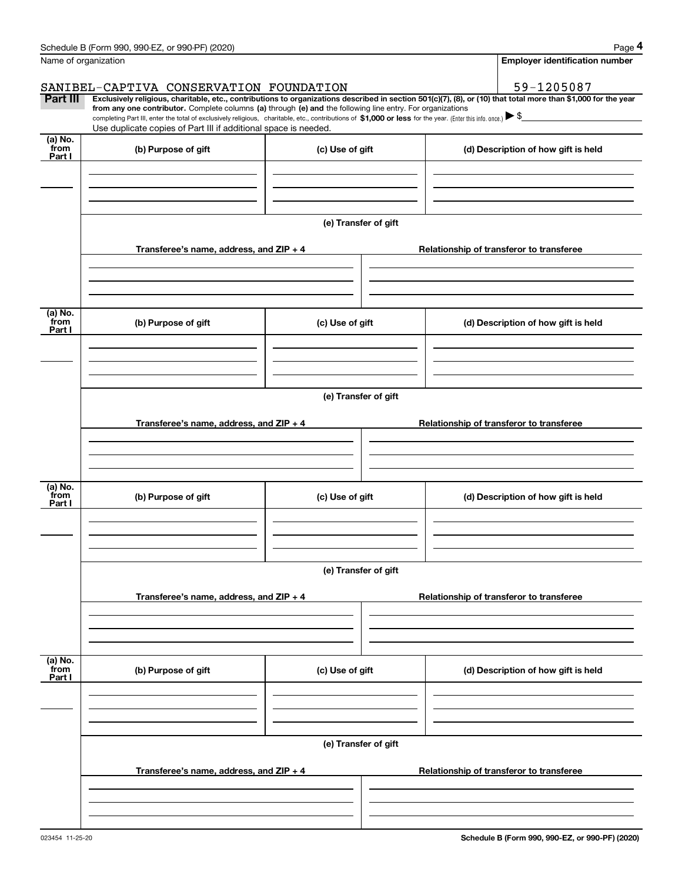|                      | Schedule B (Form 990, 990-EZ, or 990-PF) (2020)                                                                                                                                                                                                      |                      | Page 4                                                                                                                                                         |  |  |  |
|----------------------|------------------------------------------------------------------------------------------------------------------------------------------------------------------------------------------------------------------------------------------------------|----------------------|----------------------------------------------------------------------------------------------------------------------------------------------------------------|--|--|--|
| Name of organization |                                                                                                                                                                                                                                                      |                      | <b>Employer identification number</b>                                                                                                                          |  |  |  |
|                      | SANIBEL-CAPTIVA CONSERVATION FOUNDATION                                                                                                                                                                                                              |                      | 59-1205087                                                                                                                                                     |  |  |  |
| Part III             | from any one contributor. Complete columns (a) through (e) and the following line entry. For organizations                                                                                                                                           |                      | Exclusively religious, charitable, etc., contributions to organizations described in section 501(c)(7), (8), or (10) that total more than \$1,000 for the year |  |  |  |
|                      | completing Part III, enter the total of exclusively religious, charitable, etc., contributions of \$1,000 or less for the year. (Enter this info. once.) $\blacktriangleright$ \$<br>Use duplicate copies of Part III if additional space is needed. |                      |                                                                                                                                                                |  |  |  |
| $(a)$ No.<br>from    |                                                                                                                                                                                                                                                      |                      |                                                                                                                                                                |  |  |  |
| Part I               | (b) Purpose of gift                                                                                                                                                                                                                                  | (c) Use of gift      | (d) Description of how gift is held                                                                                                                            |  |  |  |
|                      |                                                                                                                                                                                                                                                      |                      |                                                                                                                                                                |  |  |  |
|                      |                                                                                                                                                                                                                                                      |                      |                                                                                                                                                                |  |  |  |
|                      |                                                                                                                                                                                                                                                      |                      |                                                                                                                                                                |  |  |  |
|                      |                                                                                                                                                                                                                                                      | (e) Transfer of gift |                                                                                                                                                                |  |  |  |
|                      | Transferee's name, address, and ZIP + 4                                                                                                                                                                                                              |                      | Relationship of transferor to transferee                                                                                                                       |  |  |  |
|                      |                                                                                                                                                                                                                                                      |                      |                                                                                                                                                                |  |  |  |
|                      |                                                                                                                                                                                                                                                      |                      |                                                                                                                                                                |  |  |  |
| (a) No.              |                                                                                                                                                                                                                                                      |                      |                                                                                                                                                                |  |  |  |
| from<br>Part I       | (b) Purpose of gift                                                                                                                                                                                                                                  | (c) Use of gift      | (d) Description of how gift is held                                                                                                                            |  |  |  |
|                      |                                                                                                                                                                                                                                                      |                      |                                                                                                                                                                |  |  |  |
|                      |                                                                                                                                                                                                                                                      |                      |                                                                                                                                                                |  |  |  |
|                      |                                                                                                                                                                                                                                                      |                      |                                                                                                                                                                |  |  |  |
|                      | (e) Transfer of gift                                                                                                                                                                                                                                 |                      |                                                                                                                                                                |  |  |  |
|                      | Transferee's name, address, and $ZIP + 4$                                                                                                                                                                                                            |                      | Relationship of transferor to transferee                                                                                                                       |  |  |  |
|                      |                                                                                                                                                                                                                                                      |                      |                                                                                                                                                                |  |  |  |
|                      |                                                                                                                                                                                                                                                      |                      |                                                                                                                                                                |  |  |  |
|                      |                                                                                                                                                                                                                                                      |                      |                                                                                                                                                                |  |  |  |
| (a) No.<br>from      | (b) Purpose of gift                                                                                                                                                                                                                                  | (c) Use of gift      | (d) Description of how gift is held                                                                                                                            |  |  |  |
| Part I               |                                                                                                                                                                                                                                                      |                      |                                                                                                                                                                |  |  |  |
|                      |                                                                                                                                                                                                                                                      |                      |                                                                                                                                                                |  |  |  |
|                      |                                                                                                                                                                                                                                                      |                      |                                                                                                                                                                |  |  |  |
|                      |                                                                                                                                                                                                                                                      | (e) Transfer of gift |                                                                                                                                                                |  |  |  |
|                      |                                                                                                                                                                                                                                                      |                      |                                                                                                                                                                |  |  |  |
|                      | Transferee's name, address, and $ZIP + 4$                                                                                                                                                                                                            |                      | Relationship of transferor to transferee                                                                                                                       |  |  |  |
|                      |                                                                                                                                                                                                                                                      |                      |                                                                                                                                                                |  |  |  |
|                      |                                                                                                                                                                                                                                                      |                      |                                                                                                                                                                |  |  |  |
| (a) No.<br>from      | (b) Purpose of gift                                                                                                                                                                                                                                  | (c) Use of gift      | (d) Description of how gift is held                                                                                                                            |  |  |  |
| Part I               |                                                                                                                                                                                                                                                      |                      |                                                                                                                                                                |  |  |  |
|                      |                                                                                                                                                                                                                                                      |                      |                                                                                                                                                                |  |  |  |
|                      |                                                                                                                                                                                                                                                      |                      |                                                                                                                                                                |  |  |  |
|                      |                                                                                                                                                                                                                                                      | (e) Transfer of gift |                                                                                                                                                                |  |  |  |
|                      |                                                                                                                                                                                                                                                      |                      |                                                                                                                                                                |  |  |  |
|                      | Transferee's name, address, and $ZIP + 4$                                                                                                                                                                                                            |                      | Relationship of transferor to transferee                                                                                                                       |  |  |  |
|                      |                                                                                                                                                                                                                                                      |                      |                                                                                                                                                                |  |  |  |
|                      |                                                                                                                                                                                                                                                      |                      |                                                                                                                                                                |  |  |  |
|                      |                                                                                                                                                                                                                                                      |                      |                                                                                                                                                                |  |  |  |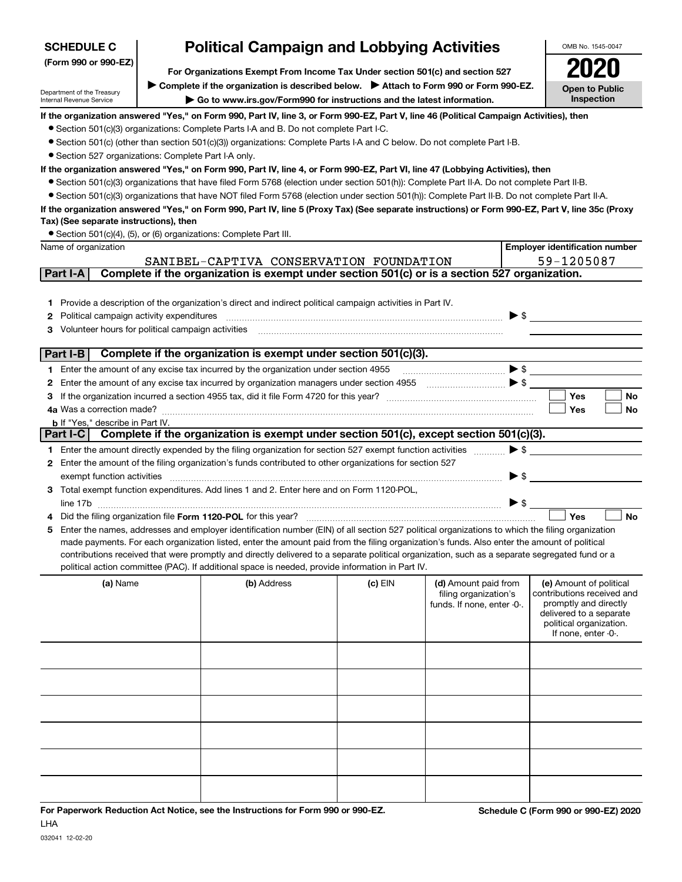| <b>SCHEDULE C</b>                                                                                     |  | <b>Political Campaign and Lobbying Activities</b>                                                                                                                                                                                                                                              |           |                                      |                          | OMB No. 1545-0047                                |
|-------------------------------------------------------------------------------------------------------|--|------------------------------------------------------------------------------------------------------------------------------------------------------------------------------------------------------------------------------------------------------------------------------------------------|-----------|--------------------------------------|--------------------------|--------------------------------------------------|
| (Form 990 or 990-EZ)<br>For Organizations Exempt From Income Tax Under section 501(c) and section 527 |  |                                                                                                                                                                                                                                                                                                |           |                                      |                          |                                                  |
|                                                                                                       |  | ▶ Complete if the organization is described below. ▶ Attach to Form 990 or Form 990-EZ.                                                                                                                                                                                                        |           |                                      |                          |                                                  |
| Department of the Treasury<br>Internal Revenue Service                                                |  | Go to www.irs.gov/Form990 for instructions and the latest information.                                                                                                                                                                                                                         |           |                                      |                          | <b>Open to Public</b><br>Inspection              |
|                                                                                                       |  | If the organization answered "Yes," on Form 990, Part IV, line 3, or Form 990-EZ, Part V, line 46 (Political Campaign Activities), then                                                                                                                                                        |           |                                      |                          |                                                  |
|                                                                                                       |  | • Section 501(c)(3) organizations: Complete Parts I-A and B. Do not complete Part I-C.                                                                                                                                                                                                         |           |                                      |                          |                                                  |
|                                                                                                       |  | • Section 501(c) (other than section 501(c)(3)) organizations: Complete Parts I-A and C below. Do not complete Part I-B.                                                                                                                                                                       |           |                                      |                          |                                                  |
| • Section 527 organizations: Complete Part I-A only.                                                  |  |                                                                                                                                                                                                                                                                                                |           |                                      |                          |                                                  |
|                                                                                                       |  | If the organization answered "Yes," on Form 990, Part IV, line 4, or Form 990-EZ, Part VI, line 47 (Lobbying Activities), then                                                                                                                                                                 |           |                                      |                          |                                                  |
|                                                                                                       |  | • Section 501(c)(3) organizations that have filed Form 5768 (election under section 501(h)): Complete Part II-A. Do not complete Part II-B.<br>• Section 501(c)(3) organizations that have NOT filed Form 5768 (election under section 501(h)): Complete Part II-B. Do not complete Part II-A. |           |                                      |                          |                                                  |
|                                                                                                       |  | If the organization answered "Yes," on Form 990, Part IV, line 5 (Proxy Tax) (See separate instructions) or Form 990-EZ, Part V, line 35c (Proxy                                                                                                                                               |           |                                      |                          |                                                  |
| Tax) (See separate instructions), then                                                                |  |                                                                                                                                                                                                                                                                                                |           |                                      |                          |                                                  |
|                                                                                                       |  | • Section 501(c)(4), (5), or (6) organizations: Complete Part III.                                                                                                                                                                                                                             |           |                                      |                          |                                                  |
| Name of organization                                                                                  |  |                                                                                                                                                                                                                                                                                                |           |                                      |                          | <b>Employer identification number</b>            |
|                                                                                                       |  | SANIBEL-CAPTIVA CONSERVATION FOUNDATION                                                                                                                                                                                                                                                        |           |                                      |                          | 59-1205087                                       |
| Part I-A                                                                                              |  | Complete if the organization is exempt under section 501(c) or is a section 527 organization.                                                                                                                                                                                                  |           |                                      |                          |                                                  |
|                                                                                                       |  |                                                                                                                                                                                                                                                                                                |           |                                      |                          |                                                  |
|                                                                                                       |  | 1 Provide a description of the organization's direct and indirect political campaign activities in Part IV.                                                                                                                                                                                    |           |                                      |                          |                                                  |
| Political campaign activity expenditures<br>2                                                         |  |                                                                                                                                                                                                                                                                                                |           |                                      |                          | $\triangleright$ \$                              |
| Volunteer hours for political campaign activities<br>3                                                |  |                                                                                                                                                                                                                                                                                                |           |                                      |                          |                                                  |
|                                                                                                       |  |                                                                                                                                                                                                                                                                                                |           |                                      |                          |                                                  |
| Part I-B                                                                                              |  | Complete if the organization is exempt under section 501(c)(3).                                                                                                                                                                                                                                |           |                                      |                          |                                                  |
|                                                                                                       |  | 1 Enter the amount of any excise tax incurred by the organization under section 4955                                                                                                                                                                                                           |           | $\bullet$ s $\overline{\phantom{a}}$ |                          |                                                  |
| 2                                                                                                     |  | Enter the amount of any excise tax incurred by organization managers under section 4955                                                                                                                                                                                                        |           |                                      |                          |                                                  |
| З                                                                                                     |  |                                                                                                                                                                                                                                                                                                |           |                                      |                          | Yes<br>No                                        |
|                                                                                                       |  |                                                                                                                                                                                                                                                                                                |           |                                      |                          | Yes<br>No                                        |
| <b>b</b> If "Yes," describe in Part IV.<br>Part I-C                                                   |  | Complete if the organization is exempt under section 501(c), except section 501(c)(3).                                                                                                                                                                                                         |           |                                      |                          |                                                  |
|                                                                                                       |  |                                                                                                                                                                                                                                                                                                |           |                                      |                          |                                                  |
|                                                                                                       |  | 1 Enter the amount directly expended by the filing organization for section 527 exempt function activities<br>2 Enter the amount of the filing organization's funds contributed to other organizations for section 527                                                                         |           |                                      | $\blacktriangleright$ \$ |                                                  |
| exempt function activities                                                                            |  |                                                                                                                                                                                                                                                                                                |           |                                      | $\blacktriangleright$ \$ |                                                  |
|                                                                                                       |  | 3 Total exempt function expenditures. Add lines 1 and 2. Enter here and on Form 1120-POL,                                                                                                                                                                                                      |           |                                      |                          |                                                  |
|                                                                                                       |  |                                                                                                                                                                                                                                                                                                |           |                                      |                          |                                                  |
|                                                                                                       |  |                                                                                                                                                                                                                                                                                                |           |                                      |                          | Yes<br><b>No</b>                                 |
|                                                                                                       |  | 5 Enter the names, addresses and employer identification number (EIN) of all section 527 political organizations to which the filing organization                                                                                                                                              |           |                                      |                          |                                                  |
|                                                                                                       |  | made payments. For each organization listed, enter the amount paid from the filing organization's funds. Also enter the amount of political                                                                                                                                                    |           |                                      |                          |                                                  |
|                                                                                                       |  | contributions received that were promptly and directly delivered to a separate political organization, such as a separate segregated fund or a                                                                                                                                                 |           |                                      |                          |                                                  |
|                                                                                                       |  | political action committee (PAC). If additional space is needed, provide information in Part IV.                                                                                                                                                                                               |           |                                      |                          |                                                  |
| (a) Name                                                                                              |  | (b) Address                                                                                                                                                                                                                                                                                    | $(c)$ EIN | (d) Amount paid from                 |                          | (e) Amount of political                          |
|                                                                                                       |  |                                                                                                                                                                                                                                                                                                |           | filing organization's                |                          | contributions received and                       |
|                                                                                                       |  |                                                                                                                                                                                                                                                                                                |           | funds. If none, enter -0-.           |                          | promptly and directly<br>delivered to a separate |
|                                                                                                       |  |                                                                                                                                                                                                                                                                                                |           |                                      |                          | political organization.                          |
|                                                                                                       |  |                                                                                                                                                                                                                                                                                                |           |                                      |                          | If none, enter -0-.                              |
|                                                                                                       |  |                                                                                                                                                                                                                                                                                                |           |                                      |                          |                                                  |
|                                                                                                       |  |                                                                                                                                                                                                                                                                                                |           |                                      |                          |                                                  |
|                                                                                                       |  |                                                                                                                                                                                                                                                                                                |           |                                      |                          |                                                  |
|                                                                                                       |  |                                                                                                                                                                                                                                                                                                |           |                                      |                          |                                                  |
|                                                                                                       |  |                                                                                                                                                                                                                                                                                                |           |                                      |                          |                                                  |
|                                                                                                       |  |                                                                                                                                                                                                                                                                                                |           |                                      |                          |                                                  |
|                                                                                                       |  |                                                                                                                                                                                                                                                                                                |           |                                      |                          |                                                  |
|                                                                                                       |  |                                                                                                                                                                                                                                                                                                |           |                                      |                          |                                                  |
|                                                                                                       |  |                                                                                                                                                                                                                                                                                                |           |                                      |                          |                                                  |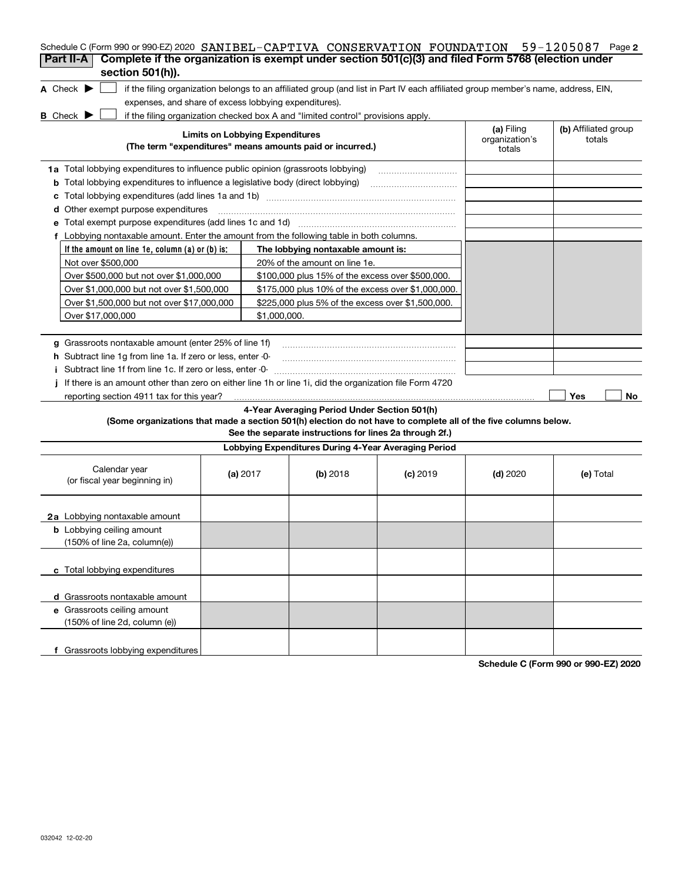| Schedule C (Form 990 or 990-EZ) 2020 SANIBEL-CAPTIVA CONSERVATION FOUNDATION                                                                                       |                                        |                                                         |            |                              | $59 - 1205087$ Page 2          |
|--------------------------------------------------------------------------------------------------------------------------------------------------------------------|----------------------------------------|---------------------------------------------------------|------------|------------------------------|--------------------------------|
| Complete if the organization is exempt under section 501(c)(3) and filed Form 5768 (election under<br>Part II-A                                                    |                                        |                                                         |            |                              |                                |
| section 501(h)).                                                                                                                                                   |                                        |                                                         |            |                              |                                |
| A Check $\blacktriangleright$<br>if the filing organization belongs to an affiliated group (and list in Part IV each affiliated group member's name, address, EIN, |                                        |                                                         |            |                              |                                |
| expenses, and share of excess lobbying expenditures).                                                                                                              |                                        |                                                         |            |                              |                                |
| <b>B</b> Check $\blacktriangleright$<br>if the filing organization checked box A and "limited control" provisions apply.                                           | <b>Limits on Lobbying Expenditures</b> |                                                         |            | (a) Filing<br>organization's | (b) Affiliated group<br>totals |
| (The term "expenditures" means amounts paid or incurred.)                                                                                                          |                                        |                                                         |            | totals                       |                                |
| 1a Total lobbying expenditures to influence public opinion (grassroots lobbying)                                                                                   |                                        |                                                         |            |                              |                                |
| <b>b</b> Total lobbying expenditures to influence a legislative body (direct lobbying)                                                                             |                                        |                                                         |            |                              |                                |
| с                                                                                                                                                                  |                                        |                                                         |            |                              |                                |
| <b>d</b> Other exempt purpose expenditures                                                                                                                         |                                        |                                                         |            |                              |                                |
|                                                                                                                                                                    |                                        |                                                         |            |                              |                                |
| f Lobbying nontaxable amount. Enter the amount from the following table in both columns.                                                                           |                                        |                                                         |            |                              |                                |
| If the amount on line 1e, column $(a)$ or $(b)$ is:                                                                                                                |                                        | The lobbying nontaxable amount is:                      |            |                              |                                |
| Not over \$500,000                                                                                                                                                 |                                        | 20% of the amount on line 1e.                           |            |                              |                                |
| Over \$500,000 but not over \$1,000,000                                                                                                                            |                                        | \$100,000 plus 15% of the excess over \$500,000.        |            |                              |                                |
| Over \$1,000,000 but not over \$1,500,000                                                                                                                          |                                        | \$175,000 plus 10% of the excess over \$1,000,000.      |            |                              |                                |
| Over \$1,500,000 but not over \$17,000,000                                                                                                                         |                                        | \$225,000 plus 5% of the excess over \$1,500,000.       |            |                              |                                |
| Over \$17,000,000                                                                                                                                                  | \$1,000,000.                           |                                                         |            |                              |                                |
|                                                                                                                                                                    |                                        |                                                         |            |                              |                                |
| g Grassroots nontaxable amount (enter 25% of line 1f)                                                                                                              |                                        |                                                         |            |                              |                                |
| <b>h</b> Subtract line 1g from line 1a. If zero or less, enter -0-                                                                                                 |                                        |                                                         |            |                              |                                |
| i Subtract line 1f from line 1c. If zero or less, enter 0                                                                                                          |                                        |                                                         |            |                              |                                |
| If there is an amount other than zero on either line 1h or line 1i, did the organization file Form 4720                                                            |                                        |                                                         |            |                              |                                |
| reporting section 4911 tax for this year?                                                                                                                          |                                        |                                                         |            |                              | Yes<br>No                      |
| (Some organizations that made a section 501(h) election do not have to complete all of the five columns below.                                                     |                                        | 4-Year Averaging Period Under Section 501(h)            |            |                              |                                |
|                                                                                                                                                                    |                                        | See the separate instructions for lines 2a through 2f.) |            |                              |                                |
|                                                                                                                                                                    |                                        | Lobbying Expenditures During 4-Year Averaging Period    |            |                              |                                |
|                                                                                                                                                                    |                                        |                                                         |            |                              |                                |
| Calendar year<br>(or fiscal year beginning in)                                                                                                                     | (a) $2017$                             | $(b)$ 2018                                              | $(c)$ 2019 | $(d)$ 2020                   | (e) Total                      |
| 2a Lobbying nontaxable amount                                                                                                                                      |                                        |                                                         |            |                              |                                |
| <b>b</b> Lobbying ceiling amount                                                                                                                                   |                                        |                                                         |            |                              |                                |
| (150% of line 2a, column(e))                                                                                                                                       |                                        |                                                         |            |                              |                                |
|                                                                                                                                                                    |                                        |                                                         |            |                              |                                |
| c Total lobbying expenditures                                                                                                                                      |                                        |                                                         |            |                              |                                |
|                                                                                                                                                                    |                                        |                                                         |            |                              |                                |
| d Grassroots nontaxable amount                                                                                                                                     |                                        |                                                         |            |                              |                                |
| e Grassroots ceiling amount                                                                                                                                        |                                        |                                                         |            |                              |                                |
| (150% of line 2d, column (e))                                                                                                                                      |                                        |                                                         |            |                              |                                |
|                                                                                                                                                                    |                                        |                                                         |            |                              |                                |
| f Grassroots lobbying expenditures                                                                                                                                 |                                        |                                                         |            |                              |                                |

**Schedule C (Form 990 or 990-EZ) 2020**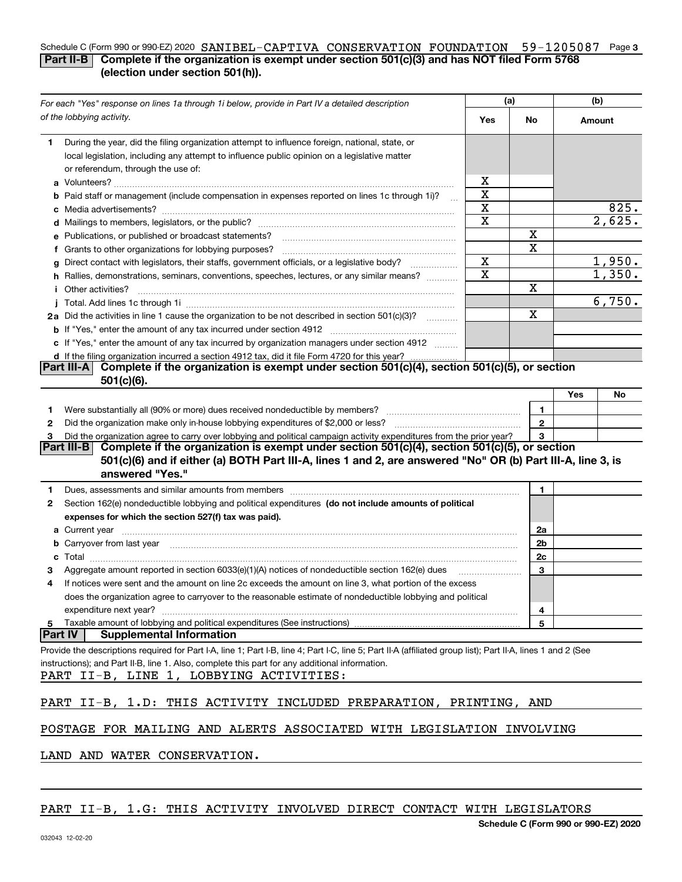#### Schedule C (Form 990 or 990-EZ) 2020 SANIBEL-CAPTIVA CONSERVATION FOUNDATION 59-1205087 Page 3 **Part II-B** Complete if the organization is exempt under section 501(c)(3) and has NOT filed Form 5768 **(election under section 501(h)).**

| For each "Yes" response on lines 1a through 1i below, provide in Part IV a detailed description                                                                                                                                    |             | (a)          | (b)       |  |
|------------------------------------------------------------------------------------------------------------------------------------------------------------------------------------------------------------------------------------|-------------|--------------|-----------|--|
| of the lobbying activity.                                                                                                                                                                                                          | Yes         | No           | Amount    |  |
| During the year, did the filing organization attempt to influence foreign, national, state, or<br>1.                                                                                                                               |             |              |           |  |
| local legislation, including any attempt to influence public opinion on a legislative matter                                                                                                                                       |             |              |           |  |
| or referendum, through the use of:                                                                                                                                                                                                 |             |              |           |  |
|                                                                                                                                                                                                                                    | x           |              |           |  |
| <b>b</b> Paid staff or management (include compensation in expenses reported on lines 1c through 1i)?                                                                                                                              | X           |              |           |  |
|                                                                                                                                                                                                                                    | $\mathbf X$ |              | 825.      |  |
|                                                                                                                                                                                                                                    | X           |              | 2,625.    |  |
| e Publications, or published or broadcast statements?                                                                                                                                                                              |             | х<br>Х       |           |  |
| f Grants to other organizations for lobbying purposes?                                                                                                                                                                             | X           |              | 1,950.    |  |
| g Direct contact with legislators, their staffs, government officials, or a legislative body?                                                                                                                                      | $\mathbf X$ |              | 1,350.    |  |
| h Rallies, demonstrations, seminars, conventions, speeches, lectures, or any similar means?                                                                                                                                        |             | Х            |           |  |
| i Other activities?                                                                                                                                                                                                                |             |              | 6,750.    |  |
| 2a Did the activities in line 1 cause the organization to be not described in section 501(c)(3)?                                                                                                                                   |             | Х            |           |  |
|                                                                                                                                                                                                                                    |             |              |           |  |
| c If "Yes," enter the amount of any tax incurred by organization managers under section 4912                                                                                                                                       |             |              |           |  |
| d If the filing organization incurred a section 4912 tax, did it file Form 4720 for this year?                                                                                                                                     |             |              |           |  |
| Complete if the organization is exempt under section 501(c)(4), section 501(c)(5), or section<br><b>Part III-AI</b>                                                                                                                |             |              |           |  |
| $501(c)(6)$ .                                                                                                                                                                                                                      |             |              |           |  |
|                                                                                                                                                                                                                                    |             |              | Yes<br>No |  |
| 1                                                                                                                                                                                                                                  |             | 1.           |           |  |
| 2                                                                                                                                                                                                                                  |             | $\mathbf{2}$ |           |  |
| Did the organization agree to carry over lobbying and political campaign activity expenditures from the prior year?<br>з                                                                                                           |             | 3            |           |  |
| Complete if the organization is exempt under section 501(c)(4), section 501(c)(5), or section<br> Part III-B                                                                                                                       |             |              |           |  |
| 501(c)(6) and if either (a) BOTH Part III-A, lines 1 and 2, are answered "No" OR (b) Part III-A, line 3, is<br>answered "Yes."                                                                                                     |             |              |           |  |
| Dues, assessments and similar amounts from members [11] matter contracts and similar amounts from members [11] matter and similar amounts from members [11] matter and similar amounts from members [11] matter and state and<br>1 |             | 1            |           |  |
| Section 162(e) nondeductible lobbying and political expenditures (do not include amounts of political<br>2                                                                                                                         |             |              |           |  |
| expenses for which the section 527(f) tax was paid).                                                                                                                                                                               |             |              |           |  |
|                                                                                                                                                                                                                                    |             | 2a           |           |  |
| b Carryover from last year manufactured and contain a series of the contract of the contract of the contract of the contract of the contract of the contract of the contract of the contract of the contract of the contract o     |             | 2b           |           |  |
| c                                                                                                                                                                                                                                  |             | 2c           |           |  |
| Aggregate amount reported in section 6033(e)(1)(A) notices of nondeductible section 162(e) dues<br>З                                                                                                                               |             | 3            |           |  |
| If notices were sent and the amount on line 2c exceeds the amount on line 3, what portion of the excess<br>4                                                                                                                       |             |              |           |  |
| does the organization agree to carryover to the reasonable estimate of nondeductible lobbying and political                                                                                                                        |             |              |           |  |
| expenditure next year?                                                                                                                                                                                                             |             | 4            |           |  |
| Taxable amount of lobbying and political expenditures (See instructions)<br>5                                                                                                                                                      |             | 5            |           |  |
| <b>Part IV</b><br><b>Supplemental Information</b>                                                                                                                                                                                  |             |              |           |  |
| Provide the descriptions required for Part I-A, line 1; Part I-B, line 4; Part I-C, line 5; Part II-A (affiliated group list); Part II-A, lines 1 and 2 (See                                                                       |             |              |           |  |
| instructions); and Part II-B, line 1. Also, complete this part for any additional information.                                                                                                                                     |             |              |           |  |
| PART II-B, LINE 1, LOBBYING ACTIVITIES:                                                                                                                                                                                            |             |              |           |  |
| PART II-B, 1.D: THIS ACTIVITY INCLUDED PREPARATION, PRINTING, AND                                                                                                                                                                  |             |              |           |  |
| POSTAGE FOR MAILING AND ALERTS ASSOCIATED WITH LEGISLATION INVOLVING                                                                                                                                                               |             |              |           |  |
| LAND AND WATER CONSERVATION.                                                                                                                                                                                                       |             |              |           |  |

## PART II-B, 1.G: THIS ACTIVITY INVOLVED DIRECT CONTACT WITH LEGISLATORS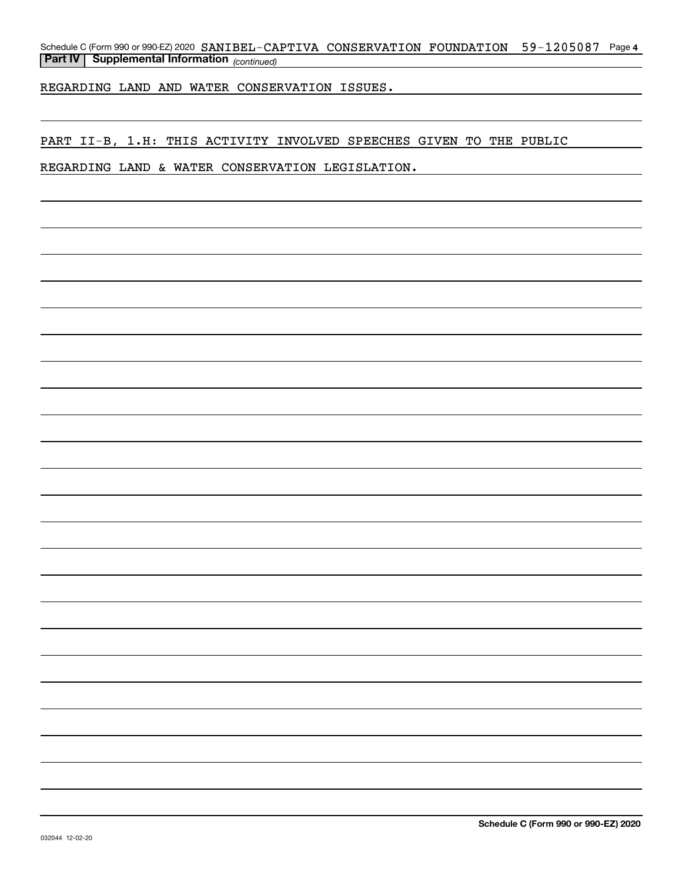Schedule C (Form 990 or 990-EZ) 2020 SANIBEL-CAPTIVA CONSERVATION FOUNDATION 59-1205087 Page 4 *(continued)* **Part IV Supplemental Information** 

REGARDING LAND AND WATER CONSERVATION ISSUES.

PART II-B, 1.H: THIS ACTIVITY INVOLVED SPEECHES GIVEN TO THE PUBLIC

REGARDING LAND & WATER CONSERVATION LEGISLATION.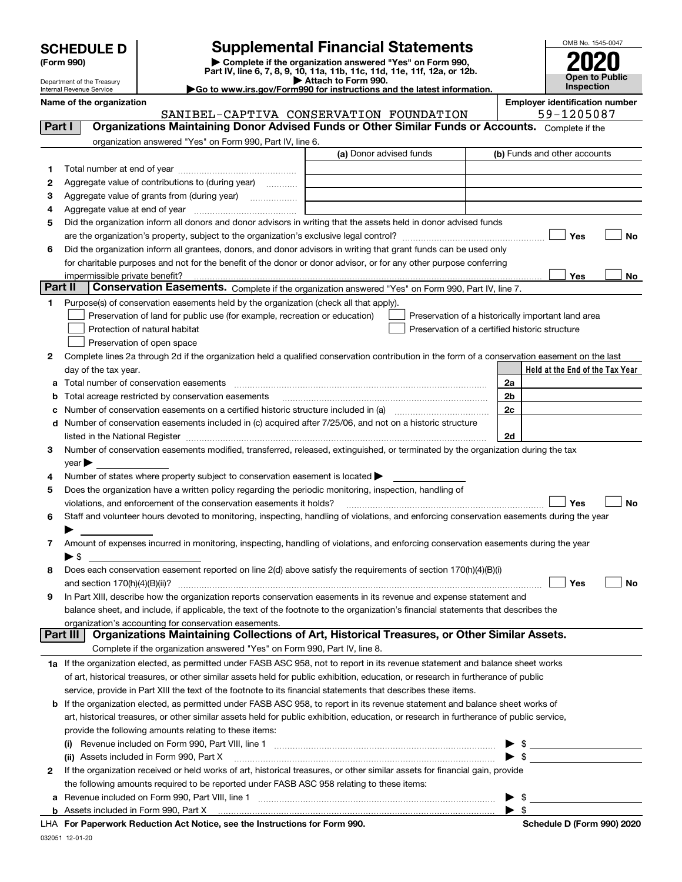| <b>SCHEDULE D</b> |  |
|-------------------|--|
|-------------------|--|

Department of the Treasury Internal Revenue Service

| (Form 990) |  |
|------------|--|
|------------|--|

# **SCHEDULE D Supplemental Financial Statements**

(Form 990)<br>
Pepartment of the Treasury<br>
Department of the Treasury<br>
Department of the Treasury<br>
Department of the Treasury<br> **Co to www.irs.gov/Form990 for instructions and the latest information.**<br> **Co to www.irs.gov/Form9** 

|  |  | Go to www.irs.gov/Form990 for instructions and the latest informati• |  |  |
|--|--|----------------------------------------------------------------------|--|--|
|  |  |                                                                      |  |  |



| Name of the organization | <b>Employer identification number</b> |
|--------------------------|---------------------------------------|
|--------------------------|---------------------------------------|

SANIBEL-CAPTIVA CONSERVATION FOUNDATION 59-1205087

| organization answered "Yes" on Form 990, Part IV, line 6.<br>(a) Donor advised funds<br>(b) Funds and other accounts<br>1.<br>Aggregate value of contributions to (during year)<br>2<br>Aggregate value of grants from (during year)<br>з<br>4<br>Did the organization inform all donors and donor advisors in writing that the assets held in donor advised funds<br>5<br>Yes<br>No<br>Did the organization inform all grantees, donors, and donor advisors in writing that grant funds can be used only<br>6<br>for charitable purposes and not for the benefit of the donor or donor advisor, or for any other purpose conferring<br>impermissible private benefit?<br>Yes<br>No<br>Part II<br>Conservation Easements. Complete if the organization answered "Yes" on Form 990, Part IV, line 7.<br>Purpose(s) of conservation easements held by the organization (check all that apply).<br>1.<br>Preservation of land for public use (for example, recreation or education)<br>Preservation of a historically important land area<br>Preservation of a certified historic structure<br>Protection of natural habitat<br>Preservation of open space<br>Complete lines 2a through 2d if the organization held a qualified conservation contribution in the form of a conservation easement on the last<br>2<br>Held at the End of the Tax Year<br>day of the tax year.<br>2a<br>2 <sub>b</sub><br>Total acreage restricted by conservation easements<br>2c<br>Number of conservation easements on a certified historic structure included in (a) manufacture included in (a)<br>Number of conservation easements included in (c) acquired after 7/25/06, and not on a historic structure<br>d<br>listed in the National Register [111] Marshall Register [11] Marshall Register [11] Marshall Register [11] Marshall Register [11] Marshall Register [11] Marshall Register [11] Marshall Register [11] Marshall Register [11]<br>2d<br>Number of conservation easements modified, transferred, released, extinguished, or terminated by the organization during the tax<br>3<br>$year \triangleright$<br>Number of states where property subject to conservation easement is located ><br>4<br>Does the organization have a written policy regarding the periodic monitoring, inspection, handling of<br>5<br>violations, and enforcement of the conservation easements it holds?<br>Yes<br>No<br>Staff and volunteer hours devoted to monitoring, inspecting, handling of violations, and enforcing conservation easements during the year<br>6<br>Amount of expenses incurred in monitoring, inspecting, handling of violations, and enforcing conservation easements during the year<br>7<br>▶ \$<br>Does each conservation easement reported on line 2(d) above satisfy the requirements of section 170(h)(4)(B)(i)<br>8<br>Yes<br>No<br>and section 170(h)(4)(B)(ii)?<br>In Part XIII, describe how the organization reports conservation easements in its revenue and expense statement and<br>9<br>balance sheet, and include, if applicable, the text of the footnote to the organization's financial statements that describes the<br>organization's accounting for conservation easements.<br>Organizations Maintaining Collections of Art, Historical Treasures, or Other Similar Assets.<br><b>Part III</b><br>Complete if the organization answered "Yes" on Form 990, Part IV, line 8.<br>1a If the organization elected, as permitted under FASB ASC 958, not to report in its revenue statement and balance sheet works<br>of art, historical treasures, or other similar assets held for public exhibition, education, or research in furtherance of public<br>service, provide in Part XIII the text of the footnote to its financial statements that describes these items.<br><b>b</b> If the organization elected, as permitted under FASB ASC 958, to report in its revenue statement and balance sheet works of<br>art, historical treasures, or other similar assets held for public exhibition, education, or research in furtherance of public service,<br>provide the following amounts relating to these items:<br>- \$<br>$\blacktriangleright$ s<br>(ii) Assets included in Form 990, Part X<br>If the organization received or held works of art, historical treasures, or other similar assets for financial gain, provide<br>2<br>the following amounts required to be reported under FASB ASC 958 relating to these items:<br>Revenue included on Form 990, Part VIII, line 1 [1] [2000] [2000] [2000] [2000] [3000] [3000] [3000] [3000] [3000] [<br>a | Part I | Organizations Maintaining Donor Advised Funds or Other Similar Funds or Accounts. Complete if the |                         |
|-----------------------------------------------------------------------------------------------------------------------------------------------------------------------------------------------------------------------------------------------------------------------------------------------------------------------------------------------------------------------------------------------------------------------------------------------------------------------------------------------------------------------------------------------------------------------------------------------------------------------------------------------------------------------------------------------------------------------------------------------------------------------------------------------------------------------------------------------------------------------------------------------------------------------------------------------------------------------------------------------------------------------------------------------------------------------------------------------------------------------------------------------------------------------------------------------------------------------------------------------------------------------------------------------------------------------------------------------------------------------------------------------------------------------------------------------------------------------------------------------------------------------------------------------------------------------------------------------------------------------------------------------------------------------------------------------------------------------------------------------------------------------------------------------------------------------------------------------------------------------------------------------------------------------------------------------------------------------------------------------------------------------------------------------------------------------------------------------------------------------------------------------------------------------------------------------------------------------------------------------------------------------------------------------------------------------------------------------------------------------------------------------------------------------------------------------------------------------------------------------------------------------------------------------------------------------------------------------------------------------------------------------------------------------------------------------------------------------------------------------------------------------------------------------------------------------------------------------------------------------------------------------------------------------------------------------------------------------------------------------------------------------------------------------------------------------------------------------------------------------------------------------------------------------------------------------------------------------------------------------------------------------------------------------------------------------------------------------------------------------------------------------------------------------------------------------------------------------------------------------------------------------------------------------------------------------------------------------------------------------------------------------------------------------------------------------------------------------------------------------------------------------------------------------------------------------------------------------------------------------------------------------------------------------------------------------------------------------------------------------------------------------------------------------------------------------------------------------------------------------------------------------------------------------------------------------------------------------------------------------------------------------------------------------------------------------------------------------------------------------------------------------------------------------------------------------------------------------------------------------------------------------------------------------------------------------------------------------|--------|---------------------------------------------------------------------------------------------------|-------------------------|
|                                                                                                                                                                                                                                                                                                                                                                                                                                                                                                                                                                                                                                                                                                                                                                                                                                                                                                                                                                                                                                                                                                                                                                                                                                                                                                                                                                                                                                                                                                                                                                                                                                                                                                                                                                                                                                                                                                                                                                                                                                                                                                                                                                                                                                                                                                                                                                                                                                                                                                                                                                                                                                                                                                                                                                                                                                                                                                                                                                                                                                                                                                                                                                                                                                                                                                                                                                                                                                                                                                                                                                                                                                                                                                                                                                                                                                                                                                                                                                                                                                                                                                                                                                                                                                                                                                                                                                                                                                                                                                                                                                                               |        |                                                                                                   |                         |
|                                                                                                                                                                                                                                                                                                                                                                                                                                                                                                                                                                                                                                                                                                                                                                                                                                                                                                                                                                                                                                                                                                                                                                                                                                                                                                                                                                                                                                                                                                                                                                                                                                                                                                                                                                                                                                                                                                                                                                                                                                                                                                                                                                                                                                                                                                                                                                                                                                                                                                                                                                                                                                                                                                                                                                                                                                                                                                                                                                                                                                                                                                                                                                                                                                                                                                                                                                                                                                                                                                                                                                                                                                                                                                                                                                                                                                                                                                                                                                                                                                                                                                                                                                                                                                                                                                                                                                                                                                                                                                                                                                                               |        |                                                                                                   |                         |
|                                                                                                                                                                                                                                                                                                                                                                                                                                                                                                                                                                                                                                                                                                                                                                                                                                                                                                                                                                                                                                                                                                                                                                                                                                                                                                                                                                                                                                                                                                                                                                                                                                                                                                                                                                                                                                                                                                                                                                                                                                                                                                                                                                                                                                                                                                                                                                                                                                                                                                                                                                                                                                                                                                                                                                                                                                                                                                                                                                                                                                                                                                                                                                                                                                                                                                                                                                                                                                                                                                                                                                                                                                                                                                                                                                                                                                                                                                                                                                                                                                                                                                                                                                                                                                                                                                                                                                                                                                                                                                                                                                                               |        |                                                                                                   |                         |
|                                                                                                                                                                                                                                                                                                                                                                                                                                                                                                                                                                                                                                                                                                                                                                                                                                                                                                                                                                                                                                                                                                                                                                                                                                                                                                                                                                                                                                                                                                                                                                                                                                                                                                                                                                                                                                                                                                                                                                                                                                                                                                                                                                                                                                                                                                                                                                                                                                                                                                                                                                                                                                                                                                                                                                                                                                                                                                                                                                                                                                                                                                                                                                                                                                                                                                                                                                                                                                                                                                                                                                                                                                                                                                                                                                                                                                                                                                                                                                                                                                                                                                                                                                                                                                                                                                                                                                                                                                                                                                                                                                                               |        |                                                                                                   |                         |
|                                                                                                                                                                                                                                                                                                                                                                                                                                                                                                                                                                                                                                                                                                                                                                                                                                                                                                                                                                                                                                                                                                                                                                                                                                                                                                                                                                                                                                                                                                                                                                                                                                                                                                                                                                                                                                                                                                                                                                                                                                                                                                                                                                                                                                                                                                                                                                                                                                                                                                                                                                                                                                                                                                                                                                                                                                                                                                                                                                                                                                                                                                                                                                                                                                                                                                                                                                                                                                                                                                                                                                                                                                                                                                                                                                                                                                                                                                                                                                                                                                                                                                                                                                                                                                                                                                                                                                                                                                                                                                                                                                                               |        |                                                                                                   |                         |
|                                                                                                                                                                                                                                                                                                                                                                                                                                                                                                                                                                                                                                                                                                                                                                                                                                                                                                                                                                                                                                                                                                                                                                                                                                                                                                                                                                                                                                                                                                                                                                                                                                                                                                                                                                                                                                                                                                                                                                                                                                                                                                                                                                                                                                                                                                                                                                                                                                                                                                                                                                                                                                                                                                                                                                                                                                                                                                                                                                                                                                                                                                                                                                                                                                                                                                                                                                                                                                                                                                                                                                                                                                                                                                                                                                                                                                                                                                                                                                                                                                                                                                                                                                                                                                                                                                                                                                                                                                                                                                                                                                                               |        |                                                                                                   |                         |
|                                                                                                                                                                                                                                                                                                                                                                                                                                                                                                                                                                                                                                                                                                                                                                                                                                                                                                                                                                                                                                                                                                                                                                                                                                                                                                                                                                                                                                                                                                                                                                                                                                                                                                                                                                                                                                                                                                                                                                                                                                                                                                                                                                                                                                                                                                                                                                                                                                                                                                                                                                                                                                                                                                                                                                                                                                                                                                                                                                                                                                                                                                                                                                                                                                                                                                                                                                                                                                                                                                                                                                                                                                                                                                                                                                                                                                                                                                                                                                                                                                                                                                                                                                                                                                                                                                                                                                                                                                                                                                                                                                                               |        |                                                                                                   |                         |
|                                                                                                                                                                                                                                                                                                                                                                                                                                                                                                                                                                                                                                                                                                                                                                                                                                                                                                                                                                                                                                                                                                                                                                                                                                                                                                                                                                                                                                                                                                                                                                                                                                                                                                                                                                                                                                                                                                                                                                                                                                                                                                                                                                                                                                                                                                                                                                                                                                                                                                                                                                                                                                                                                                                                                                                                                                                                                                                                                                                                                                                                                                                                                                                                                                                                                                                                                                                                                                                                                                                                                                                                                                                                                                                                                                                                                                                                                                                                                                                                                                                                                                                                                                                                                                                                                                                                                                                                                                                                                                                                                                                               |        |                                                                                                   |                         |
|                                                                                                                                                                                                                                                                                                                                                                                                                                                                                                                                                                                                                                                                                                                                                                                                                                                                                                                                                                                                                                                                                                                                                                                                                                                                                                                                                                                                                                                                                                                                                                                                                                                                                                                                                                                                                                                                                                                                                                                                                                                                                                                                                                                                                                                                                                                                                                                                                                                                                                                                                                                                                                                                                                                                                                                                                                                                                                                                                                                                                                                                                                                                                                                                                                                                                                                                                                                                                                                                                                                                                                                                                                                                                                                                                                                                                                                                                                                                                                                                                                                                                                                                                                                                                                                                                                                                                                                                                                                                                                                                                                                               |        |                                                                                                   |                         |
|                                                                                                                                                                                                                                                                                                                                                                                                                                                                                                                                                                                                                                                                                                                                                                                                                                                                                                                                                                                                                                                                                                                                                                                                                                                                                                                                                                                                                                                                                                                                                                                                                                                                                                                                                                                                                                                                                                                                                                                                                                                                                                                                                                                                                                                                                                                                                                                                                                                                                                                                                                                                                                                                                                                                                                                                                                                                                                                                                                                                                                                                                                                                                                                                                                                                                                                                                                                                                                                                                                                                                                                                                                                                                                                                                                                                                                                                                                                                                                                                                                                                                                                                                                                                                                                                                                                                                                                                                                                                                                                                                                                               |        |                                                                                                   |                         |
|                                                                                                                                                                                                                                                                                                                                                                                                                                                                                                                                                                                                                                                                                                                                                                                                                                                                                                                                                                                                                                                                                                                                                                                                                                                                                                                                                                                                                                                                                                                                                                                                                                                                                                                                                                                                                                                                                                                                                                                                                                                                                                                                                                                                                                                                                                                                                                                                                                                                                                                                                                                                                                                                                                                                                                                                                                                                                                                                                                                                                                                                                                                                                                                                                                                                                                                                                                                                                                                                                                                                                                                                                                                                                                                                                                                                                                                                                                                                                                                                                                                                                                                                                                                                                                                                                                                                                                                                                                                                                                                                                                                               |        |                                                                                                   |                         |
|                                                                                                                                                                                                                                                                                                                                                                                                                                                                                                                                                                                                                                                                                                                                                                                                                                                                                                                                                                                                                                                                                                                                                                                                                                                                                                                                                                                                                                                                                                                                                                                                                                                                                                                                                                                                                                                                                                                                                                                                                                                                                                                                                                                                                                                                                                                                                                                                                                                                                                                                                                                                                                                                                                                                                                                                                                                                                                                                                                                                                                                                                                                                                                                                                                                                                                                                                                                                                                                                                                                                                                                                                                                                                                                                                                                                                                                                                                                                                                                                                                                                                                                                                                                                                                                                                                                                                                                                                                                                                                                                                                                               |        |                                                                                                   |                         |
|                                                                                                                                                                                                                                                                                                                                                                                                                                                                                                                                                                                                                                                                                                                                                                                                                                                                                                                                                                                                                                                                                                                                                                                                                                                                                                                                                                                                                                                                                                                                                                                                                                                                                                                                                                                                                                                                                                                                                                                                                                                                                                                                                                                                                                                                                                                                                                                                                                                                                                                                                                                                                                                                                                                                                                                                                                                                                                                                                                                                                                                                                                                                                                                                                                                                                                                                                                                                                                                                                                                                                                                                                                                                                                                                                                                                                                                                                                                                                                                                                                                                                                                                                                                                                                                                                                                                                                                                                                                                                                                                                                                               |        |                                                                                                   |                         |
|                                                                                                                                                                                                                                                                                                                                                                                                                                                                                                                                                                                                                                                                                                                                                                                                                                                                                                                                                                                                                                                                                                                                                                                                                                                                                                                                                                                                                                                                                                                                                                                                                                                                                                                                                                                                                                                                                                                                                                                                                                                                                                                                                                                                                                                                                                                                                                                                                                                                                                                                                                                                                                                                                                                                                                                                                                                                                                                                                                                                                                                                                                                                                                                                                                                                                                                                                                                                                                                                                                                                                                                                                                                                                                                                                                                                                                                                                                                                                                                                                                                                                                                                                                                                                                                                                                                                                                                                                                                                                                                                                                                               |        |                                                                                                   |                         |
|                                                                                                                                                                                                                                                                                                                                                                                                                                                                                                                                                                                                                                                                                                                                                                                                                                                                                                                                                                                                                                                                                                                                                                                                                                                                                                                                                                                                                                                                                                                                                                                                                                                                                                                                                                                                                                                                                                                                                                                                                                                                                                                                                                                                                                                                                                                                                                                                                                                                                                                                                                                                                                                                                                                                                                                                                                                                                                                                                                                                                                                                                                                                                                                                                                                                                                                                                                                                                                                                                                                                                                                                                                                                                                                                                                                                                                                                                                                                                                                                                                                                                                                                                                                                                                                                                                                                                                                                                                                                                                                                                                                               |        |                                                                                                   |                         |
|                                                                                                                                                                                                                                                                                                                                                                                                                                                                                                                                                                                                                                                                                                                                                                                                                                                                                                                                                                                                                                                                                                                                                                                                                                                                                                                                                                                                                                                                                                                                                                                                                                                                                                                                                                                                                                                                                                                                                                                                                                                                                                                                                                                                                                                                                                                                                                                                                                                                                                                                                                                                                                                                                                                                                                                                                                                                                                                                                                                                                                                                                                                                                                                                                                                                                                                                                                                                                                                                                                                                                                                                                                                                                                                                                                                                                                                                                                                                                                                                                                                                                                                                                                                                                                                                                                                                                                                                                                                                                                                                                                                               |        |                                                                                                   |                         |
|                                                                                                                                                                                                                                                                                                                                                                                                                                                                                                                                                                                                                                                                                                                                                                                                                                                                                                                                                                                                                                                                                                                                                                                                                                                                                                                                                                                                                                                                                                                                                                                                                                                                                                                                                                                                                                                                                                                                                                                                                                                                                                                                                                                                                                                                                                                                                                                                                                                                                                                                                                                                                                                                                                                                                                                                                                                                                                                                                                                                                                                                                                                                                                                                                                                                                                                                                                                                                                                                                                                                                                                                                                                                                                                                                                                                                                                                                                                                                                                                                                                                                                                                                                                                                                                                                                                                                                                                                                                                                                                                                                                               |        |                                                                                                   |                         |
|                                                                                                                                                                                                                                                                                                                                                                                                                                                                                                                                                                                                                                                                                                                                                                                                                                                                                                                                                                                                                                                                                                                                                                                                                                                                                                                                                                                                                                                                                                                                                                                                                                                                                                                                                                                                                                                                                                                                                                                                                                                                                                                                                                                                                                                                                                                                                                                                                                                                                                                                                                                                                                                                                                                                                                                                                                                                                                                                                                                                                                                                                                                                                                                                                                                                                                                                                                                                                                                                                                                                                                                                                                                                                                                                                                                                                                                                                                                                                                                                                                                                                                                                                                                                                                                                                                                                                                                                                                                                                                                                                                                               |        |                                                                                                   |                         |
|                                                                                                                                                                                                                                                                                                                                                                                                                                                                                                                                                                                                                                                                                                                                                                                                                                                                                                                                                                                                                                                                                                                                                                                                                                                                                                                                                                                                                                                                                                                                                                                                                                                                                                                                                                                                                                                                                                                                                                                                                                                                                                                                                                                                                                                                                                                                                                                                                                                                                                                                                                                                                                                                                                                                                                                                                                                                                                                                                                                                                                                                                                                                                                                                                                                                                                                                                                                                                                                                                                                                                                                                                                                                                                                                                                                                                                                                                                                                                                                                                                                                                                                                                                                                                                                                                                                                                                                                                                                                                                                                                                                               |        |                                                                                                   |                         |
|                                                                                                                                                                                                                                                                                                                                                                                                                                                                                                                                                                                                                                                                                                                                                                                                                                                                                                                                                                                                                                                                                                                                                                                                                                                                                                                                                                                                                                                                                                                                                                                                                                                                                                                                                                                                                                                                                                                                                                                                                                                                                                                                                                                                                                                                                                                                                                                                                                                                                                                                                                                                                                                                                                                                                                                                                                                                                                                                                                                                                                                                                                                                                                                                                                                                                                                                                                                                                                                                                                                                                                                                                                                                                                                                                                                                                                                                                                                                                                                                                                                                                                                                                                                                                                                                                                                                                                                                                                                                                                                                                                                               |        |                                                                                                   |                         |
|                                                                                                                                                                                                                                                                                                                                                                                                                                                                                                                                                                                                                                                                                                                                                                                                                                                                                                                                                                                                                                                                                                                                                                                                                                                                                                                                                                                                                                                                                                                                                                                                                                                                                                                                                                                                                                                                                                                                                                                                                                                                                                                                                                                                                                                                                                                                                                                                                                                                                                                                                                                                                                                                                                                                                                                                                                                                                                                                                                                                                                                                                                                                                                                                                                                                                                                                                                                                                                                                                                                                                                                                                                                                                                                                                                                                                                                                                                                                                                                                                                                                                                                                                                                                                                                                                                                                                                                                                                                                                                                                                                                               |        |                                                                                                   |                         |
|                                                                                                                                                                                                                                                                                                                                                                                                                                                                                                                                                                                                                                                                                                                                                                                                                                                                                                                                                                                                                                                                                                                                                                                                                                                                                                                                                                                                                                                                                                                                                                                                                                                                                                                                                                                                                                                                                                                                                                                                                                                                                                                                                                                                                                                                                                                                                                                                                                                                                                                                                                                                                                                                                                                                                                                                                                                                                                                                                                                                                                                                                                                                                                                                                                                                                                                                                                                                                                                                                                                                                                                                                                                                                                                                                                                                                                                                                                                                                                                                                                                                                                                                                                                                                                                                                                                                                                                                                                                                                                                                                                                               |        |                                                                                                   |                         |
|                                                                                                                                                                                                                                                                                                                                                                                                                                                                                                                                                                                                                                                                                                                                                                                                                                                                                                                                                                                                                                                                                                                                                                                                                                                                                                                                                                                                                                                                                                                                                                                                                                                                                                                                                                                                                                                                                                                                                                                                                                                                                                                                                                                                                                                                                                                                                                                                                                                                                                                                                                                                                                                                                                                                                                                                                                                                                                                                                                                                                                                                                                                                                                                                                                                                                                                                                                                                                                                                                                                                                                                                                                                                                                                                                                                                                                                                                                                                                                                                                                                                                                                                                                                                                                                                                                                                                                                                                                                                                                                                                                                               |        |                                                                                                   |                         |
|                                                                                                                                                                                                                                                                                                                                                                                                                                                                                                                                                                                                                                                                                                                                                                                                                                                                                                                                                                                                                                                                                                                                                                                                                                                                                                                                                                                                                                                                                                                                                                                                                                                                                                                                                                                                                                                                                                                                                                                                                                                                                                                                                                                                                                                                                                                                                                                                                                                                                                                                                                                                                                                                                                                                                                                                                                                                                                                                                                                                                                                                                                                                                                                                                                                                                                                                                                                                                                                                                                                                                                                                                                                                                                                                                                                                                                                                                                                                                                                                                                                                                                                                                                                                                                                                                                                                                                                                                                                                                                                                                                                               |        |                                                                                                   |                         |
|                                                                                                                                                                                                                                                                                                                                                                                                                                                                                                                                                                                                                                                                                                                                                                                                                                                                                                                                                                                                                                                                                                                                                                                                                                                                                                                                                                                                                                                                                                                                                                                                                                                                                                                                                                                                                                                                                                                                                                                                                                                                                                                                                                                                                                                                                                                                                                                                                                                                                                                                                                                                                                                                                                                                                                                                                                                                                                                                                                                                                                                                                                                                                                                                                                                                                                                                                                                                                                                                                                                                                                                                                                                                                                                                                                                                                                                                                                                                                                                                                                                                                                                                                                                                                                                                                                                                                                                                                                                                                                                                                                                               |        |                                                                                                   |                         |
|                                                                                                                                                                                                                                                                                                                                                                                                                                                                                                                                                                                                                                                                                                                                                                                                                                                                                                                                                                                                                                                                                                                                                                                                                                                                                                                                                                                                                                                                                                                                                                                                                                                                                                                                                                                                                                                                                                                                                                                                                                                                                                                                                                                                                                                                                                                                                                                                                                                                                                                                                                                                                                                                                                                                                                                                                                                                                                                                                                                                                                                                                                                                                                                                                                                                                                                                                                                                                                                                                                                                                                                                                                                                                                                                                                                                                                                                                                                                                                                                                                                                                                                                                                                                                                                                                                                                                                                                                                                                                                                                                                                               |        |                                                                                                   |                         |
|                                                                                                                                                                                                                                                                                                                                                                                                                                                                                                                                                                                                                                                                                                                                                                                                                                                                                                                                                                                                                                                                                                                                                                                                                                                                                                                                                                                                                                                                                                                                                                                                                                                                                                                                                                                                                                                                                                                                                                                                                                                                                                                                                                                                                                                                                                                                                                                                                                                                                                                                                                                                                                                                                                                                                                                                                                                                                                                                                                                                                                                                                                                                                                                                                                                                                                                                                                                                                                                                                                                                                                                                                                                                                                                                                                                                                                                                                                                                                                                                                                                                                                                                                                                                                                                                                                                                                                                                                                                                                                                                                                                               |        |                                                                                                   |                         |
|                                                                                                                                                                                                                                                                                                                                                                                                                                                                                                                                                                                                                                                                                                                                                                                                                                                                                                                                                                                                                                                                                                                                                                                                                                                                                                                                                                                                                                                                                                                                                                                                                                                                                                                                                                                                                                                                                                                                                                                                                                                                                                                                                                                                                                                                                                                                                                                                                                                                                                                                                                                                                                                                                                                                                                                                                                                                                                                                                                                                                                                                                                                                                                                                                                                                                                                                                                                                                                                                                                                                                                                                                                                                                                                                                                                                                                                                                                                                                                                                                                                                                                                                                                                                                                                                                                                                                                                                                                                                                                                                                                                               |        |                                                                                                   |                         |
|                                                                                                                                                                                                                                                                                                                                                                                                                                                                                                                                                                                                                                                                                                                                                                                                                                                                                                                                                                                                                                                                                                                                                                                                                                                                                                                                                                                                                                                                                                                                                                                                                                                                                                                                                                                                                                                                                                                                                                                                                                                                                                                                                                                                                                                                                                                                                                                                                                                                                                                                                                                                                                                                                                                                                                                                                                                                                                                                                                                                                                                                                                                                                                                                                                                                                                                                                                                                                                                                                                                                                                                                                                                                                                                                                                                                                                                                                                                                                                                                                                                                                                                                                                                                                                                                                                                                                                                                                                                                                                                                                                                               |        |                                                                                                   |                         |
|                                                                                                                                                                                                                                                                                                                                                                                                                                                                                                                                                                                                                                                                                                                                                                                                                                                                                                                                                                                                                                                                                                                                                                                                                                                                                                                                                                                                                                                                                                                                                                                                                                                                                                                                                                                                                                                                                                                                                                                                                                                                                                                                                                                                                                                                                                                                                                                                                                                                                                                                                                                                                                                                                                                                                                                                                                                                                                                                                                                                                                                                                                                                                                                                                                                                                                                                                                                                                                                                                                                                                                                                                                                                                                                                                                                                                                                                                                                                                                                                                                                                                                                                                                                                                                                                                                                                                                                                                                                                                                                                                                                               |        |                                                                                                   |                         |
|                                                                                                                                                                                                                                                                                                                                                                                                                                                                                                                                                                                                                                                                                                                                                                                                                                                                                                                                                                                                                                                                                                                                                                                                                                                                                                                                                                                                                                                                                                                                                                                                                                                                                                                                                                                                                                                                                                                                                                                                                                                                                                                                                                                                                                                                                                                                                                                                                                                                                                                                                                                                                                                                                                                                                                                                                                                                                                                                                                                                                                                                                                                                                                                                                                                                                                                                                                                                                                                                                                                                                                                                                                                                                                                                                                                                                                                                                                                                                                                                                                                                                                                                                                                                                                                                                                                                                                                                                                                                                                                                                                                               |        |                                                                                                   |                         |
|                                                                                                                                                                                                                                                                                                                                                                                                                                                                                                                                                                                                                                                                                                                                                                                                                                                                                                                                                                                                                                                                                                                                                                                                                                                                                                                                                                                                                                                                                                                                                                                                                                                                                                                                                                                                                                                                                                                                                                                                                                                                                                                                                                                                                                                                                                                                                                                                                                                                                                                                                                                                                                                                                                                                                                                                                                                                                                                                                                                                                                                                                                                                                                                                                                                                                                                                                                                                                                                                                                                                                                                                                                                                                                                                                                                                                                                                                                                                                                                                                                                                                                                                                                                                                                                                                                                                                                                                                                                                                                                                                                                               |        |                                                                                                   |                         |
|                                                                                                                                                                                                                                                                                                                                                                                                                                                                                                                                                                                                                                                                                                                                                                                                                                                                                                                                                                                                                                                                                                                                                                                                                                                                                                                                                                                                                                                                                                                                                                                                                                                                                                                                                                                                                                                                                                                                                                                                                                                                                                                                                                                                                                                                                                                                                                                                                                                                                                                                                                                                                                                                                                                                                                                                                                                                                                                                                                                                                                                                                                                                                                                                                                                                                                                                                                                                                                                                                                                                                                                                                                                                                                                                                                                                                                                                                                                                                                                                                                                                                                                                                                                                                                                                                                                                                                                                                                                                                                                                                                                               |        |                                                                                                   |                         |
|                                                                                                                                                                                                                                                                                                                                                                                                                                                                                                                                                                                                                                                                                                                                                                                                                                                                                                                                                                                                                                                                                                                                                                                                                                                                                                                                                                                                                                                                                                                                                                                                                                                                                                                                                                                                                                                                                                                                                                                                                                                                                                                                                                                                                                                                                                                                                                                                                                                                                                                                                                                                                                                                                                                                                                                                                                                                                                                                                                                                                                                                                                                                                                                                                                                                                                                                                                                                                                                                                                                                                                                                                                                                                                                                                                                                                                                                                                                                                                                                                                                                                                                                                                                                                                                                                                                                                                                                                                                                                                                                                                                               |        |                                                                                                   |                         |
|                                                                                                                                                                                                                                                                                                                                                                                                                                                                                                                                                                                                                                                                                                                                                                                                                                                                                                                                                                                                                                                                                                                                                                                                                                                                                                                                                                                                                                                                                                                                                                                                                                                                                                                                                                                                                                                                                                                                                                                                                                                                                                                                                                                                                                                                                                                                                                                                                                                                                                                                                                                                                                                                                                                                                                                                                                                                                                                                                                                                                                                                                                                                                                                                                                                                                                                                                                                                                                                                                                                                                                                                                                                                                                                                                                                                                                                                                                                                                                                                                                                                                                                                                                                                                                                                                                                                                                                                                                                                                                                                                                                               |        |                                                                                                   |                         |
|                                                                                                                                                                                                                                                                                                                                                                                                                                                                                                                                                                                                                                                                                                                                                                                                                                                                                                                                                                                                                                                                                                                                                                                                                                                                                                                                                                                                                                                                                                                                                                                                                                                                                                                                                                                                                                                                                                                                                                                                                                                                                                                                                                                                                                                                                                                                                                                                                                                                                                                                                                                                                                                                                                                                                                                                                                                                                                                                                                                                                                                                                                                                                                                                                                                                                                                                                                                                                                                                                                                                                                                                                                                                                                                                                                                                                                                                                                                                                                                                                                                                                                                                                                                                                                                                                                                                                                                                                                                                                                                                                                                               |        |                                                                                                   |                         |
|                                                                                                                                                                                                                                                                                                                                                                                                                                                                                                                                                                                                                                                                                                                                                                                                                                                                                                                                                                                                                                                                                                                                                                                                                                                                                                                                                                                                                                                                                                                                                                                                                                                                                                                                                                                                                                                                                                                                                                                                                                                                                                                                                                                                                                                                                                                                                                                                                                                                                                                                                                                                                                                                                                                                                                                                                                                                                                                                                                                                                                                                                                                                                                                                                                                                                                                                                                                                                                                                                                                                                                                                                                                                                                                                                                                                                                                                                                                                                                                                                                                                                                                                                                                                                                                                                                                                                                                                                                                                                                                                                                                               |        |                                                                                                   |                         |
|                                                                                                                                                                                                                                                                                                                                                                                                                                                                                                                                                                                                                                                                                                                                                                                                                                                                                                                                                                                                                                                                                                                                                                                                                                                                                                                                                                                                                                                                                                                                                                                                                                                                                                                                                                                                                                                                                                                                                                                                                                                                                                                                                                                                                                                                                                                                                                                                                                                                                                                                                                                                                                                                                                                                                                                                                                                                                                                                                                                                                                                                                                                                                                                                                                                                                                                                                                                                                                                                                                                                                                                                                                                                                                                                                                                                                                                                                                                                                                                                                                                                                                                                                                                                                                                                                                                                                                                                                                                                                                                                                                                               |        |                                                                                                   |                         |
|                                                                                                                                                                                                                                                                                                                                                                                                                                                                                                                                                                                                                                                                                                                                                                                                                                                                                                                                                                                                                                                                                                                                                                                                                                                                                                                                                                                                                                                                                                                                                                                                                                                                                                                                                                                                                                                                                                                                                                                                                                                                                                                                                                                                                                                                                                                                                                                                                                                                                                                                                                                                                                                                                                                                                                                                                                                                                                                                                                                                                                                                                                                                                                                                                                                                                                                                                                                                                                                                                                                                                                                                                                                                                                                                                                                                                                                                                                                                                                                                                                                                                                                                                                                                                                                                                                                                                                                                                                                                                                                                                                                               |        |                                                                                                   |                         |
|                                                                                                                                                                                                                                                                                                                                                                                                                                                                                                                                                                                                                                                                                                                                                                                                                                                                                                                                                                                                                                                                                                                                                                                                                                                                                                                                                                                                                                                                                                                                                                                                                                                                                                                                                                                                                                                                                                                                                                                                                                                                                                                                                                                                                                                                                                                                                                                                                                                                                                                                                                                                                                                                                                                                                                                                                                                                                                                                                                                                                                                                                                                                                                                                                                                                                                                                                                                                                                                                                                                                                                                                                                                                                                                                                                                                                                                                                                                                                                                                                                                                                                                                                                                                                                                                                                                                                                                                                                                                                                                                                                                               |        |                                                                                                   |                         |
|                                                                                                                                                                                                                                                                                                                                                                                                                                                                                                                                                                                                                                                                                                                                                                                                                                                                                                                                                                                                                                                                                                                                                                                                                                                                                                                                                                                                                                                                                                                                                                                                                                                                                                                                                                                                                                                                                                                                                                                                                                                                                                                                                                                                                                                                                                                                                                                                                                                                                                                                                                                                                                                                                                                                                                                                                                                                                                                                                                                                                                                                                                                                                                                                                                                                                                                                                                                                                                                                                                                                                                                                                                                                                                                                                                                                                                                                                                                                                                                                                                                                                                                                                                                                                                                                                                                                                                                                                                                                                                                                                                                               |        |                                                                                                   |                         |
|                                                                                                                                                                                                                                                                                                                                                                                                                                                                                                                                                                                                                                                                                                                                                                                                                                                                                                                                                                                                                                                                                                                                                                                                                                                                                                                                                                                                                                                                                                                                                                                                                                                                                                                                                                                                                                                                                                                                                                                                                                                                                                                                                                                                                                                                                                                                                                                                                                                                                                                                                                                                                                                                                                                                                                                                                                                                                                                                                                                                                                                                                                                                                                                                                                                                                                                                                                                                                                                                                                                                                                                                                                                                                                                                                                                                                                                                                                                                                                                                                                                                                                                                                                                                                                                                                                                                                                                                                                                                                                                                                                                               |        |                                                                                                   |                         |
|                                                                                                                                                                                                                                                                                                                                                                                                                                                                                                                                                                                                                                                                                                                                                                                                                                                                                                                                                                                                                                                                                                                                                                                                                                                                                                                                                                                                                                                                                                                                                                                                                                                                                                                                                                                                                                                                                                                                                                                                                                                                                                                                                                                                                                                                                                                                                                                                                                                                                                                                                                                                                                                                                                                                                                                                                                                                                                                                                                                                                                                                                                                                                                                                                                                                                                                                                                                                                                                                                                                                                                                                                                                                                                                                                                                                                                                                                                                                                                                                                                                                                                                                                                                                                                                                                                                                                                                                                                                                                                                                                                                               |        |                                                                                                   |                         |
|                                                                                                                                                                                                                                                                                                                                                                                                                                                                                                                                                                                                                                                                                                                                                                                                                                                                                                                                                                                                                                                                                                                                                                                                                                                                                                                                                                                                                                                                                                                                                                                                                                                                                                                                                                                                                                                                                                                                                                                                                                                                                                                                                                                                                                                                                                                                                                                                                                                                                                                                                                                                                                                                                                                                                                                                                                                                                                                                                                                                                                                                                                                                                                                                                                                                                                                                                                                                                                                                                                                                                                                                                                                                                                                                                                                                                                                                                                                                                                                                                                                                                                                                                                                                                                                                                                                                                                                                                                                                                                                                                                                               |        |                                                                                                   |                         |
|                                                                                                                                                                                                                                                                                                                                                                                                                                                                                                                                                                                                                                                                                                                                                                                                                                                                                                                                                                                                                                                                                                                                                                                                                                                                                                                                                                                                                                                                                                                                                                                                                                                                                                                                                                                                                                                                                                                                                                                                                                                                                                                                                                                                                                                                                                                                                                                                                                                                                                                                                                                                                                                                                                                                                                                                                                                                                                                                                                                                                                                                                                                                                                                                                                                                                                                                                                                                                                                                                                                                                                                                                                                                                                                                                                                                                                                                                                                                                                                                                                                                                                                                                                                                                                                                                                                                                                                                                                                                                                                                                                                               |        |                                                                                                   |                         |
|                                                                                                                                                                                                                                                                                                                                                                                                                                                                                                                                                                                                                                                                                                                                                                                                                                                                                                                                                                                                                                                                                                                                                                                                                                                                                                                                                                                                                                                                                                                                                                                                                                                                                                                                                                                                                                                                                                                                                                                                                                                                                                                                                                                                                                                                                                                                                                                                                                                                                                                                                                                                                                                                                                                                                                                                                                                                                                                                                                                                                                                                                                                                                                                                                                                                                                                                                                                                                                                                                                                                                                                                                                                                                                                                                                                                                                                                                                                                                                                                                                                                                                                                                                                                                                                                                                                                                                                                                                                                                                                                                                                               |        |                                                                                                   |                         |
|                                                                                                                                                                                                                                                                                                                                                                                                                                                                                                                                                                                                                                                                                                                                                                                                                                                                                                                                                                                                                                                                                                                                                                                                                                                                                                                                                                                                                                                                                                                                                                                                                                                                                                                                                                                                                                                                                                                                                                                                                                                                                                                                                                                                                                                                                                                                                                                                                                                                                                                                                                                                                                                                                                                                                                                                                                                                                                                                                                                                                                                                                                                                                                                                                                                                                                                                                                                                                                                                                                                                                                                                                                                                                                                                                                                                                                                                                                                                                                                                                                                                                                                                                                                                                                                                                                                                                                                                                                                                                                                                                                                               |        |                                                                                                   |                         |
|                                                                                                                                                                                                                                                                                                                                                                                                                                                                                                                                                                                                                                                                                                                                                                                                                                                                                                                                                                                                                                                                                                                                                                                                                                                                                                                                                                                                                                                                                                                                                                                                                                                                                                                                                                                                                                                                                                                                                                                                                                                                                                                                                                                                                                                                                                                                                                                                                                                                                                                                                                                                                                                                                                                                                                                                                                                                                                                                                                                                                                                                                                                                                                                                                                                                                                                                                                                                                                                                                                                                                                                                                                                                                                                                                                                                                                                                                                                                                                                                                                                                                                                                                                                                                                                                                                                                                                                                                                                                                                                                                                                               |        |                                                                                                   |                         |
|                                                                                                                                                                                                                                                                                                                                                                                                                                                                                                                                                                                                                                                                                                                                                                                                                                                                                                                                                                                                                                                                                                                                                                                                                                                                                                                                                                                                                                                                                                                                                                                                                                                                                                                                                                                                                                                                                                                                                                                                                                                                                                                                                                                                                                                                                                                                                                                                                                                                                                                                                                                                                                                                                                                                                                                                                                                                                                                                                                                                                                                                                                                                                                                                                                                                                                                                                                                                                                                                                                                                                                                                                                                                                                                                                                                                                                                                                                                                                                                                                                                                                                                                                                                                                                                                                                                                                                                                                                                                                                                                                                                               |        |                                                                                                   |                         |
|                                                                                                                                                                                                                                                                                                                                                                                                                                                                                                                                                                                                                                                                                                                                                                                                                                                                                                                                                                                                                                                                                                                                                                                                                                                                                                                                                                                                                                                                                                                                                                                                                                                                                                                                                                                                                                                                                                                                                                                                                                                                                                                                                                                                                                                                                                                                                                                                                                                                                                                                                                                                                                                                                                                                                                                                                                                                                                                                                                                                                                                                                                                                                                                                                                                                                                                                                                                                                                                                                                                                                                                                                                                                                                                                                                                                                                                                                                                                                                                                                                                                                                                                                                                                                                                                                                                                                                                                                                                                                                                                                                                               |        |                                                                                                   | $\blacktriangleright$ s |

**For Paperwork Reduction Act Notice, see the Instructions for Form 990. Schedule D (Form 990) 2020** LHA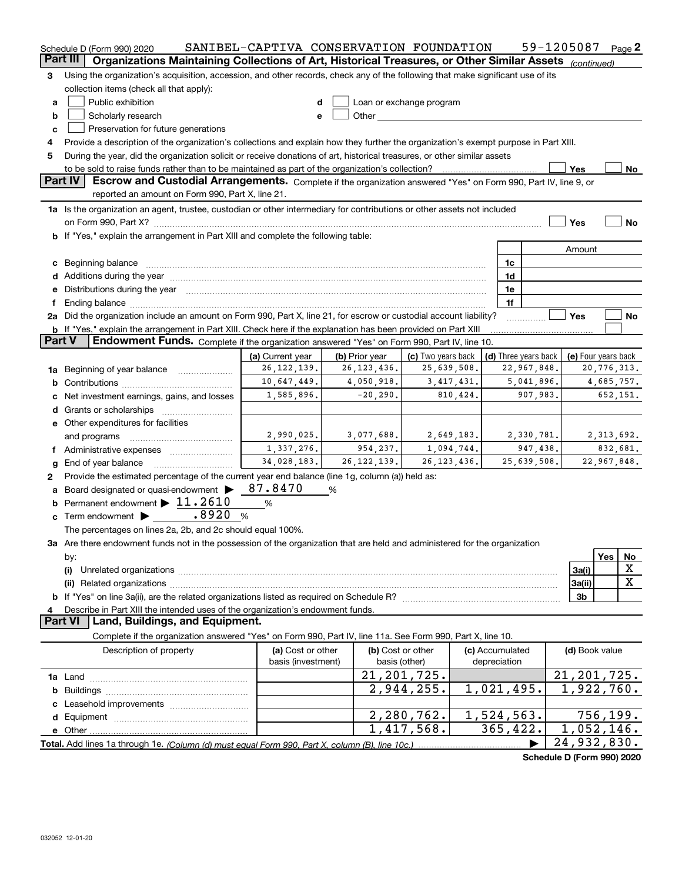|                     | Schedule D (Form 990) 2020                                                                                                                                                                                                     | SANIBEL-CAPTIVA CONSERVATION FOUNDATION |                         |                                                                                                                                                                                                                               |                 |                        | 59-1205087                                 |                        | Page 2  |
|---------------------|--------------------------------------------------------------------------------------------------------------------------------------------------------------------------------------------------------------------------------|-----------------------------------------|-------------------------|-------------------------------------------------------------------------------------------------------------------------------------------------------------------------------------------------------------------------------|-----------------|------------------------|--------------------------------------------|------------------------|---------|
|                     | Part III<br>Organizations Maintaining Collections of Art, Historical Treasures, or Other Similar Assets (continued)                                                                                                            |                                         |                         |                                                                                                                                                                                                                               |                 |                        |                                            |                        |         |
| 3                   | Using the organization's acquisition, accession, and other records, check any of the following that make significant use of its                                                                                                |                                         |                         |                                                                                                                                                                                                                               |                 |                        |                                            |                        |         |
|                     | collection items (check all that apply):                                                                                                                                                                                       |                                         |                         |                                                                                                                                                                                                                               |                 |                        |                                            |                        |         |
| a                   | Public exhibition<br>Loan or exchange program<br>d                                                                                                                                                                             |                                         |                         |                                                                                                                                                                                                                               |                 |                        |                                            |                        |         |
| b                   | Scholarly research                                                                                                                                                                                                             | e                                       |                         | Other and the contract of the contract of the contract of the contract of the contract of the contract of the contract of the contract of the contract of the contract of the contract of the contract of the contract of the |                 |                        |                                            |                        |         |
| c                   | Preservation for future generations                                                                                                                                                                                            |                                         |                         |                                                                                                                                                                                                                               |                 |                        |                                            |                        |         |
| 4                   | Provide a description of the organization's collections and explain how they further the organization's exempt purpose in Part XIII.                                                                                           |                                         |                         |                                                                                                                                                                                                                               |                 |                        |                                            |                        |         |
| 5                   | During the year, did the organization solicit or receive donations of art, historical treasures, or other similar assets                                                                                                       |                                         |                         |                                                                                                                                                                                                                               |                 |                        |                                            |                        |         |
|                     |                                                                                                                                                                                                                                |                                         |                         |                                                                                                                                                                                                                               |                 |                        | Yes                                        |                        | No      |
|                     | Part IV<br>Escrow and Custodial Arrangements. Complete if the organization answered "Yes" on Form 990, Part IV, line 9, or<br>reported an amount on Form 990, Part X, line 21.                                                 |                                         |                         |                                                                                                                                                                                                                               |                 |                        |                                            |                        |         |
|                     |                                                                                                                                                                                                                                |                                         |                         |                                                                                                                                                                                                                               |                 |                        |                                            |                        |         |
|                     | 1a Is the organization an agent, trustee, custodian or other intermediary for contributions or other assets not included                                                                                                       |                                         |                         |                                                                                                                                                                                                                               |                 |                        |                                            |                        |         |
|                     | on Form 990, Part X? [11] matter contracts and contracts and contracts are contracted to the contract of the contract of the contract of the contract of the contract of the contract of the contract of the contract of the c |                                         |                         |                                                                                                                                                                                                                               |                 |                        | Yes                                        |                        | No      |
|                     | b If "Yes," explain the arrangement in Part XIII and complete the following table:                                                                                                                                             |                                         |                         |                                                                                                                                                                                                                               |                 |                        |                                            |                        |         |
|                     |                                                                                                                                                                                                                                |                                         |                         |                                                                                                                                                                                                                               |                 |                        | Amount                                     |                        |         |
|                     | c Beginning balance measurements and the contract of the contract of the contract of the contract of the contract of the contract of the contract of the contract of the contract of the contract of the contract of the contr |                                         |                         |                                                                                                                                                                                                                               | 1c              |                        |                                            |                        |         |
|                     |                                                                                                                                                                                                                                |                                         |                         |                                                                                                                                                                                                                               | 1d              |                        |                                            |                        |         |
|                     | e Distributions during the year manufactured and continuum and contact the year manufactured and contact the year manufactured and contact the year manufactured and contact the year manufactured and contact the year manufa |                                         |                         |                                                                                                                                                                                                                               | 1e              |                        |                                            |                        |         |
| f                   |                                                                                                                                                                                                                                |                                         |                         |                                                                                                                                                                                                                               | 1f              |                        |                                            |                        |         |
|                     | 2a Did the organization include an amount on Form 990, Part X, line 21, for escrow or custodial account liability?                                                                                                             |                                         |                         |                                                                                                                                                                                                                               |                 |                        | Yes                                        |                        | No      |
| <b>Part V</b>       | b If "Yes," explain the arrangement in Part XIII. Check here if the explanation has been provided on Part XIII<br>Endowment Funds. Complete if the organization answered "Yes" on Form 990, Part IV, line 10.                  |                                         |                         |                                                                                                                                                                                                                               |                 |                        |                                            |                        |         |
|                     |                                                                                                                                                                                                                                | (a) Current year                        | (b) Prior year          |                                                                                                                                                                                                                               |                 |                        |                                            |                        |         |
|                     |                                                                                                                                                                                                                                | 26, 122, 139.                           | 26, 123, 436.           | (c) Two years back<br>25,639,508.                                                                                                                                                                                             |                 | 22,967,848.            | (d) Three years back   (e) Four years back | 20,776,313.            |         |
|                     | 1a Beginning of year balance                                                                                                                                                                                                   | 10,647,449.                             | 4,050,918.              | 3,417,431.                                                                                                                                                                                                                    |                 | 5,041,896.             |                                            | 4,685,757.             |         |
|                     |                                                                                                                                                                                                                                | 1,585,896.                              | $-20,290.$              | 810,424.                                                                                                                                                                                                                      |                 | 907,983.               |                                            | 652,151.               |         |
|                     | c Net investment earnings, gains, and losses                                                                                                                                                                                   |                                         |                         |                                                                                                                                                                                                                               |                 |                        |                                            |                        |         |
|                     |                                                                                                                                                                                                                                |                                         |                         |                                                                                                                                                                                                                               |                 |                        |                                            |                        |         |
|                     | e Other expenditures for facilities                                                                                                                                                                                            | 2,990,025.                              |                         | 2,649,183.                                                                                                                                                                                                                    |                 |                        |                                            |                        |         |
|                     | and programs                                                                                                                                                                                                                   | 1,337,276.                              | 3,077,688.<br>954, 237. | 1,094,744.                                                                                                                                                                                                                    |                 | 2,330,781.<br>947,438. |                                            | 2,313,692.<br>832,681. |         |
|                     |                                                                                                                                                                                                                                | 34,028,183.                             | 26, 122, 139.           | 26, 123, 436.                                                                                                                                                                                                                 |                 | 25,639,508.            |                                            | 22,967,848.            |         |
|                     | g End of year balance                                                                                                                                                                                                          |                                         |                         |                                                                                                                                                                                                                               |                 |                        |                                            |                        |         |
| 2                   | Provide the estimated percentage of the current year end balance (line 1g, column (a)) held as:                                                                                                                                | 87.8470                                 |                         |                                                                                                                                                                                                                               |                 |                        |                                            |                        |         |
|                     | a Board designated or quasi-endowment >                                                                                                                                                                                        |                                         | %                       |                                                                                                                                                                                                                               |                 |                        |                                            |                        |         |
|                     | <b>b</b> Permanent endowment $\blacktriangleright$ 11.2610                                                                                                                                                                     | %                                       |                         |                                                                                                                                                                                                                               |                 |                        |                                            |                        |         |
|                     | c Term endowment $\blacktriangleright$ _ .8920                                                                                                                                                                                 | %                                       |                         |                                                                                                                                                                                                                               |                 |                        |                                            |                        |         |
|                     | The percentages on lines 2a, 2b, and 2c should equal 100%.                                                                                                                                                                     |                                         |                         |                                                                                                                                                                                                                               |                 |                        |                                            |                        |         |
|                     | 3a Are there endowment funds not in the possession of the organization that are held and administered for the organization                                                                                                     |                                         |                         |                                                                                                                                                                                                                               |                 |                        |                                            |                        |         |
|                     | by:                                                                                                                                                                                                                            |                                         |                         |                                                                                                                                                                                                                               |                 |                        |                                            | Yes                    | No<br>X |
|                     | (i)                                                                                                                                                                                                                            |                                         |                         |                                                                                                                                                                                                                               |                 |                        | 3a(i)                                      |                        | X       |
|                     |                                                                                                                                                                                                                                |                                         |                         |                                                                                                                                                                                                                               |                 |                        | 3a(ii)                                     |                        |         |
|                     |                                                                                                                                                                                                                                |                                         |                         |                                                                                                                                                                                                                               |                 |                        | 3 <sub>b</sub>                             |                        |         |
| 4<br><b>Part VI</b> | Describe in Part XIII the intended uses of the organization's endowment funds.<br>Land, Buildings, and Equipment.                                                                                                              |                                         |                         |                                                                                                                                                                                                                               |                 |                        |                                            |                        |         |
|                     | Complete if the organization answered "Yes" on Form 990, Part IV, line 11a. See Form 990, Part X, line 10.                                                                                                                     |                                         |                         |                                                                                                                                                                                                                               |                 |                        |                                            |                        |         |
|                     | Description of property                                                                                                                                                                                                        | (a) Cost or other                       |                         | (b) Cost or other                                                                                                                                                                                                             | (c) Accumulated |                        | (d) Book value                             |                        |         |
|                     |                                                                                                                                                                                                                                | basis (investment)                      |                         | basis (other)                                                                                                                                                                                                                 | depreciation    |                        |                                            |                        |         |
|                     |                                                                                                                                                                                                                                |                                         |                         | 21, 201, 725.                                                                                                                                                                                                                 |                 |                        | 21, 201, 725.                              |                        |         |
|                     |                                                                                                                                                                                                                                |                                         |                         | 2,944,255.                                                                                                                                                                                                                    | 1,021,495.      |                        | 1,922,760.                                 |                        |         |
|                     |                                                                                                                                                                                                                                |                                         |                         |                                                                                                                                                                                                                               |                 |                        |                                            |                        |         |
|                     |                                                                                                                                                                                                                                |                                         |                         | 2, 280, 762.                                                                                                                                                                                                                  | 1,524,563.      |                        |                                            | 756, 199.              |         |
|                     |                                                                                                                                                                                                                                |                                         |                         | 1,417,568.                                                                                                                                                                                                                    | 365,422.        |                        | 1,052,146.                                 |                        |         |
|                     |                                                                                                                                                                                                                                |                                         |                         |                                                                                                                                                                                                                               |                 |                        | 24,932,830.                                |                        |         |
|                     |                                                                                                                                                                                                                                |                                         |                         |                                                                                                                                                                                                                               |                 |                        | Schedule D (Form 990) 2020                 |                        |         |
|                     |                                                                                                                                                                                                                                |                                         |                         |                                                                                                                                                                                                                               |                 |                        |                                            |                        |         |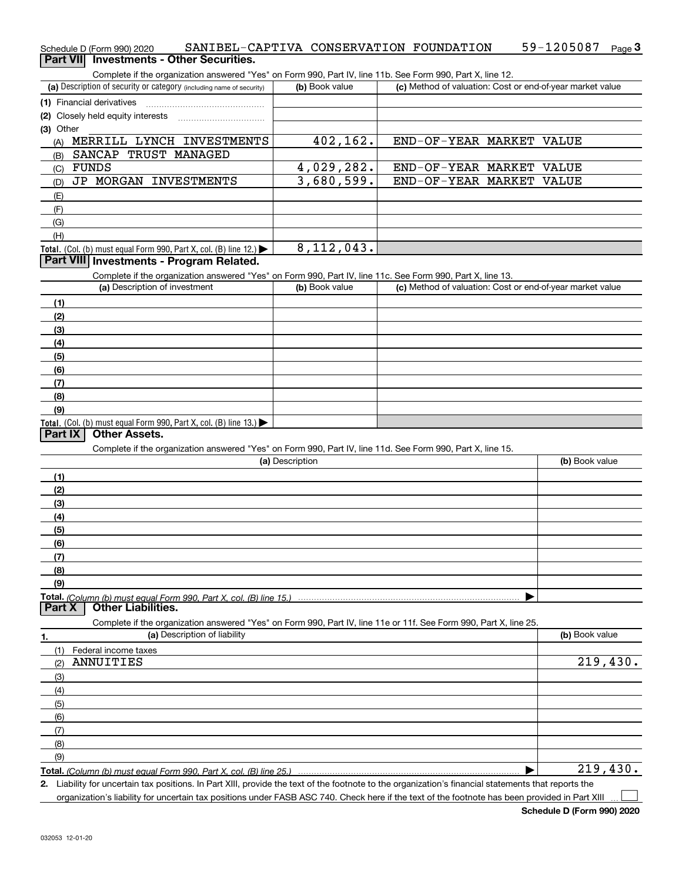| Schedule D (Form 990) 2020                                                                                                                           | SANIBEL-CAPTIVA CONSERVATION FOUNDATION |                    | 59-1205087<br>Page $3$                                    |
|------------------------------------------------------------------------------------------------------------------------------------------------------|-----------------------------------------|--------------------|-----------------------------------------------------------|
| Part VII Investments - Other Securities.                                                                                                             |                                         |                    |                                                           |
| Complete if the organization answered "Yes" on Form 990, Part IV, line 11b. See Form 990, Part X, line 12.                                           |                                         |                    |                                                           |
| (a) Description of security or category (including name of security)                                                                                 | (b) Book value                          |                    | (c) Method of valuation: Cost or end-of-year market value |
| (1) Financial derivatives                                                                                                                            |                                         |                    |                                                           |
| (2) Closely held equity interests                                                                                                                    |                                         |                    |                                                           |
| (3) Other                                                                                                                                            |                                         |                    |                                                           |
| (A) MERRILL LYNCH INVESTMENTS                                                                                                                        | 402,162.                                |                    | END-OF-YEAR MARKET VALUE                                  |
| SANCAP TRUST MANAGED<br>(B)                                                                                                                          |                                         |                    |                                                           |
| FUNDS<br>(C)                                                                                                                                         | 4,029,282.                              |                    | END-OF-YEAR MARKET VALUE                                  |
| JP MORGAN INVESTMENTS<br>(D)                                                                                                                         | 3,680,599.                              | END-OF-YEAR MARKET | VALUE                                                     |
| (E)                                                                                                                                                  |                                         |                    |                                                           |
| (F)                                                                                                                                                  |                                         |                    |                                                           |
| (G)                                                                                                                                                  |                                         |                    |                                                           |
| (H)                                                                                                                                                  |                                         |                    |                                                           |
| Total. (Col. (b) must equal Form 990, Part X, col. (B) line 12.) $\blacktriangleright$                                                               | 8, 112, 043.                            |                    |                                                           |
| Part VIII Investments - Program Related.                                                                                                             |                                         |                    |                                                           |
| Complete if the organization answered "Yes" on Form 990, Part IV, line 11c. See Form 990, Part X, line 13.                                           |                                         |                    |                                                           |
| (a) Description of investment                                                                                                                        | (b) Book value                          |                    | (c) Method of valuation: Cost or end-of-year market value |
| (1)                                                                                                                                                  |                                         |                    |                                                           |
| (2)                                                                                                                                                  |                                         |                    |                                                           |
| (3)                                                                                                                                                  |                                         |                    |                                                           |
| (4)                                                                                                                                                  |                                         |                    |                                                           |
| (5)                                                                                                                                                  |                                         |                    |                                                           |
| (6)                                                                                                                                                  |                                         |                    |                                                           |
| (7)                                                                                                                                                  |                                         |                    |                                                           |
| (8)                                                                                                                                                  |                                         |                    |                                                           |
| (9)                                                                                                                                                  |                                         |                    |                                                           |
| Total. (Col. (b) must equal Form 990, Part X, col. (B) line 13.)                                                                                     |                                         |                    |                                                           |
| <b>Other Assets.</b><br>Part IX                                                                                                                      |                                         |                    |                                                           |
| Complete if the organization answered "Yes" on Form 990, Part IV, line 11d. See Form 990, Part X, line 15.                                           |                                         |                    |                                                           |
|                                                                                                                                                      | (a) Description                         |                    | (b) Book value                                            |
| (1)                                                                                                                                                  |                                         |                    |                                                           |
| (2)                                                                                                                                                  |                                         |                    |                                                           |
| (3)                                                                                                                                                  |                                         |                    |                                                           |
| (4)                                                                                                                                                  |                                         |                    |                                                           |
| (5)                                                                                                                                                  |                                         |                    |                                                           |
| (6)                                                                                                                                                  |                                         |                    |                                                           |
| (7)                                                                                                                                                  |                                         |                    |                                                           |
| (8)                                                                                                                                                  |                                         |                    |                                                           |
| (9)                                                                                                                                                  |                                         |                    |                                                           |
|                                                                                                                                                      |                                         |                    |                                                           |
| <b>Other Liabilities.</b><br>Part X                                                                                                                  |                                         |                    |                                                           |
| Complete if the organization answered "Yes" on Form 990, Part IV, line 11e or 11f. See Form 990, Part X, line 25.                                    |                                         |                    |                                                           |
| (a) Description of liability<br>1.                                                                                                                   |                                         |                    | (b) Book value                                            |
| (1)<br>Federal income taxes                                                                                                                          |                                         |                    |                                                           |
| ANNUITIES<br>(2)                                                                                                                                     |                                         |                    | 219,430.                                                  |
| (3)                                                                                                                                                  |                                         |                    |                                                           |
| (4)                                                                                                                                                  |                                         |                    |                                                           |
| (5)                                                                                                                                                  |                                         |                    |                                                           |
| (6)                                                                                                                                                  |                                         |                    |                                                           |
| (7)                                                                                                                                                  |                                         |                    |                                                           |
| (8)                                                                                                                                                  |                                         |                    |                                                           |
| (9)                                                                                                                                                  |                                         |                    |                                                           |
| Total. (Column (b) must equal Form 990. Part X, col. (B) line 25.)                                                                                   |                                         |                    | 219,430.                                                  |
| 2. Liability for uncertain tax positions. In Part XIII, provide the text of the footnote to the organization's financial statements that reports the |                                         |                    |                                                           |

organization's liability for uncertain tax positions under FASB ASC 740. Check here if the text of the footnote has been provided in Part XIII

 $\mathcal{L}^{\text{max}}$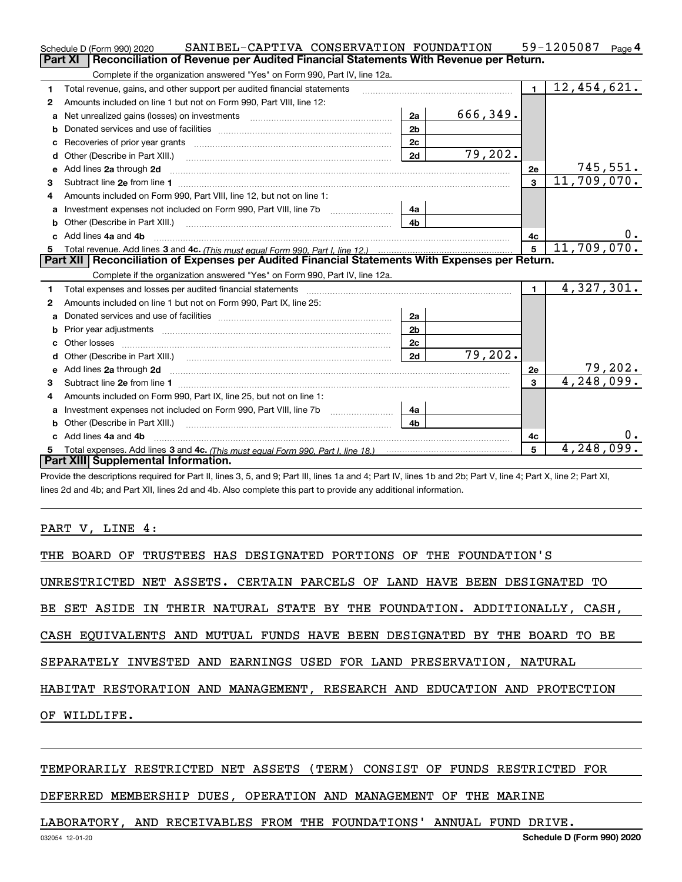|              | SANIBEL-CAPTIVA CONSERVATION FOUNDATION<br>Schedule D (Form 990) 2020                                                                                                                                                               |                |          |                | 59-1205087<br>Page $4$      |
|--------------|-------------------------------------------------------------------------------------------------------------------------------------------------------------------------------------------------------------------------------------|----------------|----------|----------------|-----------------------------|
|              | <b>Part XI</b><br>Reconciliation of Revenue per Audited Financial Statements With Revenue per Return.                                                                                                                               |                |          |                |                             |
|              | Complete if the organization answered "Yes" on Form 990, Part IV, line 12a.                                                                                                                                                         |                |          |                |                             |
| 1            | Total revenue, gains, and other support per audited financial statements                                                                                                                                                            |                |          | $\blacksquare$ | $\overline{12}$ , 454, 621. |
| 2            | Amounts included on line 1 but not on Form 990, Part VIII, line 12:                                                                                                                                                                 |                |          |                |                             |
| a            | Net unrealized gains (losses) on investments [11] matter contracts and the unrealized gains (losses) on investments                                                                                                                 | 2a             | 666,349. |                |                             |
|              |                                                                                                                                                                                                                                     | 2 <sub>b</sub> |          |                |                             |
| с            |                                                                                                                                                                                                                                     | 2c             |          |                |                             |
| d            | Other (Describe in Part XIII.) <b>2006</b> 2007 2010 2010 2010 2010 2011 2012 2013 2014 2014 2015 2016 2017 2018 2019 2016 2017 2018 2019 2016 2017 2018 2019 2016 2017 2018 2019 2018 2019 2019 2016 2017 2018 2019 2018 2019 2019 | 2d             | 79,202.  |                |                             |
| е            | Add lines 2a through 2d                                                                                                                                                                                                             |                |          | 2e             | 745,551.                    |
| 3            |                                                                                                                                                                                                                                     |                |          | $\mathbf{3}$   | $\overline{11}$ , 709, 070. |
| 4            | Amounts included on Form 990, Part VIII, line 12, but not on line 1:                                                                                                                                                                |                |          |                |                             |
|              |                                                                                                                                                                                                                                     | 4a             |          |                |                             |
| b            | Other (Describe in Part XIII.) <b>Construction Construction</b> Chern Construction Chern Chern Chern Chern Chern Chern                                                                                                              | 4 <sub>h</sub> |          |                |                             |
|              | Add lines 4a and 4b                                                                                                                                                                                                                 |                |          | 4с             | υ.                          |
| 5.           |                                                                                                                                                                                                                                     |                |          | 5              | 11,709,070.                 |
|              | Part XII   Reconciliation of Expenses per Audited Financial Statements With Expenses per Return.                                                                                                                                    |                |          |                |                             |
|              |                                                                                                                                                                                                                                     |                |          |                |                             |
|              | Complete if the organization answered "Yes" on Form 990, Part IV, line 12a.                                                                                                                                                         |                |          |                |                             |
| 1            |                                                                                                                                                                                                                                     |                |          | $\mathbf{1}$   | 4,327,301.                  |
| $\mathbf{2}$ | Amounts included on line 1 but not on Form 990, Part IX, line 25:                                                                                                                                                                   |                |          |                |                             |
| a            |                                                                                                                                                                                                                                     | 2a             |          |                |                             |
|              |                                                                                                                                                                                                                                     | 2 <sub>b</sub> |          |                |                             |
| c            |                                                                                                                                                                                                                                     | 2c             |          |                |                             |
|              |                                                                                                                                                                                                                                     | 2d             | 79,202.  |                |                             |
| е            | Add lines 2a through 2d <b>minimum contained a contract and a</b> contract a contract of the contract of the contract of the contract of the contract of the contract of the contract of the contract of the contract of the contra |                |          | 2e             | 79,202.                     |
| З.           |                                                                                                                                                                                                                                     |                |          | 3              | 4,248,099.                  |
| 4            | Amounts included on Form 990, Part IX, line 25, but not on line 1:                                                                                                                                                                  |                |          |                |                             |
| a            |                                                                                                                                                                                                                                     | 4a             |          |                |                             |
|              |                                                                                                                                                                                                                                     | 4b             |          |                |                             |
|              | Add lines 4a and 4b                                                                                                                                                                                                                 |                |          | 4с             | 0.                          |
|              | Part XIII Supplemental Information.                                                                                                                                                                                                 |                |          | 5              | 4,248,099.                  |

Provide the descriptions required for Part II, lines 3, 5, and 9; Part III, lines 1a and 4; Part IV, lines 1b and 2b; Part V, line 4; Part X, line 2; Part XI, lines 2d and 4b; and Part XII, lines 2d and 4b. Also complete this part to provide any additional information.

PART V, LINE 4:

| THE BOARD OF TRUSTEES HAS DESIGNATED PORTIONS OF THE FOUNDATION'S          |  |
|----------------------------------------------------------------------------|--|
| UNRESTRICTED NET ASSETS. CERTAIN PARCELS OF LAND HAVE BEEN DESIGNATED TO   |  |
| BE SET ASIDE IN THEIR NATURAL STATE BY THE FOUNDATION. ADDITIONALLY, CASH, |  |
| CASH EOUIVALENTS AND MUTUAL FUNDS HAVE BEEN DESIGNATED BY THE BOARD TO BE  |  |
| SEPARATELY INVESTED AND EARNINGS USED FOR LAND PRESERVATION, NATURAL       |  |
| HABITAT RESTORATION AND MANAGEMENT, RESEARCH AND EDUCATION AND PROTECTION  |  |
| OF WILDLIFE.                                                               |  |
|                                                                            |  |

### TEMPORARILY RESTRICTED NET ASSETS (TERM) CONSIST OF FUNDS RESTRICTED FOR

### DEFERRED MEMBERSHIP DUES, OPERATION AND MANAGEMENT OF THE MARINE

# LABORATORY, AND RECEIVABLES FROM THE FOUNDATIONS' ANNUAL FUND DRIVE.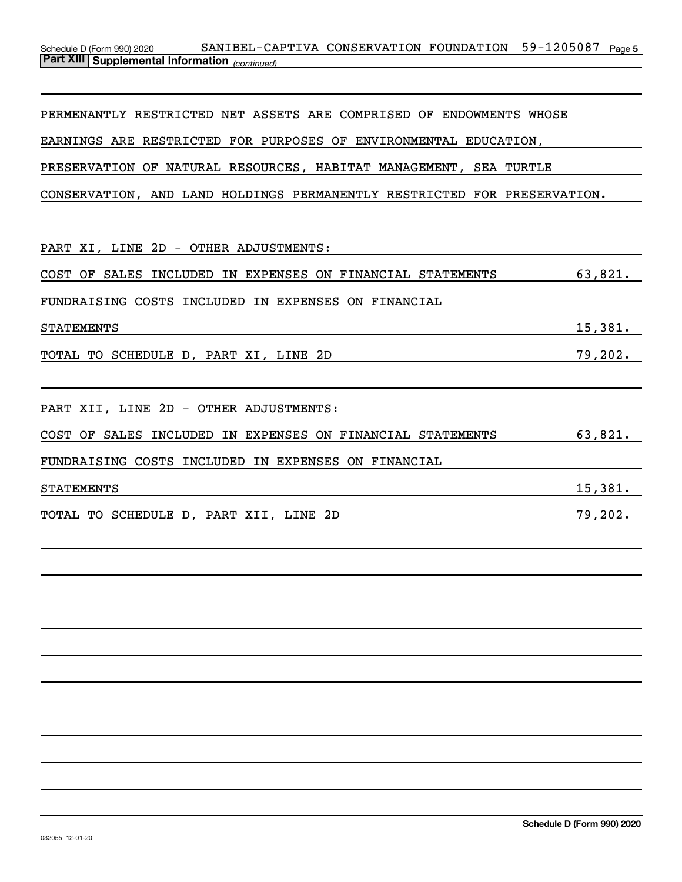## Schedule D (Form 990) 2020 SANIBEL-CAPTIVA CONSERVATION FOUNDATION 59-1205087 Page 5 *(continued)* **Part XIII Supplemental Information**

PERMENANTLY RESTRICTED NET ASSETS ARE COMPRISED OF ENDOWMENTS WHOSE

EARNINGS ARE RESTRICTED FOR PURPOSES OF ENVIRONMENTAL EDUCATION,

PRESERVATION OF NATURAL RESOURCES, HABITAT MANAGEMENT, SEA TURTLE

CONSERVATION, AND LAND HOLDINGS PERMANENTLY RESTRICTED FOR PRESERVATION.

| PART XI, LINE 2D - OTHER ADJUSTMENTS:                      |         |
|------------------------------------------------------------|---------|
| COST OF SALES INCLUDED IN EXPENSES ON FINANCIAL STATEMENTS | 63,821. |
| FUNDRAISING COSTS INCLUDED IN EXPENSES ON FINANCIAL        |         |
| <b>STATEMENTS</b>                                          | 15,381. |
| TOTAL TO SCHEDULE D, PART XI, LINE 2D                      | 79,202. |
|                                                            |         |
| PART XII, LINE 2D - OTHER ADJUSTMENTS:                     |         |
| COST OF SALES INCLUDED IN EXPENSES ON FINANCIAL STATEMENTS | 63,821. |
| FUNDRAISING COSTS INCLUDED IN EXPENSES ON FINANCIAL        |         |
| <b>STATEMENTS</b>                                          | 15,381. |
| TOTAL TO SCHEDULE D, PART XII, LINE 2D                     | 79,202. |
|                                                            |         |
|                                                            |         |
|                                                            |         |
|                                                            |         |
|                                                            |         |
|                                                            |         |
|                                                            |         |
|                                                            |         |
|                                                            |         |
|                                                            |         |
|                                                            |         |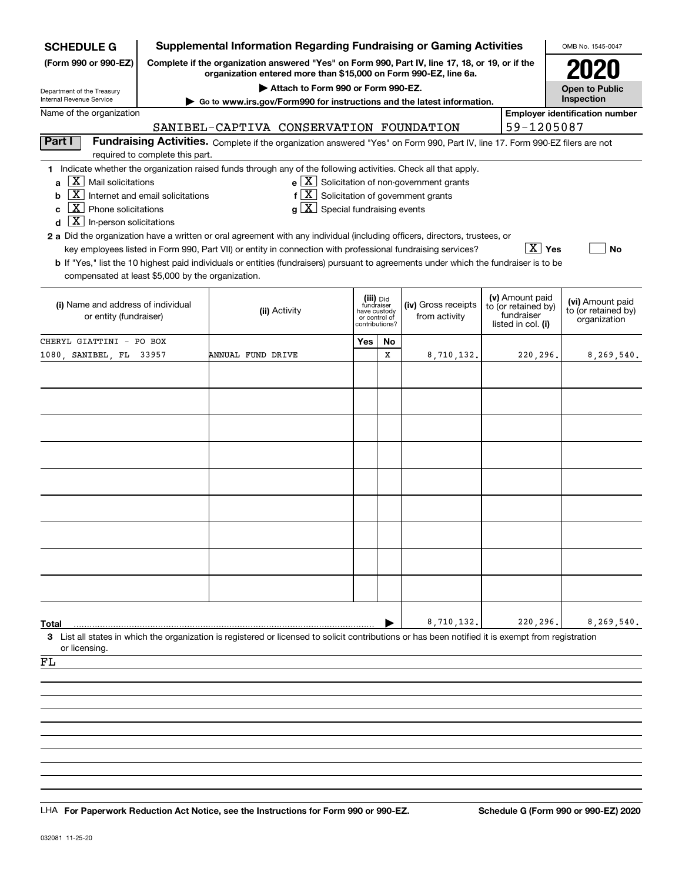| <b>SCHEDULE G</b>                                                                                                                                                                                                                                                                                                                                                                                                                                                                                                                                                                  |                                                                                                                                                                     |                                                                                                             |                                                                                                        |                                                                            |   | <b>Supplemental Information Regarding Fundraising or Gaming Activities</b>                                                    |  |                                                                            | OMB No. 1545-0047                                       |
|------------------------------------------------------------------------------------------------------------------------------------------------------------------------------------------------------------------------------------------------------------------------------------------------------------------------------------------------------------------------------------------------------------------------------------------------------------------------------------------------------------------------------------------------------------------------------------|---------------------------------------------------------------------------------------------------------------------------------------------------------------------|-------------------------------------------------------------------------------------------------------------|--------------------------------------------------------------------------------------------------------|----------------------------------------------------------------------------|---|-------------------------------------------------------------------------------------------------------------------------------|--|----------------------------------------------------------------------------|---------------------------------------------------------|
| (Form 990 or 990-EZ)                                                                                                                                                                                                                                                                                                                                                                                                                                                                                                                                                               | Complete if the organization answered "Yes" on Form 990, Part IV, line 17, 18, or 19, or if the<br>organization entered more than \$15,000 on Form 990-EZ, line 6a. |                                                                                                             |                                                                                                        |                                                                            |   |                                                                                                                               |  |                                                                            |                                                         |
| Department of the Treasury                                                                                                                                                                                                                                                                                                                                                                                                                                                                                                                                                         | Attach to Form 990 or Form 990-EZ.<br><b>Open to Public</b>                                                                                                         |                                                                                                             |                                                                                                        |                                                                            |   |                                                                                                                               |  |                                                                            |                                                         |
| Internal Revenue Service<br>Name of the organization                                                                                                                                                                                                                                                                                                                                                                                                                                                                                                                               |                                                                                                                                                                     |                                                                                                             |                                                                                                        |                                                                            |   | Go to www.irs.gov/Form990 for instructions and the latest information.                                                        |  |                                                                            | Inspection<br><b>Employer identification number</b>     |
|                                                                                                                                                                                                                                                                                                                                                                                                                                                                                                                                                                                    |                                                                                                                                                                     | SANIBEL-CAPTIVA CONSERVATION FOUNDATION                                                                     |                                                                                                        |                                                                            |   |                                                                                                                               |  | 59-1205087                                                                 |                                                         |
| Part I                                                                                                                                                                                                                                                                                                                                                                                                                                                                                                                                                                             | required to complete this part.                                                                                                                                     |                                                                                                             |                                                                                                        |                                                                            |   | Fundraising Activities. Complete if the organization answered "Yes" on Form 990, Part IV, line 17. Form 990-EZ filers are not |  |                                                                            |                                                         |
| 1 Indicate whether the organization raised funds through any of the following activities. Check all that apply.<br>ΧI<br>Mail solicitations<br>a<br>X<br>b<br>$\mathbf{X}$<br>Phone solicitations<br>C<br>$\mathbf{X}$<br>In-person solicitations<br>d<br>2 a Did the organization have a written or oral agreement with any individual (including officers, directors, trustees, or<br>b If "Yes," list the 10 highest paid individuals or entities (fundraisers) pursuant to agreements under which the fundraiser is to be<br>compensated at least \$5,000 by the organization. | Internet and email solicitations                                                                                                                                    | key employees listed in Form 990, Part VII) or entity in connection with professional fundraising services? | $f\left[\overline{X}\right]$ Solicitation of government grants<br>$g\mid X$ Special fundraising events |                                                                            |   | $e$ $\boxed{X}$ Solicitation of non-government grants                                                                         |  | $\overline{X}$ Yes                                                         | <b>No</b>                                               |
| (i) Name and address of individual<br>or entity (fundraiser)                                                                                                                                                                                                                                                                                                                                                                                                                                                                                                                       |                                                                                                                                                                     | (ii) Activity                                                                                               |                                                                                                        | (iii) Did<br>fundraiser<br>have custody<br>or control of<br>contributions? |   | (iv) Gross receipts<br>from activity                                                                                          |  | (v) Amount paid<br>to (or retained by)<br>fundraiser<br>listed in col. (i) | (vi) Amount paid<br>to (or retained by)<br>organization |
| CHERYL GIATTINI - PO BOX                                                                                                                                                                                                                                                                                                                                                                                                                                                                                                                                                           |                                                                                                                                                                     |                                                                                                             |                                                                                                        | Yes<br>No                                                                  |   |                                                                                                                               |  |                                                                            |                                                         |
| 1080, SANIBEL, FL 33957                                                                                                                                                                                                                                                                                                                                                                                                                                                                                                                                                            |                                                                                                                                                                     | ANNUAL FUND DRIVE                                                                                           |                                                                                                        |                                                                            | x | 8,710,132.                                                                                                                    |  | 220,296.                                                                   | 8,269,540.                                              |
|                                                                                                                                                                                                                                                                                                                                                                                                                                                                                                                                                                                    |                                                                                                                                                                     |                                                                                                             |                                                                                                        |                                                                            |   |                                                                                                                               |  |                                                                            |                                                         |
|                                                                                                                                                                                                                                                                                                                                                                                                                                                                                                                                                                                    |                                                                                                                                                                     |                                                                                                             |                                                                                                        |                                                                            |   |                                                                                                                               |  |                                                                            |                                                         |
|                                                                                                                                                                                                                                                                                                                                                                                                                                                                                                                                                                                    |                                                                                                                                                                     |                                                                                                             |                                                                                                        |                                                                            |   |                                                                                                                               |  |                                                                            |                                                         |
|                                                                                                                                                                                                                                                                                                                                                                                                                                                                                                                                                                                    |                                                                                                                                                                     |                                                                                                             |                                                                                                        |                                                                            |   |                                                                                                                               |  |                                                                            |                                                         |
|                                                                                                                                                                                                                                                                                                                                                                                                                                                                                                                                                                                    |                                                                                                                                                                     |                                                                                                             |                                                                                                        |                                                                            |   |                                                                                                                               |  |                                                                            |                                                         |
|                                                                                                                                                                                                                                                                                                                                                                                                                                                                                                                                                                                    |                                                                                                                                                                     |                                                                                                             |                                                                                                        |                                                                            |   |                                                                                                                               |  |                                                                            |                                                         |
|                                                                                                                                                                                                                                                                                                                                                                                                                                                                                                                                                                                    |                                                                                                                                                                     |                                                                                                             |                                                                                                        |                                                                            |   |                                                                                                                               |  |                                                                            |                                                         |
|                                                                                                                                                                                                                                                                                                                                                                                                                                                                                                                                                                                    |                                                                                                                                                                     |                                                                                                             |                                                                                                        |                                                                            |   |                                                                                                                               |  |                                                                            |                                                         |
|                                                                                                                                                                                                                                                                                                                                                                                                                                                                                                                                                                                    |                                                                                                                                                                     |                                                                                                             |                                                                                                        |                                                                            |   |                                                                                                                               |  |                                                                            |                                                         |
|                                                                                                                                                                                                                                                                                                                                                                                                                                                                                                                                                                                    |                                                                                                                                                                     |                                                                                                             |                                                                                                        |                                                                            |   |                                                                                                                               |  |                                                                            |                                                         |
|                                                                                                                                                                                                                                                                                                                                                                                                                                                                                                                                                                                    |                                                                                                                                                                     |                                                                                                             |                                                                                                        |                                                                            |   |                                                                                                                               |  |                                                                            |                                                         |
|                                                                                                                                                                                                                                                                                                                                                                                                                                                                                                                                                                                    |                                                                                                                                                                     |                                                                                                             |                                                                                                        |                                                                            |   |                                                                                                                               |  |                                                                            |                                                         |
|                                                                                                                                                                                                                                                                                                                                                                                                                                                                                                                                                                                    |                                                                                                                                                                     |                                                                                                             |                                                                                                        |                                                                            |   |                                                                                                                               |  |                                                                            |                                                         |
| Total                                                                                                                                                                                                                                                                                                                                                                                                                                                                                                                                                                              |                                                                                                                                                                     |                                                                                                             |                                                                                                        |                                                                            |   | 8,710,132.                                                                                                                    |  | 220,296.                                                                   | 8,269,540.                                              |
| 3 List all states in which the organization is registered or licensed to solicit contributions or has been notified it is exempt from registration<br>or licensing.                                                                                                                                                                                                                                                                                                                                                                                                                |                                                                                                                                                                     |                                                                                                             |                                                                                                        |                                                                            |   |                                                                                                                               |  |                                                                            |                                                         |
| FL                                                                                                                                                                                                                                                                                                                                                                                                                                                                                                                                                                                 |                                                                                                                                                                     |                                                                                                             |                                                                                                        |                                                                            |   |                                                                                                                               |  |                                                                            |                                                         |
|                                                                                                                                                                                                                                                                                                                                                                                                                                                                                                                                                                                    |                                                                                                                                                                     |                                                                                                             |                                                                                                        |                                                                            |   |                                                                                                                               |  |                                                                            |                                                         |
|                                                                                                                                                                                                                                                                                                                                                                                                                                                                                                                                                                                    |                                                                                                                                                                     |                                                                                                             |                                                                                                        |                                                                            |   |                                                                                                                               |  |                                                                            |                                                         |
|                                                                                                                                                                                                                                                                                                                                                                                                                                                                                                                                                                                    |                                                                                                                                                                     |                                                                                                             |                                                                                                        |                                                                            |   |                                                                                                                               |  |                                                                            |                                                         |
|                                                                                                                                                                                                                                                                                                                                                                                                                                                                                                                                                                                    |                                                                                                                                                                     |                                                                                                             |                                                                                                        |                                                                            |   |                                                                                                                               |  |                                                                            |                                                         |
|                                                                                                                                                                                                                                                                                                                                                                                                                                                                                                                                                                                    |                                                                                                                                                                     |                                                                                                             |                                                                                                        |                                                                            |   |                                                                                                                               |  |                                                                            |                                                         |

LHA For Paperwork Reduction Act Notice, see the Instructions for Form 990 or 990-EZ. Schedule G (Form 990 or 990-EZ) 2020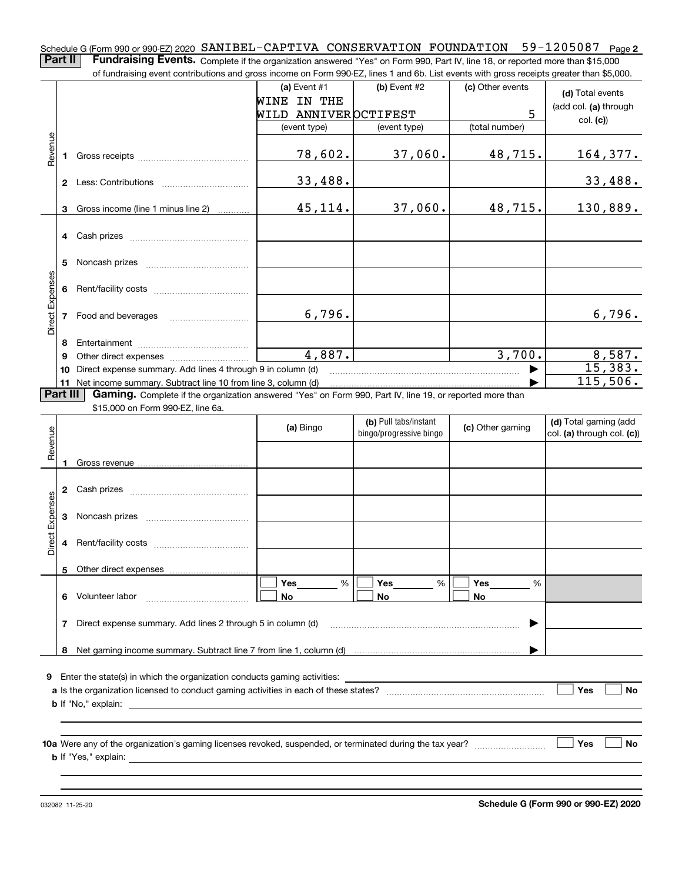Schedule G (Form 990 or 990-EZ) 2020  $\,$  SANIBEL-CAPTIVA  $\,$  CONSERVATION  $\,$  FOUNDATION  $\,$  59–1205087  $\,$  Page  $2$ **Part II** | Fundraising Events. Complete if the organization answered "Yes" on Form 990, Part IV, line 18, or reported more than \$15,000 of fundraising event contributions and gross income on Form 990-EZ, lines 1 and 6b. List events with gross receipts greater than \$5,000.

|                        |   | ovent continuations and gross income on r only soc EE, inics it and ob. Elst events with gross receipts groater than \$0,000. |                      |                         |                  |                            |
|------------------------|---|-------------------------------------------------------------------------------------------------------------------------------|----------------------|-------------------------|------------------|----------------------------|
|                        |   |                                                                                                                               | (a) Event $#1$       | $(b)$ Event #2          | (c) Other events | (d) Total events           |
|                        |   |                                                                                                                               | WINE IN THE          |                         |                  | (add col. (a) through      |
|                        |   |                                                                                                                               | WILD ANNIVEROCTIFEST |                         | 5                | col. (c)                   |
|                        |   |                                                                                                                               | (event type)         | (event type)            | (total number)   |                            |
| Revenue                |   |                                                                                                                               | 78,602.              | 37,060.                 | 48,715.          | 164,377.                   |
|                        |   |                                                                                                                               | 33,488.              |                         |                  | 33,488.                    |
|                        |   | 3 Gross income (line 1 minus line 2)                                                                                          | 45,114.              | 37,060.                 | 48,715.          | 130,889.                   |
|                        |   |                                                                                                                               |                      |                         |                  |                            |
|                        |   |                                                                                                                               |                      |                         |                  |                            |
|                        | 5 |                                                                                                                               |                      |                         |                  |                            |
|                        |   |                                                                                                                               |                      |                         |                  |                            |
| Direct Expenses        |   | 7 Food and beverages                                                                                                          | 6,796.               |                         |                  | 6,796.                     |
|                        | 8 |                                                                                                                               |                      |                         |                  |                            |
|                        | 9 |                                                                                                                               | 4,887.               |                         | 3,700.           | 8,587.                     |
|                        |   | 10 Direct expense summary. Add lines 4 through 9 in column (d)                                                                |                      |                         |                  | 15,383.                    |
| Part III               |   | Gaming. Complete if the organization answered "Yes" on Form 990, Part IV, line 19, or reported more than                      |                      |                         |                  | 115,506.                   |
|                        |   | \$15,000 on Form 990-EZ, line 6a.                                                                                             |                      |                         |                  |                            |
|                        |   |                                                                                                                               |                      | (b) Pull tabs/instant   |                  | (d) Total gaming (add      |
| Revenue                |   |                                                                                                                               | (a) Bingo            | bingo/progressive bingo | (c) Other gaming | col. (a) through col. (c)) |
|                        |   |                                                                                                                               |                      |                         |                  |                            |
|                        |   |                                                                                                                               |                      |                         |                  |                            |
|                        |   |                                                                                                                               |                      |                         |                  |                            |
|                        |   |                                                                                                                               |                      |                         |                  |                            |
| <b>Direct Expenses</b> |   |                                                                                                                               |                      |                         |                  |                            |
|                        |   |                                                                                                                               |                      |                         |                  |                            |
|                        |   |                                                                                                                               |                      |                         |                  |                            |
|                        |   |                                                                                                                               | Yes<br>%             | Yes<br>%                | Yes<br>%         |                            |
|                        | 6 | Volunteer labor                                                                                                               | No                   | No                      | No               |                            |
|                        | 7 | Direct expense summary. Add lines 2 through 5 in column (d)                                                                   |                      |                         |                  |                            |
|                        |   |                                                                                                                               |                      |                         |                  |                            |
|                        |   |                                                                                                                               |                      |                         |                  |                            |
|                        | 8 |                                                                                                                               |                      |                         |                  |                            |
|                        |   |                                                                                                                               |                      |                         |                  |                            |
|                        |   | <b>9</b> Enter the state(s) in which the organization conducts gaming activities:                                             |                      |                         |                  | Yes<br>No                  |
|                        |   | <b>b</b> If "No," explain:                                                                                                    |                      |                         |                  |                            |
|                        |   |                                                                                                                               |                      |                         |                  |                            |
|                        |   |                                                                                                                               |                      |                         |                  |                            |
|                        |   |                                                                                                                               |                      |                         |                  | <b>Yes</b><br>No           |
|                        |   | <b>b</b> If "Yes," explain:                                                                                                   |                      |                         |                  |                            |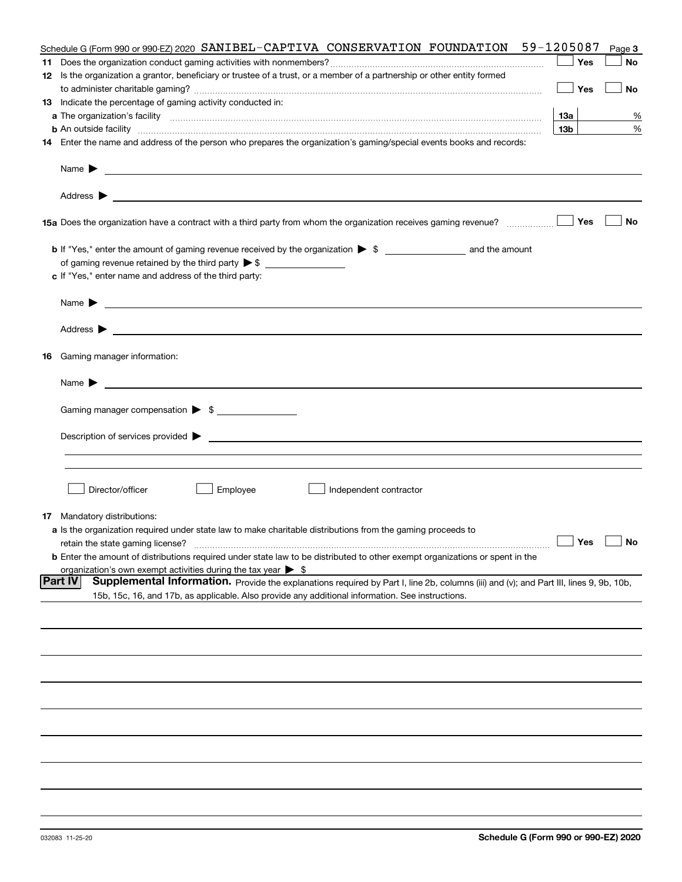| Schedule G (Form 990 or 990-EZ) 2020 SANIBEL-CAPTIVA CONSERVATION FOUNDATION                                                                                                                                                                                       | 59-1205087      | Page 3 |
|--------------------------------------------------------------------------------------------------------------------------------------------------------------------------------------------------------------------------------------------------------------------|-----------------|--------|
|                                                                                                                                                                                                                                                                    | Yes             | No     |
| 12 Is the organization a grantor, beneficiary or trustee of a trust, or a member of a partnership or other entity formed                                                                                                                                           |                 |        |
|                                                                                                                                                                                                                                                                    | Yes             | No     |
| 13 Indicate the percentage of gaming activity conducted in:                                                                                                                                                                                                        |                 |        |
|                                                                                                                                                                                                                                                                    | 13а             | %      |
| <b>b</b> An outside facility <b>contained an according to the contract of the contract of the contract of the contract of the contract of the contract of the contract of the contract of the contract of the contract of the contrac</b>                          | 13 <sub>b</sub> | %      |
| 14 Enter the name and address of the person who prepares the organization's gaming/special events books and records:                                                                                                                                               |                 |        |
| Name $\blacktriangleright$<br><u>state and the state of the state of the state of the state of the state of the state of the state of the state of the state of the state of the state of the state of the state of the state of the state of the state of the</u> |                 |        |
| <u> 1989 - Johann Harry Harry Harry Harry Harry Harry Harry Harry Harry Harry Harry Harry Harry Harry Harry Harry</u><br>Address $\blacktriangleright$                                                                                                             |                 |        |
| 15a Does the organization have a contract with a third party from whom the organization receives gaming revenue?                                                                                                                                                   | Yes             | No     |
|                                                                                                                                                                                                                                                                    |                 |        |
|                                                                                                                                                                                                                                                                    |                 |        |
| c If "Yes," enter name and address of the third party:                                                                                                                                                                                                             |                 |        |
| Name $\blacktriangleright$                                                                                                                                                                                                                                         |                 |        |
| Address $\blacktriangleright$<br><u>some started and the started and the started and the started and the started and the started and the started and</u>                                                                                                           |                 |        |
| 16 Gaming manager information:                                                                                                                                                                                                                                     |                 |        |
| <u> 1989 - Johann Barbara, marka a shekara tsa 1989 - An tsa 1989 - An tsa 1989 - An tsa 1989 - An tsa 1989 - An</u><br>Name $\blacktriangleright$                                                                                                                 |                 |        |
|                                                                                                                                                                                                                                                                    |                 |        |
| Gaming manager compensation > \$                                                                                                                                                                                                                                   |                 |        |
| Description of services provided $\blacktriangleright$ $\bot$                                                                                                                                                                                                      |                 |        |
|                                                                                                                                                                                                                                                                    |                 |        |
|                                                                                                                                                                                                                                                                    |                 |        |
|                                                                                                                                                                                                                                                                    |                 |        |
| Director/officer<br>Employee<br>Independent contractor                                                                                                                                                                                                             |                 |        |
|                                                                                                                                                                                                                                                                    |                 |        |
| <b>17</b> Mandatory distributions:                                                                                                                                                                                                                                 |                 |        |
| a Is the organization required under state law to make charitable distributions from the gaming proceeds to                                                                                                                                                        |                 |        |
| retain the state gaming license?                                                                                                                                                                                                                                   | Yes $\lfloor$   | No     |
| <b>b</b> Enter the amount of distributions required under state law to be distributed to other exempt organizations or spent in the                                                                                                                                |                 |        |
| organization's own exempt activities during the tax year $\triangleright$ \$<br> Part IV<br>Supplemental Information. Provide the explanations required by Part I, line 2b, columns (iii) and (v); and Part III, lines 9, 9b, 10b,                                 |                 |        |
| 15b, 15c, 16, and 17b, as applicable. Also provide any additional information. See instructions.                                                                                                                                                                   |                 |        |
|                                                                                                                                                                                                                                                                    |                 |        |
|                                                                                                                                                                                                                                                                    |                 |        |
|                                                                                                                                                                                                                                                                    |                 |        |
|                                                                                                                                                                                                                                                                    |                 |        |
|                                                                                                                                                                                                                                                                    |                 |        |
|                                                                                                                                                                                                                                                                    |                 |        |
|                                                                                                                                                                                                                                                                    |                 |        |
|                                                                                                                                                                                                                                                                    |                 |        |
|                                                                                                                                                                                                                                                                    |                 |        |
|                                                                                                                                                                                                                                                                    |                 |        |
|                                                                                                                                                                                                                                                                    |                 |        |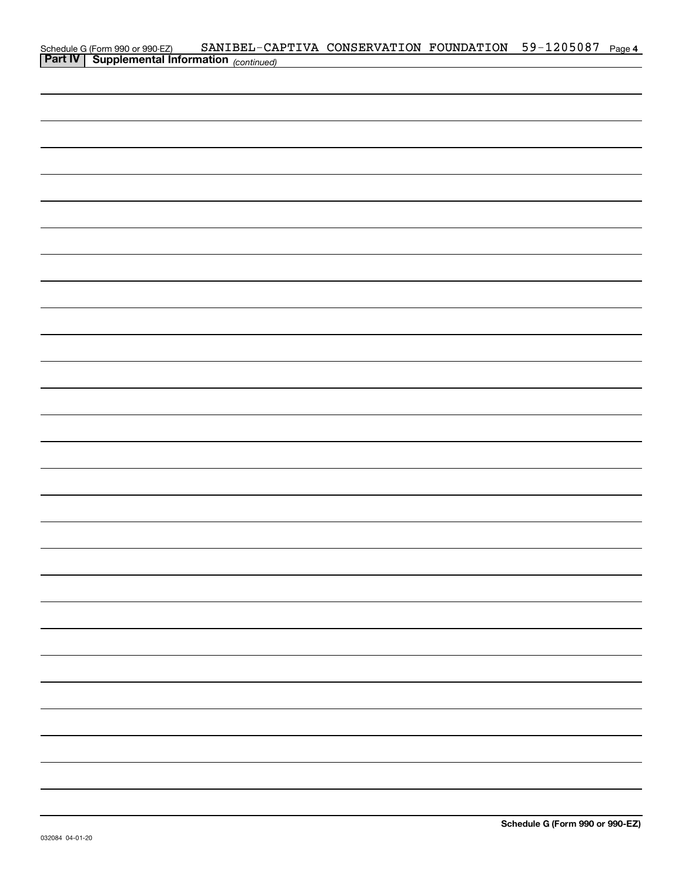|  | Schedule G (Form 990 or 990-EZ) SANIBEL-CAPTIVA CONSERVATION FOUNDATION 59-1205087 Page 4<br><b>Part IV</b> Supplemental Information <sub>(continued)</sub> |  |  |
|--|-------------------------------------------------------------------------------------------------------------------------------------------------------------|--|--|
|  |                                                                                                                                                             |  |  |
|  |                                                                                                                                                             |  |  |
|  |                                                                                                                                                             |  |  |
|  |                                                                                                                                                             |  |  |
|  |                                                                                                                                                             |  |  |
|  |                                                                                                                                                             |  |  |
|  |                                                                                                                                                             |  |  |
|  |                                                                                                                                                             |  |  |
|  |                                                                                                                                                             |  |  |
|  |                                                                                                                                                             |  |  |
|  |                                                                                                                                                             |  |  |
|  |                                                                                                                                                             |  |  |
|  |                                                                                                                                                             |  |  |
|  |                                                                                                                                                             |  |  |
|  |                                                                                                                                                             |  |  |
|  |                                                                                                                                                             |  |  |
|  |                                                                                                                                                             |  |  |
|  |                                                                                                                                                             |  |  |
|  |                                                                                                                                                             |  |  |
|  |                                                                                                                                                             |  |  |
|  |                                                                                                                                                             |  |  |
|  |                                                                                                                                                             |  |  |
|  |                                                                                                                                                             |  |  |
|  |                                                                                                                                                             |  |  |
|  |                                                                                                                                                             |  |  |
|  |                                                                                                                                                             |  |  |
|  |                                                                                                                                                             |  |  |
|  |                                                                                                                                                             |  |  |
|  |                                                                                                                                                             |  |  |
|  |                                                                                                                                                             |  |  |
|  |                                                                                                                                                             |  |  |
|  |                                                                                                                                                             |  |  |
|  |                                                                                                                                                             |  |  |
|  |                                                                                                                                                             |  |  |
|  |                                                                                                                                                             |  |  |
|  |                                                                                                                                                             |  |  |
|  |                                                                                                                                                             |  |  |
|  |                                                                                                                                                             |  |  |
|  |                                                                                                                                                             |  |  |
|  |                                                                                                                                                             |  |  |
|  |                                                                                                                                                             |  |  |
|  |                                                                                                                                                             |  |  |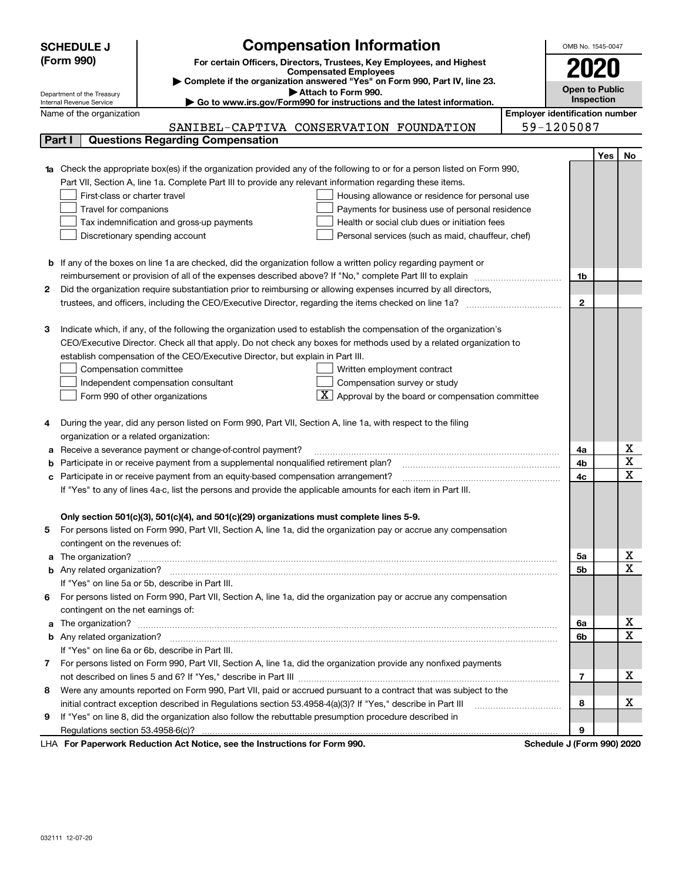|   | <b>SCHEDULE J</b>                                                                                                                                                                             | <b>Compensation Information</b>                                                                                                                                                                               |  | OMB No. 1545-0047 |     |             |  |  |  |
|---|-----------------------------------------------------------------------------------------------------------------------------------------------------------------------------------------------|---------------------------------------------------------------------------------------------------------------------------------------------------------------------------------------------------------------|--|-------------------|-----|-------------|--|--|--|
|   | (Form 990)                                                                                                                                                                                    |                                                                                                                                                                                                               |  |                   |     |             |  |  |  |
|   |                                                                                                                                                                                               | For certain Officers, Directors, Trustees, Key Employees, and Highest<br><b>Compensated Employees</b>                                                                                                         |  | 2020              |     |             |  |  |  |
|   | Complete if the organization answered "Yes" on Form 990, Part IV, line 23.<br><b>Open to Public</b>                                                                                           |                                                                                                                                                                                                               |  |                   |     |             |  |  |  |
|   | Attach to Form 990.<br>Department of the Treasury<br>Inspection                                                                                                                               |                                                                                                                                                                                                               |  |                   |     |             |  |  |  |
|   | Internal Revenue Service<br>$\blacktriangleright$ Go to www.irs.gov/Form990 for instructions and the latest information.<br><b>Employer identification number</b><br>Name of the organization |                                                                                                                                                                                                               |  |                   |     |             |  |  |  |
|   |                                                                                                                                                                                               | SANIBEL-CAPTIVA CONSERVATION FOUNDATION                                                                                                                                                                       |  | 59-1205087        |     |             |  |  |  |
|   | Part I                                                                                                                                                                                        | <b>Questions Regarding Compensation</b>                                                                                                                                                                       |  |                   |     |             |  |  |  |
|   |                                                                                                                                                                                               |                                                                                                                                                                                                               |  |                   | Yes | No          |  |  |  |
|   |                                                                                                                                                                                               | Check the appropriate box(es) if the organization provided any of the following to or for a person listed on Form 990,                                                                                        |  |                   |     |             |  |  |  |
|   |                                                                                                                                                                                               | Part VII, Section A, line 1a. Complete Part III to provide any relevant information regarding these items.                                                                                                    |  |                   |     |             |  |  |  |
|   | First-class or charter travel                                                                                                                                                                 | Housing allowance or residence for personal use                                                                                                                                                               |  |                   |     |             |  |  |  |
|   | Travel for companions                                                                                                                                                                         | Payments for business use of personal residence                                                                                                                                                               |  |                   |     |             |  |  |  |
|   |                                                                                                                                                                                               | Health or social club dues or initiation fees<br>Tax indemnification and gross-up payments                                                                                                                    |  |                   |     |             |  |  |  |
|   |                                                                                                                                                                                               | Discretionary spending account<br>Personal services (such as maid, chauffeur, chef)                                                                                                                           |  |                   |     |             |  |  |  |
|   |                                                                                                                                                                                               |                                                                                                                                                                                                               |  |                   |     |             |  |  |  |
|   |                                                                                                                                                                                               | <b>b</b> If any of the boxes on line 1a are checked, did the organization follow a written policy regarding payment or                                                                                        |  |                   |     |             |  |  |  |
|   |                                                                                                                                                                                               |                                                                                                                                                                                                               |  | 1b                |     |             |  |  |  |
| 2 |                                                                                                                                                                                               | Did the organization require substantiation prior to reimbursing or allowing expenses incurred by all directors,                                                                                              |  |                   |     |             |  |  |  |
|   |                                                                                                                                                                                               |                                                                                                                                                                                                               |  | $\mathbf{2}$      |     |             |  |  |  |
|   |                                                                                                                                                                                               |                                                                                                                                                                                                               |  |                   |     |             |  |  |  |
| З |                                                                                                                                                                                               | Indicate which, if any, of the following the organization used to establish the compensation of the organization's                                                                                            |  |                   |     |             |  |  |  |
|   |                                                                                                                                                                                               | CEO/Executive Director. Check all that apply. Do not check any boxes for methods used by a related organization to                                                                                            |  |                   |     |             |  |  |  |
|   |                                                                                                                                                                                               | establish compensation of the CEO/Executive Director, but explain in Part III.                                                                                                                                |  |                   |     |             |  |  |  |
|   | Compensation committee                                                                                                                                                                        | Written employment contract                                                                                                                                                                                   |  |                   |     |             |  |  |  |
|   |                                                                                                                                                                                               | Compensation survey or study<br>Independent compensation consultant                                                                                                                                           |  |                   |     |             |  |  |  |
|   |                                                                                                                                                                                               | Approval by the board or compensation committee<br>Form 990 of other organizations                                                                                                                            |  |                   |     |             |  |  |  |
|   |                                                                                                                                                                                               |                                                                                                                                                                                                               |  |                   |     |             |  |  |  |
| 4 |                                                                                                                                                                                               | During the year, did any person listed on Form 990, Part VII, Section A, line 1a, with respect to the filing                                                                                                  |  |                   |     |             |  |  |  |
|   | organization or a related organization:                                                                                                                                                       |                                                                                                                                                                                                               |  |                   |     |             |  |  |  |
| а |                                                                                                                                                                                               | Receive a severance payment or change-of-control payment?                                                                                                                                                     |  | 4a                |     | х           |  |  |  |
| b |                                                                                                                                                                                               | Participate in or receive payment from a supplemental nonqualified retirement plan?                                                                                                                           |  | 4b                |     | X           |  |  |  |
|   |                                                                                                                                                                                               | Participate in or receive payment from an equity-based compensation arrangement?                                                                                                                              |  | 4c                |     | $\mathbf X$ |  |  |  |
|   |                                                                                                                                                                                               | If "Yes" to any of lines 4a-c, list the persons and provide the applicable amounts for each item in Part III.                                                                                                 |  |                   |     |             |  |  |  |
|   |                                                                                                                                                                                               |                                                                                                                                                                                                               |  |                   |     |             |  |  |  |
|   |                                                                                                                                                                                               | Only section 501(c)(3), 501(c)(4), and 501(c)(29) organizations must complete lines 5-9.<br>For persons listed on Form 990, Part VII, Section A, line 1a, did the organization pay or accrue any compensation |  |                   |     |             |  |  |  |
| 5 |                                                                                                                                                                                               |                                                                                                                                                                                                               |  |                   |     |             |  |  |  |
| a | contingent on the revenues of:                                                                                                                                                                |                                                                                                                                                                                                               |  | 5a                |     | x           |  |  |  |
|   |                                                                                                                                                                                               |                                                                                                                                                                                                               |  | 5b                |     | $\mathbf X$ |  |  |  |
|   |                                                                                                                                                                                               | If "Yes" on line 5a or 5b, describe in Part III.                                                                                                                                                              |  |                   |     |             |  |  |  |
| 6 |                                                                                                                                                                                               | For persons listed on Form 990, Part VII, Section A, line 1a, did the organization pay or accrue any compensation                                                                                             |  |                   |     |             |  |  |  |
|   | contingent on the net earnings of:                                                                                                                                                            |                                                                                                                                                                                                               |  |                   |     |             |  |  |  |
| a |                                                                                                                                                                                               | The organization? <b>With the organization? With the organization?</b>                                                                                                                                        |  | 6a                |     | x           |  |  |  |
|   |                                                                                                                                                                                               |                                                                                                                                                                                                               |  | 6b                |     | $\mathbf X$ |  |  |  |
|   |                                                                                                                                                                                               | If "Yes" on line 6a or 6b, describe in Part III.                                                                                                                                                              |  |                   |     |             |  |  |  |
| 7 |                                                                                                                                                                                               | For persons listed on Form 990, Part VII, Section A, line 1a, did the organization provide any nonfixed payments                                                                                              |  |                   |     |             |  |  |  |
|   |                                                                                                                                                                                               |                                                                                                                                                                                                               |  | 7                 |     | х           |  |  |  |
| 8 |                                                                                                                                                                                               | Were any amounts reported on Form 990, Part VII, paid or accrued pursuant to a contract that was subject to the                                                                                               |  |                   |     |             |  |  |  |
|   |                                                                                                                                                                                               | initial contract exception described in Regulations section 53.4958-4(a)(3)? If "Yes," describe in Part III                                                                                                   |  | 8                 |     | х           |  |  |  |
| 9 |                                                                                                                                                                                               | If "Yes" on line 8, did the organization also follow the rebuttable presumption procedure described in                                                                                                        |  |                   |     |             |  |  |  |
|   |                                                                                                                                                                                               |                                                                                                                                                                                                               |  | 9                 |     |             |  |  |  |
|   |                                                                                                                                                                                               |                                                                                                                                                                                                               |  |                   |     |             |  |  |  |

LHA For Paperwork Reduction Act Notice, see the Instructions for Form 990. Schedule J (Form 990) 2020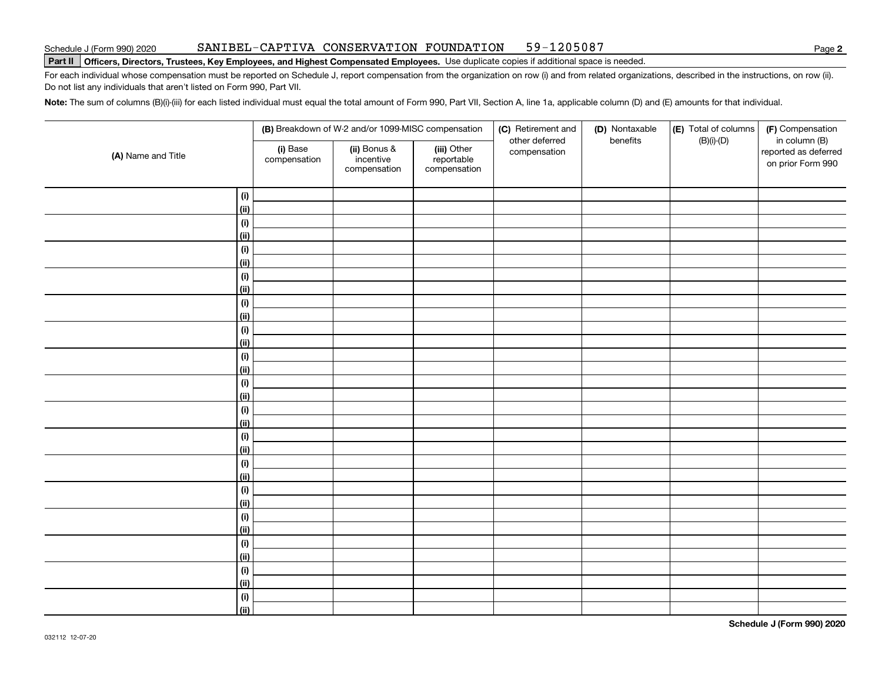### SANIBEL-CAPTIVA CONSERVATION FOUNDATION 59-1205087

# Schedule J (Form 990) 2020 SAN LBEL-CAP'I' L VA CONSERVA'I' LON F'OUNDA'I' LON 59-L Z U 5 U 8/<br>Part II │Officers, Directors, Trustees, Key Employees, and Highest Compensated Employees. Use duplicate copies if additio

For each individual whose compensation must be reported on Schedule J, report compensation from the organization on row (i) and from related organizations, described in the instructions, on row (ii). Do not list any individuals that aren't listed on Form 990, Part VII.

**Note:**  The sum of columns (B)(i)-(iii) for each listed individual must equal the total amount of Form 990, Part VII, Section A, line 1a, applicable column (D) and (E) amounts for that individual.

|                    | (B) Breakdown of W-2 and/or 1099-MISC compensation<br>(i) Base<br>(ii) Bonus &<br>(iii) Other<br>reportable<br>incentive<br>compensation<br>compensation<br>compensation |  | (C) Retirement and<br>other deferred | (D) Nontaxable<br>benefits | (E) Total of columns<br>$(B)(i)-(D)$ | (F) Compensation<br>in column (B) |                                           |
|--------------------|--------------------------------------------------------------------------------------------------------------------------------------------------------------------------|--|--------------------------------------|----------------------------|--------------------------------------|-----------------------------------|-------------------------------------------|
| (A) Name and Title |                                                                                                                                                                          |  |                                      | compensation               |                                      |                                   | reported as deferred<br>on prior Form 990 |
| (i)                |                                                                                                                                                                          |  |                                      |                            |                                      |                                   |                                           |
| <u>(ii)</u>        |                                                                                                                                                                          |  |                                      |                            |                                      |                                   |                                           |
| (i)                |                                                                                                                                                                          |  |                                      |                            |                                      |                                   |                                           |
| <u>(ii)</u>        |                                                                                                                                                                          |  |                                      |                            |                                      |                                   |                                           |
| (i)                |                                                                                                                                                                          |  |                                      |                            |                                      |                                   |                                           |
| <u>(ii)</u>        |                                                                                                                                                                          |  |                                      |                            |                                      |                                   |                                           |
| (i)                |                                                                                                                                                                          |  |                                      |                            |                                      |                                   |                                           |
| <u>(ii)</u>        |                                                                                                                                                                          |  |                                      |                            |                                      |                                   |                                           |
| (i)                |                                                                                                                                                                          |  |                                      |                            |                                      |                                   |                                           |
| <u>(ii)</u>        |                                                                                                                                                                          |  |                                      |                            |                                      |                                   |                                           |
| (i)                |                                                                                                                                                                          |  |                                      |                            |                                      |                                   |                                           |
| <u>(ii)</u>        |                                                                                                                                                                          |  |                                      |                            |                                      |                                   |                                           |
| (i)                |                                                                                                                                                                          |  |                                      |                            |                                      |                                   |                                           |
| <u>(ii)</u>        |                                                                                                                                                                          |  |                                      |                            |                                      |                                   |                                           |
| (i)                |                                                                                                                                                                          |  |                                      |                            |                                      |                                   |                                           |
| (ii)               |                                                                                                                                                                          |  |                                      |                            |                                      |                                   |                                           |
| (i)                |                                                                                                                                                                          |  |                                      |                            |                                      |                                   |                                           |
| (ii)               |                                                                                                                                                                          |  |                                      |                            |                                      |                                   |                                           |
| (i)                |                                                                                                                                                                          |  |                                      |                            |                                      |                                   |                                           |
| (ii)               |                                                                                                                                                                          |  |                                      |                            |                                      |                                   |                                           |
| (i)                |                                                                                                                                                                          |  |                                      |                            |                                      |                                   |                                           |
| (ii)               |                                                                                                                                                                          |  |                                      |                            |                                      |                                   |                                           |
| (i)                |                                                                                                                                                                          |  |                                      |                            |                                      |                                   |                                           |
| (ii)               |                                                                                                                                                                          |  |                                      |                            |                                      |                                   |                                           |
| (i)                |                                                                                                                                                                          |  |                                      |                            |                                      |                                   |                                           |
| (ii)               |                                                                                                                                                                          |  |                                      |                            |                                      |                                   |                                           |
| (i)                |                                                                                                                                                                          |  |                                      |                            |                                      |                                   |                                           |
| (ii)               |                                                                                                                                                                          |  |                                      |                            |                                      |                                   |                                           |
| (i)                |                                                                                                                                                                          |  |                                      |                            |                                      |                                   |                                           |
| (ii)               |                                                                                                                                                                          |  |                                      |                            |                                      |                                   |                                           |
| (i)                |                                                                                                                                                                          |  |                                      |                            |                                      |                                   |                                           |
| (ii)               |                                                                                                                                                                          |  |                                      |                            |                                      |                                   |                                           |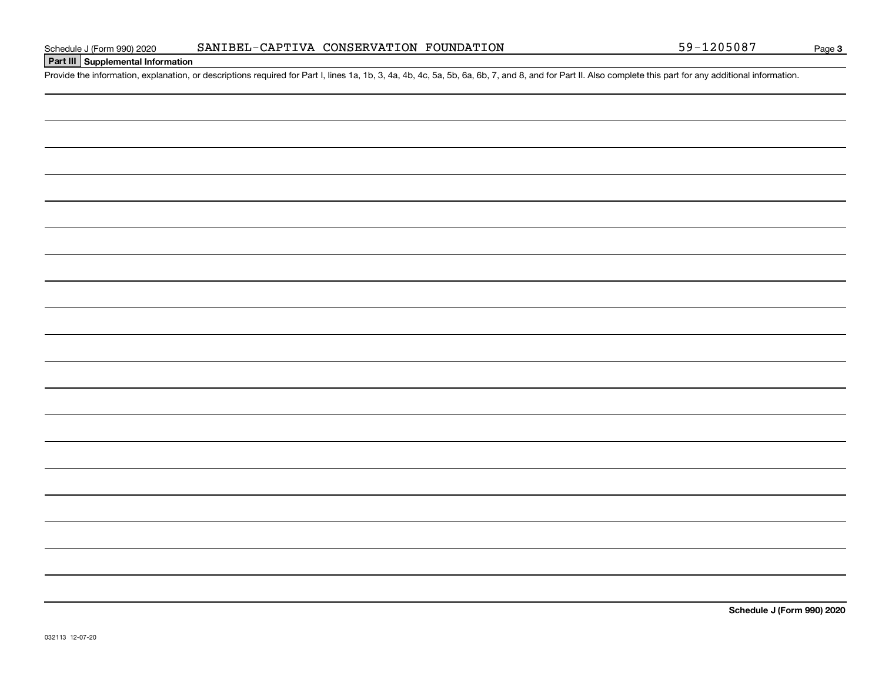# **Part III Supplemental Information**

Schedule J (Form 990) 2020 SANIBEL-CAPTIVA CONSERVATION FOUNDATION 59-1205087<br>Part III Supplemental Information<br>Provide the information, explanation, or descriptions required for Part I, lines 1a, 1b, 3, 4a, 4b, 4c, 5a, 5b

**Schedule J (Form 990) 2020**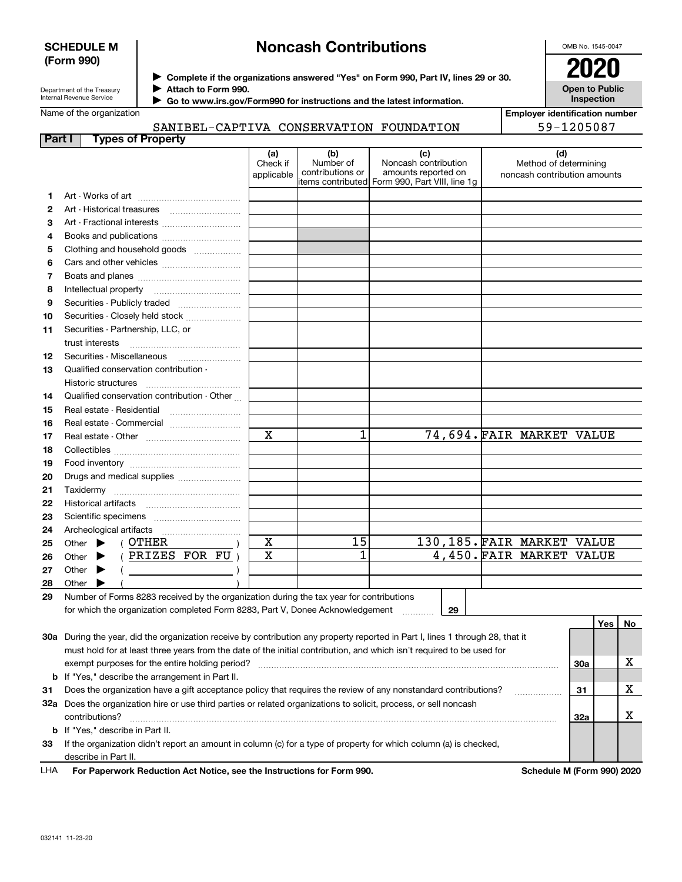### **SCHEDULE M (Form 990)**

# **Noncash Contributions**

OMB No. 1545-0047

Department of the Treasury Internal Revenue Service

**Complete if the organizations answered "Yes" on Form 990, Part IV, lines 29 or 30.** <sup>J</sup>**2020 Attach to Form 990.** J

**Open to Public Inspection**

|  | Name of the organization |
|--|--------------------------|

**Employer identification number** 59-1205087

| SANIBEL-CAPTIVA CONSERVATION FOUNDATION |  |  |
|-----------------------------------------|--|--|
| <b>Part I</b> Types of Property         |  |  |

 **Go to www.irs.gov/Form990 for instructions and the latest information.** J

|     |                                                                                                                                | (a)<br>Check if<br>applicable | (b)<br>Number of<br>contributions or | (c)<br>Noncash contribution<br>amounts reported on<br>items contributed Form 990, Part VIII, line 1g | (d)<br>Method of determining<br>noncash contribution amounts |     |     |    |
|-----|--------------------------------------------------------------------------------------------------------------------------------|-------------------------------|--------------------------------------|------------------------------------------------------------------------------------------------------|--------------------------------------------------------------|-----|-----|----|
| 1.  |                                                                                                                                |                               |                                      |                                                                                                      |                                                              |     |     |    |
| 2   |                                                                                                                                |                               |                                      |                                                                                                      |                                                              |     |     |    |
| З   | Art - Fractional interests                                                                                                     |                               |                                      |                                                                                                      |                                                              |     |     |    |
| 4   | Books and publications                                                                                                         |                               |                                      |                                                                                                      |                                                              |     |     |    |
| 5   | Clothing and household goods                                                                                                   |                               |                                      |                                                                                                      |                                                              |     |     |    |
| 6   |                                                                                                                                |                               |                                      |                                                                                                      |                                                              |     |     |    |
| 7   |                                                                                                                                |                               |                                      |                                                                                                      |                                                              |     |     |    |
| 8   | Intellectual property                                                                                                          |                               |                                      |                                                                                                      |                                                              |     |     |    |
| 9   | Securities - Publicly traded                                                                                                   |                               |                                      |                                                                                                      |                                                              |     |     |    |
| 10  | Securities - Closely held stock                                                                                                |                               |                                      |                                                                                                      |                                                              |     |     |    |
| 11  | Securities - Partnership, LLC, or                                                                                              |                               |                                      |                                                                                                      |                                                              |     |     |    |
|     | trust interests                                                                                                                |                               |                                      |                                                                                                      |                                                              |     |     |    |
| 12  | Securities - Miscellaneous                                                                                                     |                               |                                      |                                                                                                      |                                                              |     |     |    |
| 13  | Qualified conservation contribution -                                                                                          |                               |                                      |                                                                                                      |                                                              |     |     |    |
|     | Historic structures                                                                                                            |                               |                                      |                                                                                                      |                                                              |     |     |    |
| 14  | Qualified conservation contribution - Other                                                                                    |                               |                                      |                                                                                                      |                                                              |     |     |    |
| 15  | Real estate - Residential                                                                                                      |                               |                                      |                                                                                                      |                                                              |     |     |    |
| 16  | Real estate - Commercial                                                                                                       |                               |                                      |                                                                                                      |                                                              |     |     |    |
| 17  |                                                                                                                                | $\mathbf X$                   | 1                                    |                                                                                                      | 74,694. FAIR MARKET VALUE                                    |     |     |    |
| 18  |                                                                                                                                |                               |                                      |                                                                                                      |                                                              |     |     |    |
| 19  |                                                                                                                                |                               |                                      |                                                                                                      |                                                              |     |     |    |
| 20  | Drugs and medical supplies                                                                                                     |                               |                                      |                                                                                                      |                                                              |     |     |    |
| 21  |                                                                                                                                |                               |                                      |                                                                                                      |                                                              |     |     |    |
| 22  |                                                                                                                                |                               |                                      |                                                                                                      |                                                              |     |     |    |
| 23  |                                                                                                                                |                               |                                      |                                                                                                      |                                                              |     |     |    |
| 24  | Archeological artifacts                                                                                                        |                               |                                      |                                                                                                      |                                                              |     |     |    |
| 25  | ( OTHER<br>Other $\blacktriangleright$                                                                                         | x                             | 15                                   |                                                                                                      | 130,185. FAIR MARKET VALUE                                   |     |     |    |
| 26  | (PRIZES FOR FU)<br>Other $\blacktriangleright$                                                                                 | X                             | 1                                    |                                                                                                      | 4,450. FAIR MARKET VALUE                                     |     |     |    |
| 27  | $($ $)$<br>Other $\blacktriangleright$                                                                                         |                               |                                      |                                                                                                      |                                                              |     |     |    |
| 28  | Other $\blacktriangleright$                                                                                                    |                               |                                      |                                                                                                      |                                                              |     |     |    |
| 29  | Number of Forms 8283 received by the organization during the tax year for contributions                                        |                               |                                      |                                                                                                      |                                                              |     |     |    |
|     | for which the organization completed Form 8283, Part V, Donee Acknowledgement                                                  |                               |                                      | 29                                                                                                   |                                                              |     |     |    |
|     |                                                                                                                                |                               |                                      |                                                                                                      |                                                              |     | Yes | No |
|     | 30a During the year, did the organization receive by contribution any property reported in Part I, lines 1 through 28, that it |                               |                                      |                                                                                                      |                                                              |     |     |    |
|     | must hold for at least three years from the date of the initial contribution, and which isn't required to be used for          |                               |                                      |                                                                                                      |                                                              |     |     |    |
|     | exempt purposes for the entire holding period?                                                                                 |                               |                                      |                                                                                                      |                                                              | 30a |     | x  |
| b   | If "Yes," describe the arrangement in Part II.                                                                                 |                               |                                      |                                                                                                      |                                                              |     |     |    |
| 31  | Does the organization have a gift acceptance policy that requires the review of any nonstandard contributions?                 |                               |                                      |                                                                                                      | .                                                            | 31  |     | x  |
| 32a | Does the organization hire or use third parties or related organizations to solicit, process, or sell noncash                  |                               |                                      |                                                                                                      |                                                              |     |     |    |
|     | contributions?                                                                                                                 |                               |                                      |                                                                                                      |                                                              | 32a |     | x  |
| b   | If "Yes," describe in Part II.                                                                                                 |                               |                                      |                                                                                                      |                                                              |     |     |    |
| 33  | If the organization didn't report an amount in column (c) for a type of property for which column (a) is checked,              |                               |                                      |                                                                                                      |                                                              |     |     |    |
|     | describe in Part II.                                                                                                           |                               |                                      |                                                                                                      |                                                              |     |     |    |

|  | <b>LHA</b> | For Paperwork Reduction Act Notice, see the Instructions for Form 990. |
|--|------------|------------------------------------------------------------------------|
|--|------------|------------------------------------------------------------------------|

**Schedule M (Form 990) 2020**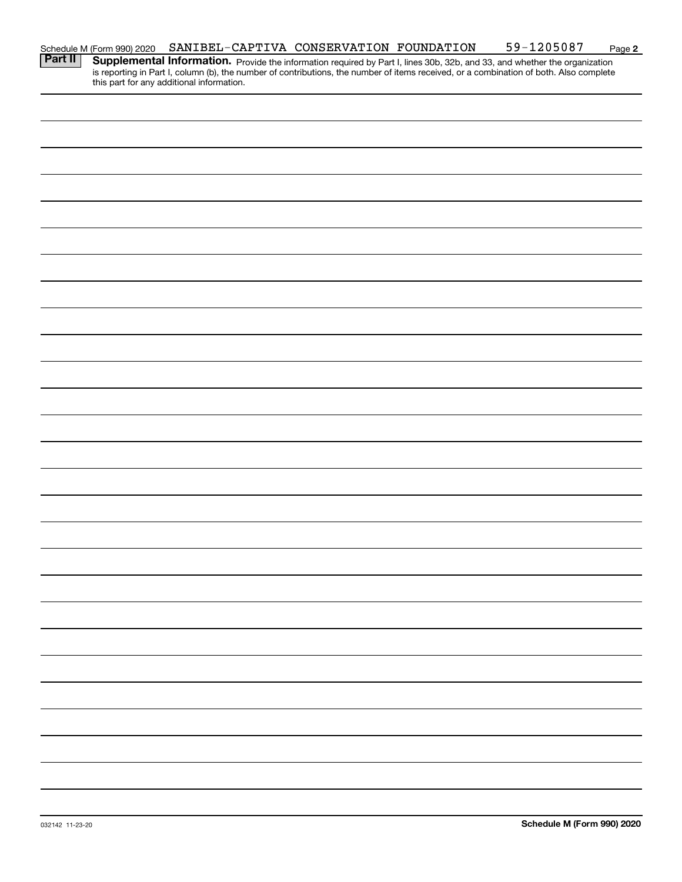|                                                                                                                                                                                                                                                                                                   | SANIBEL-CAPTIVA CONSERVATION FOUNDATION |  |  | <u>59-1205087</u> | Page 2 |
|---------------------------------------------------------------------------------------------------------------------------------------------------------------------------------------------------------------------------------------------------------------------------------------------------|-----------------------------------------|--|--|-------------------|--------|
| Schedule M (Form 990) 2020<br><b>Part II</b>   Supplementa<br><b>Supplemental Information.</b> Provide the information required by Part I, lines 30b, 32b, and 33, and whether the organization is reporting in Part I, column (b), the number of contributions, the number of items received, or |                                         |  |  |                   |        |
|                                                                                                                                                                                                                                                                                                   |                                         |  |  |                   |        |
|                                                                                                                                                                                                                                                                                                   |                                         |  |  |                   |        |
|                                                                                                                                                                                                                                                                                                   |                                         |  |  |                   |        |
|                                                                                                                                                                                                                                                                                                   |                                         |  |  |                   |        |
|                                                                                                                                                                                                                                                                                                   |                                         |  |  |                   |        |
|                                                                                                                                                                                                                                                                                                   |                                         |  |  |                   |        |
|                                                                                                                                                                                                                                                                                                   |                                         |  |  |                   |        |
|                                                                                                                                                                                                                                                                                                   |                                         |  |  |                   |        |
|                                                                                                                                                                                                                                                                                                   |                                         |  |  |                   |        |
|                                                                                                                                                                                                                                                                                                   |                                         |  |  |                   |        |
|                                                                                                                                                                                                                                                                                                   |                                         |  |  |                   |        |
|                                                                                                                                                                                                                                                                                                   |                                         |  |  |                   |        |
|                                                                                                                                                                                                                                                                                                   |                                         |  |  |                   |        |
|                                                                                                                                                                                                                                                                                                   |                                         |  |  |                   |        |
|                                                                                                                                                                                                                                                                                                   |                                         |  |  |                   |        |
|                                                                                                                                                                                                                                                                                                   |                                         |  |  |                   |        |
|                                                                                                                                                                                                                                                                                                   |                                         |  |  |                   |        |
|                                                                                                                                                                                                                                                                                                   |                                         |  |  |                   |        |
|                                                                                                                                                                                                                                                                                                   |                                         |  |  |                   |        |
|                                                                                                                                                                                                                                                                                                   |                                         |  |  |                   |        |
|                                                                                                                                                                                                                                                                                                   |                                         |  |  |                   |        |
|                                                                                                                                                                                                                                                                                                   |                                         |  |  |                   |        |
|                                                                                                                                                                                                                                                                                                   |                                         |  |  |                   |        |
|                                                                                                                                                                                                                                                                                                   |                                         |  |  |                   |        |
|                                                                                                                                                                                                                                                                                                   |                                         |  |  |                   |        |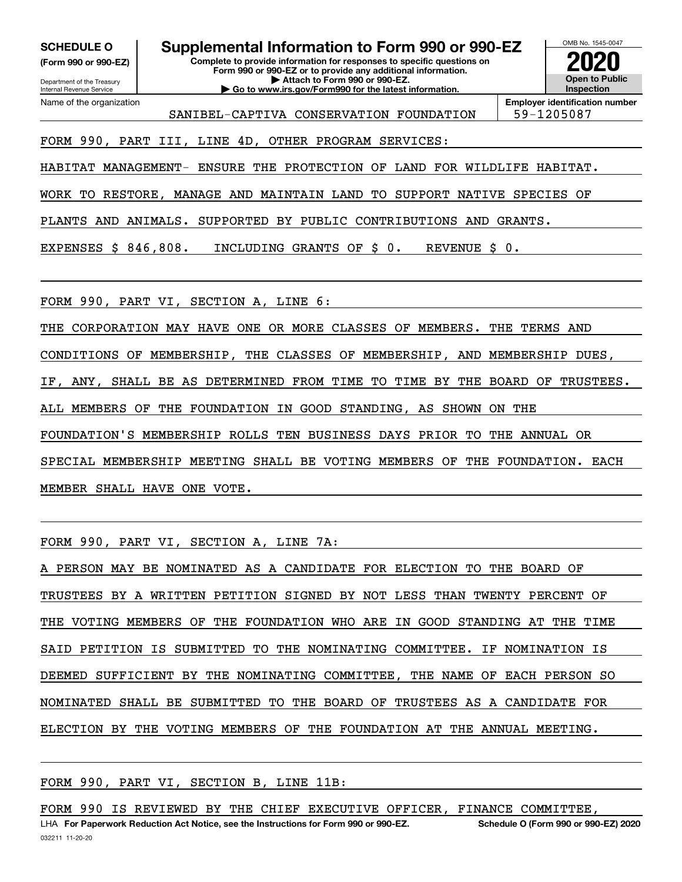**(Form 990 or 990-EZ)**

Department of the Treasury Internal Revenue Service Name of the organization

**Complete to provide information for responses to specific questions on SCHEDULE O Supplemental Information to Form 990 or 990-EZ**

**Form 990 or 990-EZ or to provide any additional information. | Attach to Form 990 or 990-EZ. | Go to www.irs.gov/Form990 for the latest information.**



OMB No. 1545-0047

SANIBEL-CAPTIVA CONSERVATION FOUNDATION 59-1205087

**Employer identification number**

FORM 990, PART III, LINE 4D, OTHER PROGRAM SERVICES:

HABITAT MANAGEMENT- ENSURE THE PROTECTION OF LAND FOR WILDLIFE HABITAT.

WORK TO RESTORE, MANAGE AND MAINTAIN LAND TO SUPPORT NATIVE SPECIES OF

PLANTS AND ANIMALS. SUPPORTED BY PUBLIC CONTRIBUTIONS AND GRANTS.

EXPENSES \$ 846,808. INCLUDING GRANTS OF \$ 0. REVENUE \$ 0.

FORM 990, PART VI, SECTION A, LINE 6:

THE CORPORATION MAY HAVE ONE OR MORE CLASSES OF MEMBERS. THE TERMS AND CONDITIONS OF MEMBERSHIP, THE CLASSES OF MEMBERSHIP, AND MEMBERSHIP DUES, IF, ANY, SHALL BE AS DETERMINED FROM TIME TO TIME BY THE BOARD OF TRUSTEES. ALL MEMBERS OF THE FOUNDATION IN GOOD STANDING, AS SHOWN ON THE FOUNDATION'S MEMBERSHIP ROLLS TEN BUSINESS DAYS PRIOR TO THE ANNUAL OR SPECIAL MEMBERSHIP MEETING SHALL BE VOTING MEMBERS OF THE FOUNDATION. EACH MEMBER SHALL HAVE ONE VOTE.

FORM 990, PART VI, SECTION A, LINE 7A:

PERSON MAY BE NOMINATED AS A CANDIDATE FOR ELECTION TO THE BOARD OF TRUSTEES BY A WRITTEN PETITION SIGNED BY NOT LESS THAN TWENTY PERCENT OF THE VOTING MEMBERS OF THE FOUNDATION WHO ARE IN GOOD STANDING AT THE TIME SAID PETITION IS SUBMITTED TO THE NOMINATING COMMITTEE. IF NOMINATION IS DEEMED SUFFICIENT BY THE NOMINATING COMMITTEE, THE NAME OF EACH PERSON SO NOMINATED SHALL BE SUBMITTED TO THE BOARD OF TRUSTEES AS A CANDIDATE FOR ELECTION BY THE VOTING MEMBERS OF THE FOUNDATION AT THE ANNUAL MEETING.

FORM 990, PART VI, SECTION B, LINE 11B:

FORM 990 IS REVIEWED BY THE CHIEF EXECUTIVE OFFICER, FINANCE COMMITTEE,